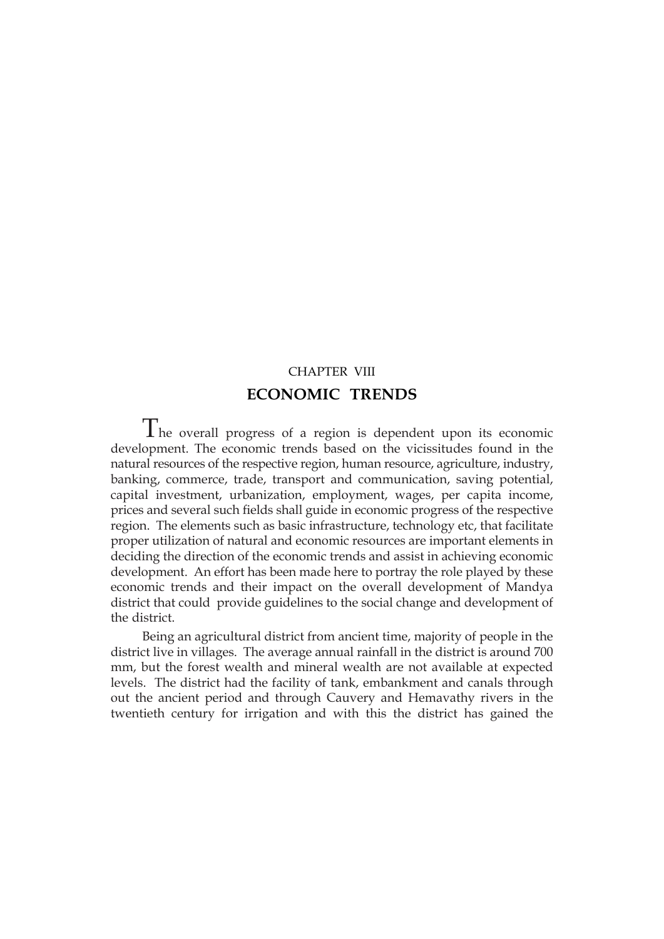# CHAPTER VIII **ECONOMIC TRENDS**

The overall progress of a region is dependent upon its economic development. The economic trends based on the vicissitudes found in the natural resources of the respective region, human resource, agriculture, industry, banking, commerce, trade, transport and communication, saving potential, capital investment, urbanization, employment, wages, per capita income, prices and several such fields shall guide in economic progress of the respective region. The elements such as basic infrastructure, technology etc, that facilitate proper utilization of natural and economic resources are important elements in deciding the direction of the economic trends and assist in achieving economic development. An effort has been made here to portray the role played by these economic trends and their impact on the overall development of Mandya district that could provide guidelines to the social change and development of the district.

Being an agricultural district from ancient time, majority of people in the district live in villages. The average annual rainfall in the district is around 700 mm, but the forest wealth and mineral wealth are not available at expected levels. The district had the facility of tank, embankment and canals through out the ancient period and through Cauvery and Hemavathy rivers in the twentieth century for irrigation and with this the district has gained the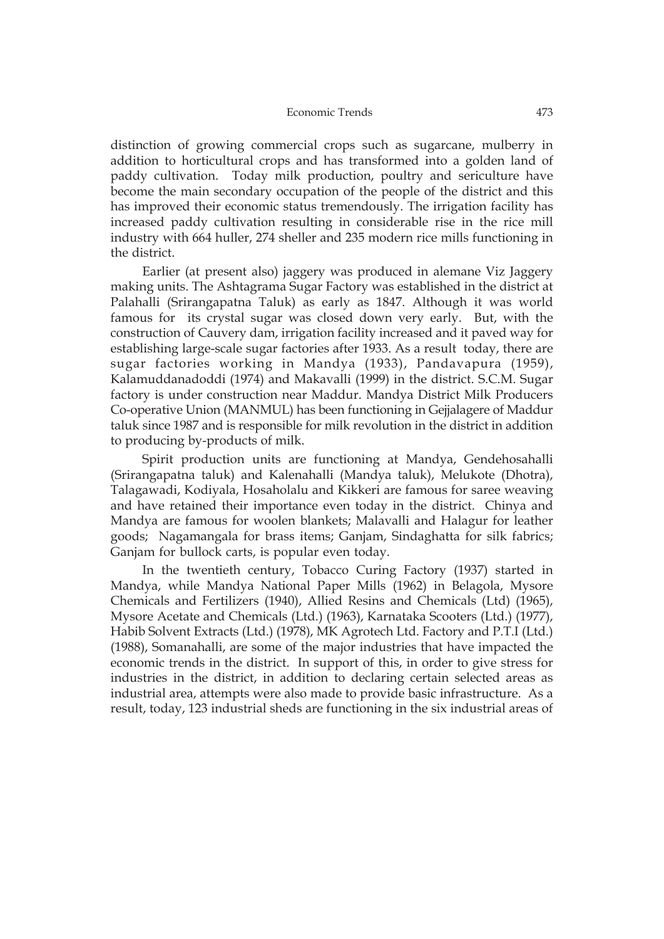distinction of growing commercial crops such as sugarcane, mulberry in addition to horticultural crops and has transformed into a golden land of paddy cultivation. Today milk production, poultry and sericulture have become the main secondary occupation of the people of the district and this has improved their economic status tremendously. The irrigation facility has increased paddy cultivation resulting in considerable rise in the rice mill industry with 664 huller, 274 sheller and 235 modern rice mills functioning in the district.

Earlier (at present also) jaggery was produced in alemane Viz Jaggery making units. The Ashtagrama Sugar Factory was established in the district at Palahalli (Srirangapatna Taluk) as early as 1847. Although it was world famous for its crystal sugar was closed down very early. But, with the construction of Cauvery dam, irrigation facility increased and it paved way for establishing large-scale sugar factories after 1933. As a result today, there are sugar factories working in Mandya (1933), Pandavapura (1959), Kalamuddanadoddi (1974) and Makavalli (1999) in the district. S.C.M. Sugar factory is under construction near Maddur. Mandya District Milk Producers Co-operative Union (MANMUL) has been functioning in Gejjalagere of Maddur taluk since 1987 and is responsible for milk revolution in the district in addition to producing by-products of milk.

Spirit production units are functioning at Mandya, Gendehosahalli (Srirangapatna taluk) and Kalenahalli (Mandya taluk), Melukote (Dhotra), Talagawadi, Kodiyala, Hosaholalu and Kikkeri are famous for saree weaving and have retained their importance even today in the district. Chinya and Mandya are famous for woolen blankets; Malavalli and Halagur for leather goods; Nagamangala for brass items; Ganjam, Sindaghatta for silk fabrics; Ganjam for bullock carts, is popular even today.

In the twentieth century, Tobacco Curing Factory (1937) started in Mandya, while Mandya National Paper Mills (1962) in Belagola, Mysore Chemicals and Fertilizers (1940), Allied Resins and Chemicals (Ltd) (1965), Mysore Acetate and Chemicals (Ltd.) (1963), Karnataka Scooters (Ltd.) (1977), Habib Solvent Extracts (Ltd.) (1978), MK Agrotech Ltd. Factory and P.T.I (Ltd.) (1988), Somanahalli, are some of the major industries that have impacted the economic trends in the district. In support of this, in order to give stress for industries in the district, in addition to declaring certain selected areas as industrial area, attempts were also made to provide basic infrastructure. As a result, today, 123 industrial sheds are functioning in the six industrial areas of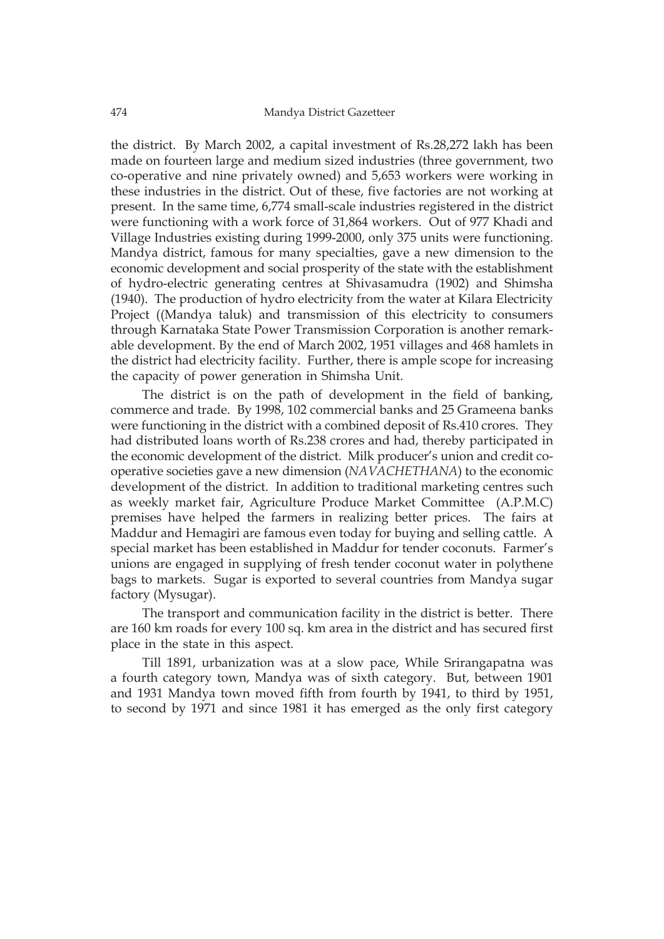the district. By March 2002, a capital investment of Rs.28,272 lakh has been made on fourteen large and medium sized industries (three government, two co-operative and nine privately owned) and 5,653 workers were working in these industries in the district. Out of these, five factories are not working at present. In the same time, 6,774 small-scale industries registered in the district were functioning with a work force of 31,864 workers. Out of 977 Khadi and Village Industries existing during 1999-2000, only 375 units were functioning. Mandya district, famous for many specialties, gave a new dimension to the economic development and social prosperity of the state with the establishment of hydro-electric generating centres at Shivasamudra (1902) and Shimsha (1940). The production of hydro electricity from the water at Kilara Electricity Project ((Mandya taluk) and transmission of this electricity to consumers through Karnataka State Power Transmission Corporation is another remarkable development. By the end of March 2002, 1951 villages and 468 hamlets in the district had electricity facility. Further, there is ample scope for increasing the capacity of power generation in Shimsha Unit.

The district is on the path of development in the field of banking, commerce and trade. By 1998, 102 commercial banks and 25 Grameena banks were functioning in the district with a combined deposit of Rs.410 crores. They had distributed loans worth of Rs.238 crores and had, thereby participated in the economic development of the district. Milk producer's union and credit cooperative societies gave a new dimension (*NAVACHETHANA*) to the economic development of the district. In addition to traditional marketing centres such as weekly market fair, Agriculture Produce Market Committee (A.P.M.C) premises have helped the farmers in realizing better prices. The fairs at Maddur and Hemagiri are famous even today for buying and selling cattle. A special market has been established in Maddur for tender coconuts. Farmer's unions are engaged in supplying of fresh tender coconut water in polythene bags to markets. Sugar is exported to several countries from Mandya sugar factory (Mysugar).

The transport and communication facility in the district is better. There are 160 km roads for every 100 sq. km area in the district and has secured first place in the state in this aspect.

Till 1891, urbanization was at a slow pace, While Srirangapatna was a fourth category town, Mandya was of sixth category. But, between 1901 and 1931 Mandya town moved fifth from fourth by 1941, to third by 1951, to second by 1971 and since 1981 it has emerged as the only first category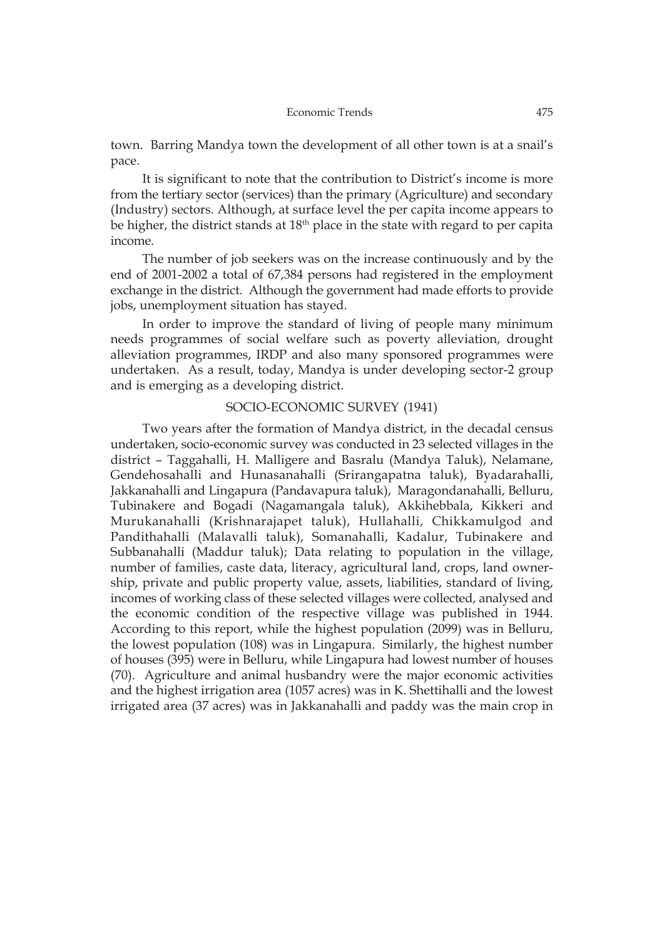town. Barring Mandya town the development of all other town is at a snail's pace.

It is significant to note that the contribution to District's income is more from the tertiary sector (services) than the primary (Agriculture) and secondary (Industry) sectors. Although, at surface level the per capita income appears to be higher, the district stands at 18<sup>th</sup> place in the state with regard to per capita income.

The number of job seekers was on the increase continuously and by the end of 2001-2002 a total of 67,384 persons had registered in the employment exchange in the district. Although the government had made efforts to provide jobs, unemployment situation has stayed.

In order to improve the standard of living of people many minimum needs programmes of social welfare such as poverty alleviation, drought alleviation programmes, IRDP and also many sponsored programmes were undertaken. As a result, today, Mandya is under developing sector-2 group and is emerging as a developing district.

### SOCIO-ECONOMIC SURVEY (1941)

Two years after the formation of Mandya district, in the decadal census undertaken, socio-economic survey was conducted in 23 selected villages in the district – Taggahalli, H. Malligere and Basralu (Mandya Taluk), Nelamane, Gendehosahalli and Hunasanahalli (Srirangapatna taluk), Byadarahalli, Jakkanahalli and Lingapura (Pandavapura taluk), Maragondanahalli, Belluru, Tubinakere and Bogadi (Nagamangala taluk), Akkihebbala, Kikkeri and Murukanahalli (Krishnarajapet taluk), Hullahalli, Chikkamulgod and Pandithahalli (Malavalli taluk), Somanahalli, Kadalur, Tubinakere and Subbanahalli (Maddur taluk); Data relating to population in the village, number of families, caste data, literacy, agricultural land, crops, land ownership, private and public property value, assets, liabilities, standard of living, incomes of working class of these selected villages were collected, analysed and the economic condition of the respective village was published in 1944. According to this report, while the highest population (2099) was in Belluru, the lowest population (108) was in Lingapura. Similarly, the highest number of houses (395) were in Belluru, while Lingapura had lowest number of houses (70). Agriculture and animal husbandry were the major economic activities and the highest irrigation area (1057 acres) was in K. Shettihalli and the lowest irrigated area (37 acres) was in Jakkanahalli and paddy was the main crop in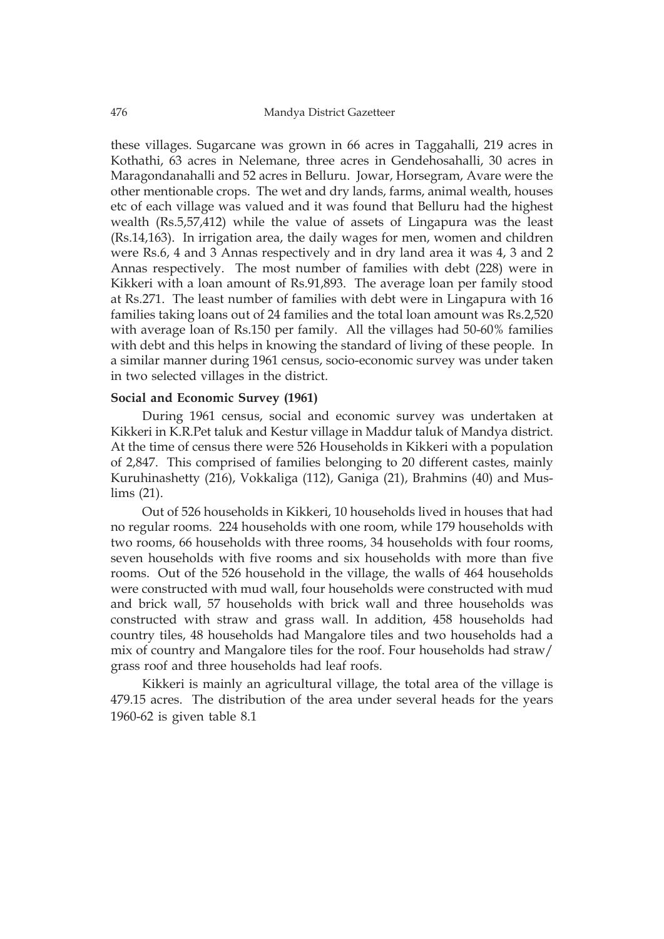these villages. Sugarcane was grown in 66 acres in Taggahalli, 219 acres in Kothathi, 63 acres in Nelemane, three acres in Gendehosahalli, 30 acres in Maragondanahalli and 52 acres in Belluru. Jowar, Horsegram, Avare were the other mentionable crops. The wet and dry lands, farms, animal wealth, houses etc of each village was valued and it was found that Belluru had the highest wealth (Rs.5,57,412) while the value of assets of Lingapura was the least (Rs.14,163). In irrigation area, the daily wages for men, women and children were Rs.6, 4 and 3 Annas respectively and in dry land area it was 4, 3 and 2 Annas respectively. The most number of families with debt (228) were in Kikkeri with a loan amount of Rs.91,893. The average loan per family stood at Rs.271. The least number of families with debt were in Lingapura with 16 families taking loans out of 24 families and the total loan amount was Rs.2,520 with average loan of Rs.150 per family. All the villages had 50-60% families with debt and this helps in knowing the standard of living of these people. In a similar manner during 1961 census, socio-economic survey was under taken in two selected villages in the district.

## **Social and Economic Survey (1961)**

During 1961 census, social and economic survey was undertaken at Kikkeri in K.R.Pet taluk and Kestur village in Maddur taluk of Mandya district. At the time of census there were 526 Households in Kikkeri with a population of 2,847. This comprised of families belonging to 20 different castes, mainly Kuruhinashetty (216), Vokkaliga (112), Ganiga (21), Brahmins (40) and Muslims (21).

Out of 526 households in Kikkeri, 10 households lived in houses that had no regular rooms. 224 households with one room, while 179 households with two rooms, 66 households with three rooms, 34 households with four rooms, seven households with five rooms and six households with more than five rooms. Out of the 526 household in the village, the walls of 464 households were constructed with mud wall, four households were constructed with mud and brick wall, 57 households with brick wall and three households was constructed with straw and grass wall. In addition, 458 households had country tiles, 48 households had Mangalore tiles and two households had a mix of country and Mangalore tiles for the roof. Four households had straw/ grass roof and three households had leaf roofs.

Kikkeri is mainly an agricultural village, the total area of the village is 479.15 acres. The distribution of the area under several heads for the years 1960-62 is given table 8.1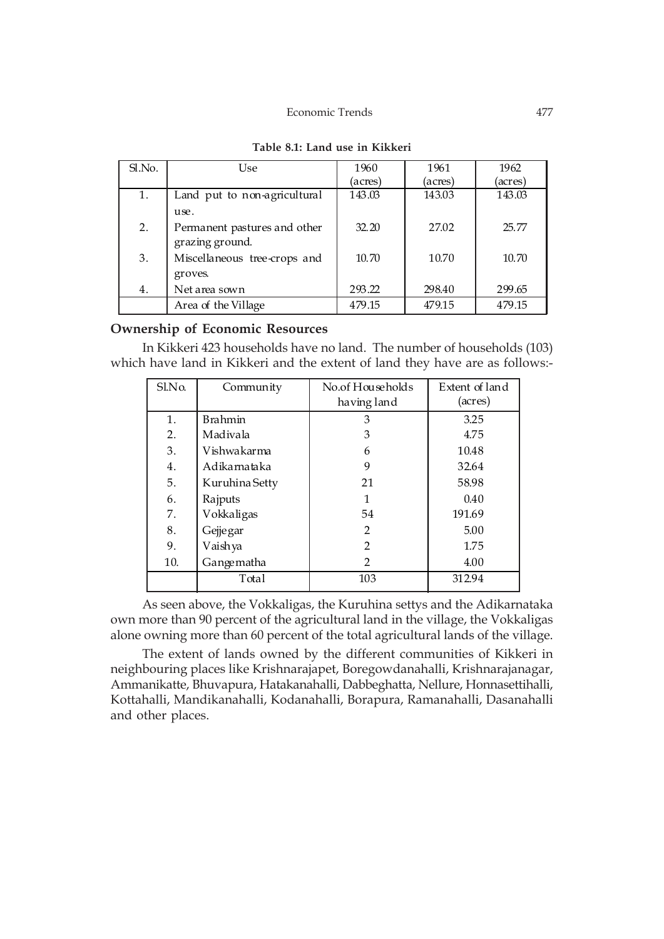### Economic Trends 477

| Sl.No. | <b>Use</b>                   | 1960    | 1961    | 1962    |
|--------|------------------------------|---------|---------|---------|
|        |                              | (acres) | (acres) | (acres) |
| 1.     | Land put to non-agricultural | 143.03  | 143.03  | 143.03  |
|        | use.                         |         |         |         |
| 2.     | Permanent pastures and other | 32.20   | 27.02   | 25.77   |
|        | grazing ground.              |         |         |         |
| 3.     | Miscellaneous tree-crops and | 10.70   | 10.70   | 10.70   |
|        | groves.                      |         |         |         |
| 4.     | Net area sown                | 293.22  | 298.40  | 299.65  |
|        | Area of the Village          | 479.15  | 479.15  | 479.15  |

| Table 8.1: Land use in Kikkeri |
|--------------------------------|
|--------------------------------|

# **Ownership of Economic Resources**

In Kikkeri 423 households have no land. The number of households (103) which have land in Kikkeri and the extent of land they have are as follows:-

| Sl.No. | Community      | No.of Households<br>having land | Extent of land<br>(acres) |
|--------|----------------|---------------------------------|---------------------------|
| 1.     | Brahmin        | 3                               | 3.25                      |
|        |                |                                 |                           |
| 2.     | Madivala       | 3                               | 4.75                      |
| 3.     | Vishwa karma   | 6                               | 10.48                     |
| 4.     | Adikarnataka   | 9                               | 32.64                     |
| 5.     | Kuruhina Setty | 21                              | 58.98                     |
| 6.     | Rajputs        |                                 | 0.40                      |
| 7.     | Vokkaligas     | 54                              | 191.69                    |
| 8.     | Gejjegar       | $\overline{2}$                  | 5.00                      |
| 9.     | Vaishya        | 2                               | 1.75                      |
| 10.    | Gangematha     | $\mathfrak{D}$                  | 4.00                      |
|        | Total          | 103                             | 312.94                    |

As seen above, the Vokkaligas, the Kuruhina settys and the Adikarnataka own more than 90 percent of the agricultural land in the village, the Vokkaligas alone owning more than 60 percent of the total agricultural lands of the village.

The extent of lands owned by the different communities of Kikkeri in neighbouring places like Krishnarajapet, Boregowdanahalli, Krishnarajanagar, Ammanikatte, Bhuvapura, Hatakanahalli, Dabbeghatta, Nellure, Honnasettihalli, Kottahalli, Mandikanahalli, Kodanahalli, Borapura, Ramanahalli, Dasanahalli and other places.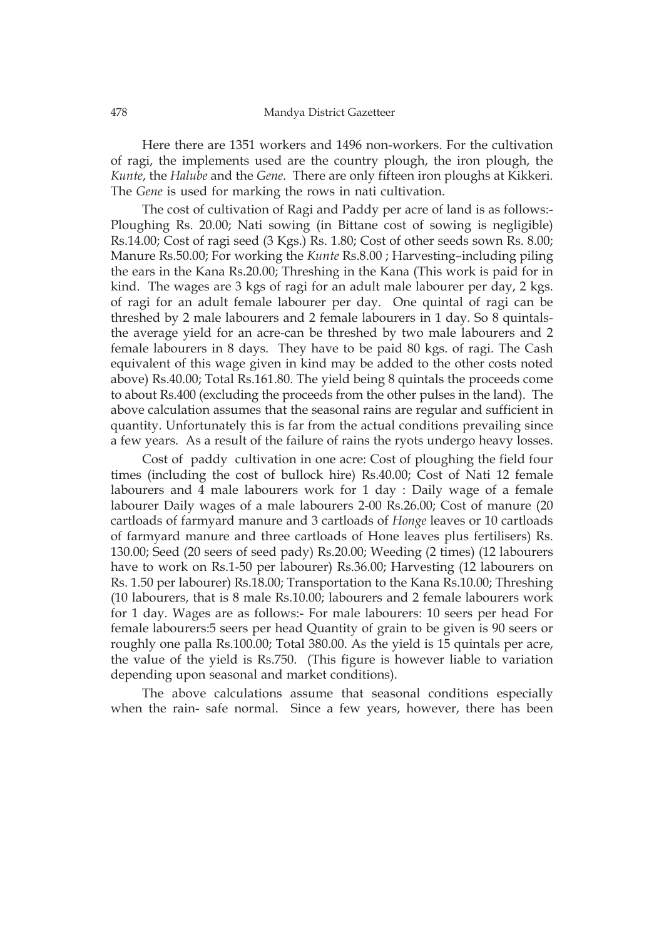Here there are 1351 workers and 1496 non-workers. For the cultivation of ragi, the implements used are the country plough, the iron plough, the *Kunte*, the *Halube* and the *Gene.* There are only fifteen iron ploughs at Kikkeri. The *Gene* is used for marking the rows in nati cultivation.

The cost of cultivation of Ragi and Paddy per acre of land is as follows:- Ploughing Rs. 20.00; Nati sowing (in Bittane cost of sowing is negligible) Rs.14.00; Cost of ragi seed (3 Kgs.) Rs. 1.80; Cost of other seeds sown Rs. 8.00; Manure Rs.50.00; For working the *Kunte* Rs.8.00 ; Harvesting–including piling the ears in the Kana Rs.20.00; Threshing in the Kana (This work is paid for in kind. The wages are 3 kgs of ragi for an adult male labourer per day, 2 kgs. of ragi for an adult female labourer per day. One quintal of ragi can be threshed by 2 male labourers and 2 female labourers in 1 day. So 8 quintalsthe average yield for an acre-can be threshed by two male labourers and 2 female labourers in 8 days. They have to be paid 80 kgs. of ragi. The Cash equivalent of this wage given in kind may be added to the other costs noted above) Rs.40.00; Total Rs.161.80. The yield being 8 quintals the proceeds come to about Rs.400 (excluding the proceeds from the other pulses in the land). The above calculation assumes that the seasonal rains are regular and sufficient in quantity. Unfortunately this is far from the actual conditions prevailing since a few years. As a result of the failure of rains the ryots undergo heavy losses.

Cost of paddy cultivation in one acre: Cost of ploughing the field four times (including the cost of bullock hire) Rs.40.00; Cost of Nati 12 female labourers and 4 male labourers work for 1 day : Daily wage of a female labourer Daily wages of a male labourers 2-00 Rs.26.00; Cost of manure (20 cartloads of farmyard manure and 3 cartloads of *Honge* leaves or 10 cartloads of farmyard manure and three cartloads of Hone leaves plus fertilisers) Rs. 130.00; Seed (20 seers of seed pady) Rs.20.00; Weeding (2 times) (12 labourers have to work on Rs.1-50 per labourer) Rs.36.00; Harvesting (12 labourers on Rs. 1.50 per labourer) Rs.18.00; Transportation to the Kana Rs.10.00; Threshing (10 labourers, that is 8 male Rs.10.00; labourers and 2 female labourers work for 1 day. Wages are as follows:- For male labourers: 10 seers per head For female labourers:5 seers per head Quantity of grain to be given is 90 seers or roughly one palla Rs.100.00; Total 380.00. As the yield is 15 quintals per acre, the value of the yield is Rs.750. (This figure is however liable to variation depending upon seasonal and market conditions).

The above calculations assume that seasonal conditions especially when the rain- safe normal. Since a few years, however, there has been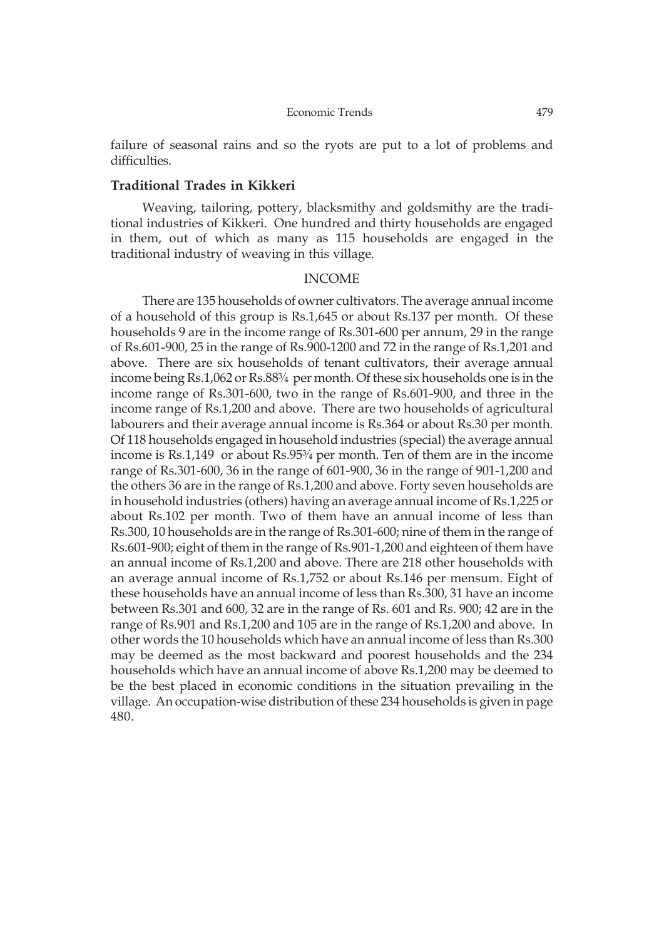failure of seasonal rains and so the ryots are put to a lot of problems and difficulties.

### **Traditional Trades in Kikkeri**

Weaving, tailoring, pottery, blacksmithy and goldsmithy are the traditional industries of Kikkeri. One hundred and thirty households are engaged in them, out of which as many as 115 households are engaged in the traditional industry of weaving in this village.

### INCOME

There are 135 households of owner cultivators. The average annual income of a household of this group is Rs.1,645 or about Rs.137 per month. Of these households 9 are in the income range of Rs.301-600 per annum, 29 in the range of Rs.601-900, 25 in the range of Rs.900-1200 and 72 in the range of Rs.1,201 and above. There are six households of tenant cultivators, their average annual income being Rs.1,062 or Rs.88¾ per month. Of these six households one is in the income range of Rs.301-600, two in the range of Rs.601-900, and three in the income range of Rs.1,200 and above. There are two households of agricultural labourers and their average annual income is Rs.364 or about Rs.30 per month. Of 118 households engaged in household industries (special) the average annual income is Rs.1,149 or about Rs.95¾ per month. Ten of them are in the income range of Rs.301-600, 36 in the range of 601-900, 36 in the range of 901-1,200 and the others 36 are in the range of Rs.1,200 and above. Forty seven households are in household industries (others) having an average annual income of Rs.1,225 or about Rs.102 per month. Two of them have an annual income of less than Rs.300, 10 households are in the range of Rs.301-600; nine of them in the range of Rs.601-900; eight of them in the range of Rs.901-1,200 and eighteen of them have an annual income of Rs.1,200 and above. There are 218 other households with an average annual income of Rs.1,752 or about Rs.146 per mensum. Eight of these households have an annual income of less than Rs.300, 31 have an income between Rs.301 and 600, 32 are in the range of Rs. 601 and Rs. 900; 42 are in the range of Rs.901 and Rs.1,200 and 105 are in the range of Rs.1,200 and above. In other words the 10 households which have an annual income of less than Rs.300 may be deemed as the most backward and poorest households and the 234 households which have an annual income of above Rs.1,200 may be deemed to be the best placed in economic conditions in the situation prevailing in the village. An occupation-wise distribution of these 234 households is given in page 480.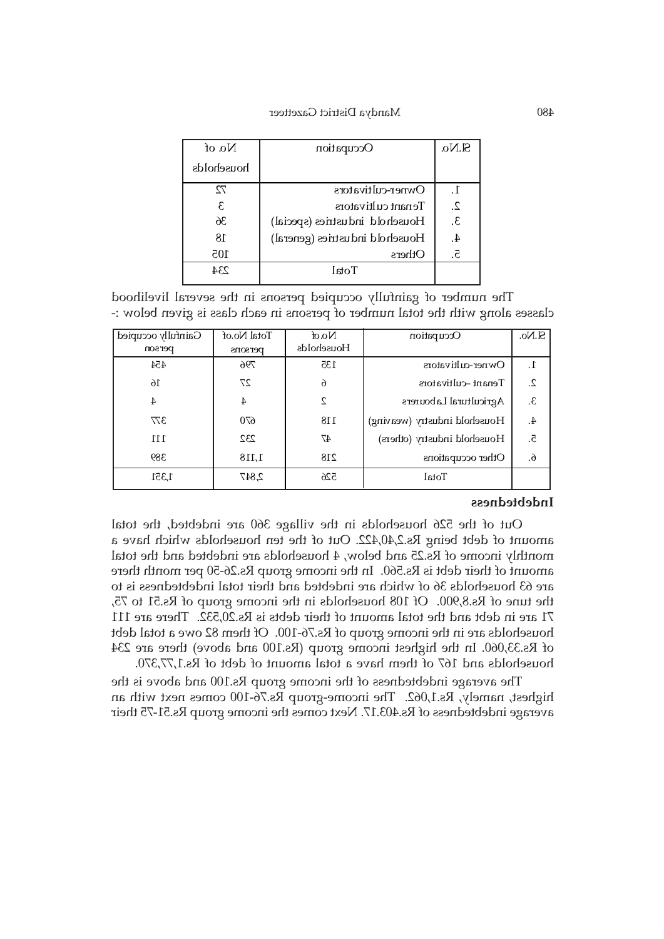| No. of     | Occupation                     | SIN <sub>0</sub> |
|------------|--------------------------------|------------------|
| households |                                |                  |
| 72         | Owner-cultivators              | . $\Gamma$       |
| ε          | Tenant cultivators             | 2.               |
| 36         | Household industries (special) | 3.               |
| 18         | Household industries (general) | 4.               |
| 105        | Others                         | 5.               |
| 234        | $To$ tal                       |                  |

The number of gainfully occupied persons in the several livelihood classes along with the total number of persons in each class is given below :-

| Gainfully occupied | Total No.of | $N\alpha$  | Occupation                   | S.No. |
|--------------------|-------------|------------|------------------------------|-------|
| person             | persons     | Households |                              |       |
| 454                | 796         | 135        | Owner-cultivators            | 1.    |
| 16                 | 27          | $\delta$   | Tenant-cultivators           | 2.    |
| 4                  | 4           | 2          | Agricultural Labourers       | 3.    |
| 377                | 670         | 118        | Household industry (weaving) | 4.    |
| 111                | 232         | 47         | Household industry (others)  | 5.    |
| 389                | 1,118       | 218        | Other occupations            | 6.    |
| 1,351              | 2,847       | 526        | Total                        |       |

### **Indebtedness**

Out of the 526 households in the village 360 are indebted, the total amount of debt being Rs.2,40,422. Out of the ten households which have a monthly income of Rs.25 and below, 4 households are indebted and the total amount of their debt is Rs.560. In the income group Rs.26-50 per month there are 63 households 36 of which are indebted and their total indebtedness is to the tune of Rs.8,900. Of 108 households in the income group of Rs.51 to 75, 71 are in debt and the total amount of their debts is Rs.20,532. There are 111 households are in the income group of Rs.76-100. Of them 82 owe a total debt of Rs.33,060. In the highest income group (Rs.100 and above) there are 234 households and 167 of them have a total amount of debt of Rs.1,77,370.

The average indebtedness of the income group Rs.100 and above is the highest, namely, Rs.1,062. The income-group Rs.76-100 comes next with an average indebtedness of Rs.403.17. Next comes the income group Rs.51-75 their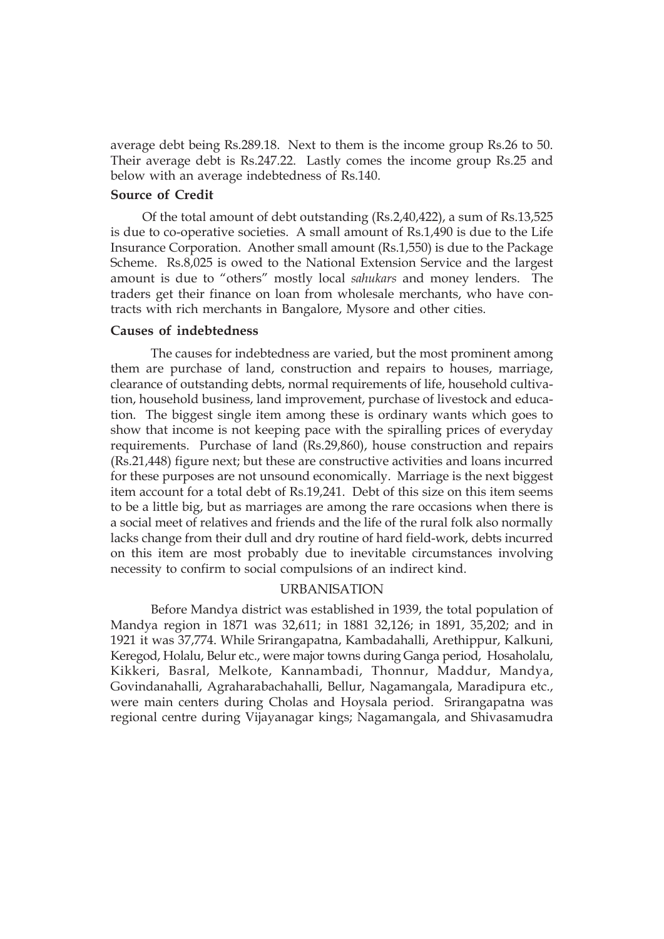average debt being Rs.289.18. Next to them is the income group Rs.26 to 50. Their average debt is Rs.247.22. Lastly comes the income group Rs.25 and below with an average indebtedness of Rs.140.

# **Source of Credit**

Of the total amount of debt outstanding (Rs.2,40,422), a sum of Rs.13,525 is due to co-operative societies. A small amount of Rs.1,490 is due to the Life Insurance Corporation. Another small amount (Rs.1,550) is due to the Package Scheme. Rs.8,025 is owed to the National Extension Service and the largest amount is due to "others" mostly local *sahukars* and money lenders. The traders get their finance on loan from wholesale merchants, who have contracts with rich merchants in Bangalore, Mysore and other cities.

### **Causes of indebtedness**

The causes for indebtedness are varied, but the most prominent among them are purchase of land, construction and repairs to houses, marriage, clearance of outstanding debts, normal requirements of life, household cultivation, household business, land improvement, purchase of livestock and education. The biggest single item among these is ordinary wants which goes to show that income is not keeping pace with the spiralling prices of everyday requirements. Purchase of land (Rs.29,860), house construction and repairs (Rs.21,448) figure next; but these are constructive activities and loans incurred for these purposes are not unsound economically. Marriage is the next biggest item account for a total debt of Rs.19,241. Debt of this size on this item seems to be a little big, but as marriages are among the rare occasions when there is a social meet of relatives and friends and the life of the rural folk also normally lacks change from their dull and dry routine of hard field-work, debts incurred on this item are most probably due to inevitable circumstances involving necessity to confirm to social compulsions of an indirect kind.

## URBANISATION

Before Mandya district was established in 1939, the total population of Mandya region in 1871 was 32,611; in 1881 32,126; in 1891, 35,202; and in 1921 it was 37,774. While Srirangapatna, Kambadahalli, Arethippur, Kalkuni, Keregod, Holalu, Belur etc., were major towns during Ganga period, Hosaholalu, Kikkeri, Basral, Melkote, Kannambadi, Thonnur, Maddur, Mandya, Govindanahalli, Agraharabachahalli, Bellur, Nagamangala, Maradipura etc., were main centers during Cholas and Hoysala period. Srirangapatna was regional centre during Vijayanagar kings; Nagamangala, and Shivasamudra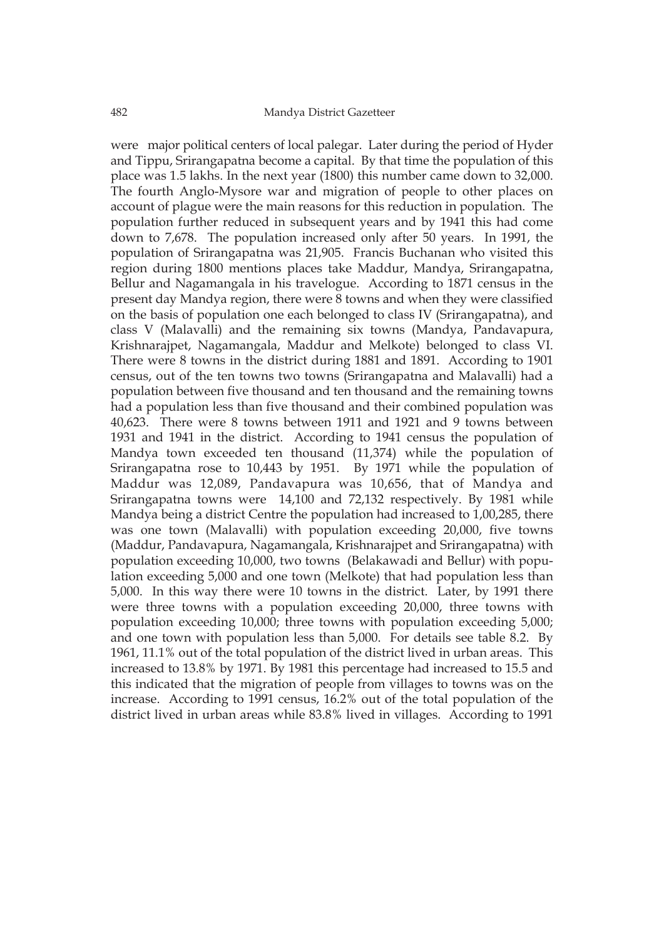were major political centers of local palegar. Later during the period of Hyder and Tippu, Srirangapatna become a capital. By that time the population of this place was 1.5 lakhs. In the next year (1800) this number came down to 32,000. The fourth Anglo-Mysore war and migration of people to other places on account of plague were the main reasons for this reduction in population. The population further reduced in subsequent years and by 1941 this had come down to 7,678. The population increased only after 50 years. In 1991, the population of Srirangapatna was 21,905. Francis Buchanan who visited this region during 1800 mentions places take Maddur, Mandya, Srirangapatna, Bellur and Nagamangala in his travelogue. According to 1871 census in the present day Mandya region, there were 8 towns and when they were classified on the basis of population one each belonged to class IV (Srirangapatna), and class V (Malavalli) and the remaining six towns (Mandya, Pandavapura, Krishnarajpet, Nagamangala, Maddur and Melkote) belonged to class VI. There were 8 towns in the district during 1881 and 1891. According to 1901 census, out of the ten towns two towns (Srirangapatna and Malavalli) had a population between five thousand and ten thousand and the remaining towns had a population less than five thousand and their combined population was 40,623. There were 8 towns between 1911 and 1921 and 9 towns between 1931 and 1941 in the district. According to 1941 census the population of Mandya town exceeded ten thousand (11,374) while the population of Srirangapatna rose to 10,443 by 1951. By 1971 while the population of Maddur was 12,089, Pandavapura was 10,656, that of Mandya and Srirangapatna towns were 14,100 and 72,132 respectively. By 1981 while Mandya being a district Centre the population had increased to 1,00,285, there was one town (Malavalli) with population exceeding 20,000, five towns (Maddur, Pandavapura, Nagamangala, Krishnarajpet and Srirangapatna) with population exceeding 10,000, two towns (Belakawadi and Bellur) with population exceeding 5,000 and one town (Melkote) that had population less than 5,000. In this way there were 10 towns in the district. Later, by 1991 there were three towns with a population exceeding 20,000, three towns with population exceeding 10,000; three towns with population exceeding 5,000; and one town with population less than 5,000. For details see table 8.2. By 1961, 11.1% out of the total population of the district lived in urban areas. This increased to 13.8% by 1971. By 1981 this percentage had increased to 15.5 and this indicated that the migration of people from villages to towns was on the increase. According to 1991 census, 16.2% out of the total population of the district lived in urban areas while 83.8% lived in villages. According to 1991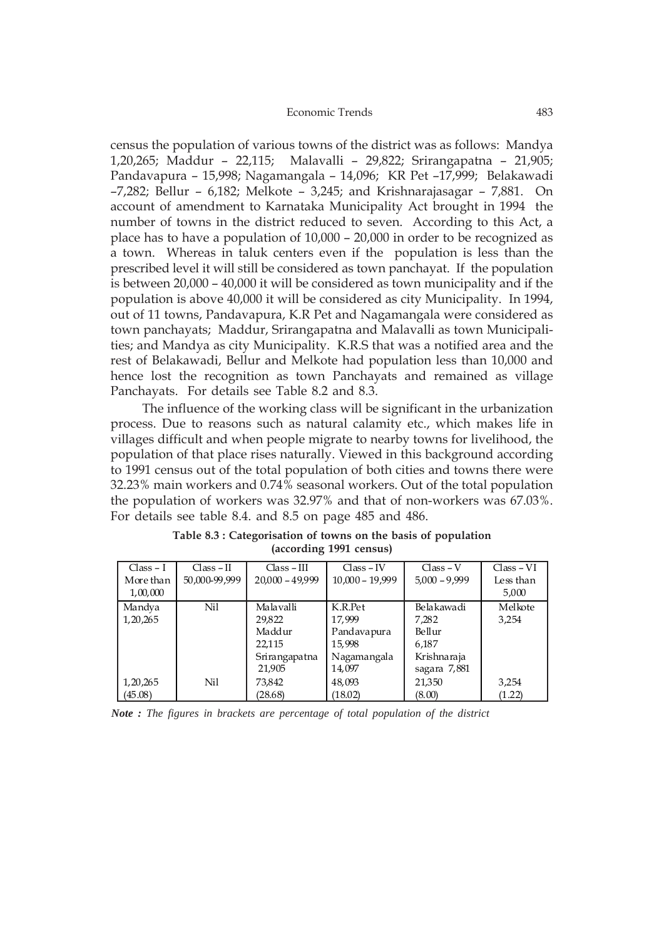census the population of various towns of the district was as follows: Mandya 1,20,265; Maddur – 22,115; Malavalli – 29,822; Srirangapatna – 21,905; Pandavapura – 15,998; Nagamangala – 14,096; KR Pet –17,999; Belakawadi –7,282; Bellur – 6,182; Melkote – 3,245; and Krishnarajasagar – 7,881. On account of amendment to Karnataka Municipality Act brought in 1994 the number of towns in the district reduced to seven. According to this Act, a place has to have a population of 10,000 – 20,000 in order to be recognized as a town. Whereas in taluk centers even if the population is less than the prescribed level it will still be considered as town panchayat. If the population is between 20,000 – 40,000 it will be considered as town municipality and if the population is above 40,000 it will be considered as city Municipality. In 1994, out of 11 towns, Pandavapura, K.R Pet and Nagamangala were considered as town panchayats; Maddur, Srirangapatna and Malavalli as town Municipalities; and Mandya as city Municipality. K.R.S that was a notified area and the rest of Belakawadi, Bellur and Melkote had population less than 10,000 and hence lost the recognition as town Panchayats and remained as village Panchayats. For details see Table 8.2 and 8.3.

The influence of the working class will be significant in the urbanization process. Due to reasons such as natural calamity etc., which makes life in villages difficult and when people migrate to nearby towns for livelihood, the population of that place rises naturally. Viewed in this background according to 1991 census out of the total population of both cities and towns there were 32.23% main workers and 0.74% seasonal workers. Out of the total population the population of workers was 32.97% and that of non-workers was 67.03%. For details see table 8.4. and 8.5 on page 485 and 486.

| $Class - I$<br>More than<br>1,00,000 | $Class - II$<br>50,000-99,999 | $Class - III$<br>$20,000 - 49,999$                                 | $Class - IV$<br>$10,000 - 19,999$                                   | $Class - V$<br>$5,000 - 9,999$                                        | $Class - VI$<br>Less than<br>5,000 |
|--------------------------------------|-------------------------------|--------------------------------------------------------------------|---------------------------------------------------------------------|-----------------------------------------------------------------------|------------------------------------|
| Mandya<br>1, 20, 265                 | Nil                           | Malavalli<br>29.822<br>Maddur<br>22,115<br>Srirangapatna<br>21,905 | K.R.Pet<br>17.999<br>Pandavapura<br>15,998<br>Nagamangala<br>14,097 | Belakawadi<br>7,282<br>Bellur<br>6,187<br>Krishnaraja<br>sagara 7,881 | Melkote<br>3,254                   |
| 1, 20, 265<br>(45.08)                | Nil                           | 73,842<br>(28.68)                                                  | 48,093<br>(18.02)                                                   | 21,350<br>(8.00)                                                      | 3,254<br>(1.22)                    |

**Table 8.3 : Categorisation of towns on the basis of population (according 1991 census)**

*Note : The figures in brackets are percentage of total population of the district*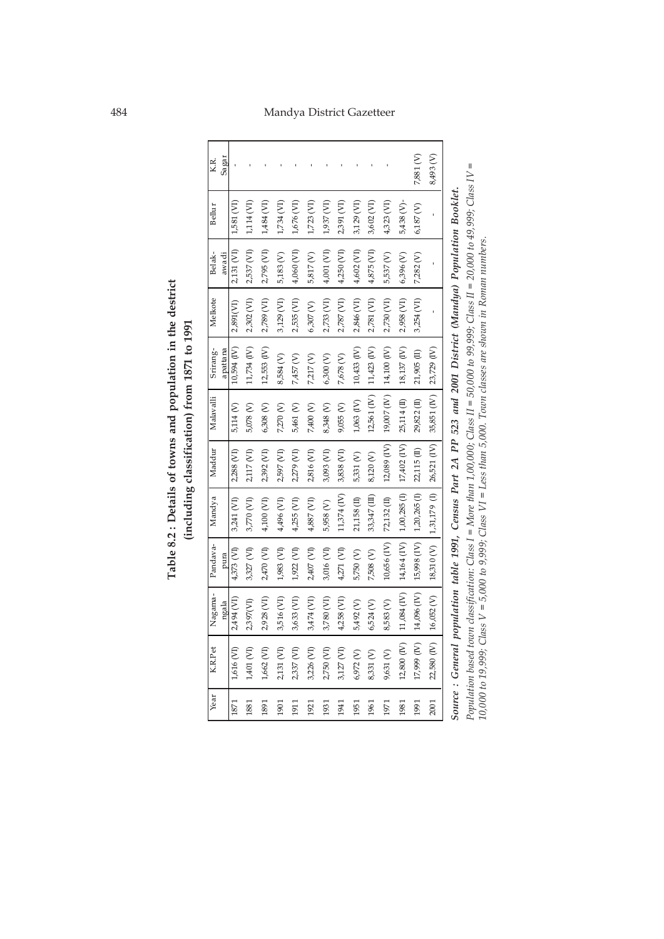# 484 Mandya District Gazetteer

Table 8.2 : Details of towns and population in the destrict **Table 8.2 : Details of towns and population in the destrict (including classification) from 1871 to 1991** (including classification) from 1871 to 1991

| Year | K.R.Pet                                                                                                                             |                         | Nagama - Pandava-                                                                                 | Mandya                                   | Maddur      | Malavalli               | Srirang-                  | Melkote    | Belak-     | Bellur      | K.R.          |
|------|-------------------------------------------------------------------------------------------------------------------------------------|-------------------------|---------------------------------------------------------------------------------------------------|------------------------------------------|-------------|-------------------------|---------------------------|------------|------------|-------------|---------------|
|      |                                                                                                                                     | nga la                  | pura                                                                                              |                                          |             |                         | apattana                  |            | awadi      |             | Sa ga r       |
| 1871 | 1,616 (VI)                                                                                                                          | 2,494 (VI)              | 4,373 (VI)                                                                                        | 3,241 (VI)                               | 2,288 (VI)  | 5,114 (V)               | 10,594 (IV)               | 2,891(VI)  | 2,131 (VI) | 1,581 (VI)  |               |
| 1881 | 1,401 (VI)                                                                                                                          | 2,397(VI)               | 3,327 (VI)                                                                                        | 3,770 (VI)                               | 2,117 (VI)  | 5,078 (V)               | 11,734 (IV)               | 2,302 (VI) | 2,537 (VI) | 1,114 (VI)  |               |
| 1891 | 1,662 (VI)                                                                                                                          | 2,928 (VI)              | 2,470 (VI)                                                                                        | 4,100 (VI)                               | 2,392 (VI)  | $6,308$ (V)             | 12,553 (IV)               | 2,789 (VI) | 2,795 (VI) | 1,484 (VI)  |               |
| 1901 | 2,131 (VI)                                                                                                                          | 3,516(VI)               | 1,983 (VI)                                                                                        | 4,496 (VI)                               | 2,597 (VI)  | 7,270 (V)               | 8,584 (V)                 | 3,129 (VI) | 5,183 (V)  | L734 (VI)   |               |
| 1911 | 2,337 (VI)                                                                                                                          | 3,633 (VI)              | 1,922 (VI)                                                                                        | $4,255$ (VI)                             | 2,279 (VI)  | 5,461 (V)               | 7,457 (V)                 | 2,535 (VI) | 4,060 (VI) | 1,676 (VI)  |               |
| 1921 | 3,226 (VI)                                                                                                                          | 3,474 (VI)              | 2,407 (VI)                                                                                        | 4,887 (VI)                               | 2,816 (VI)  | 7,400 (V)               | 7,217 (V)                 | 6,307(V)   | 5,817 (V)  | 1,723 (VI)  |               |
| 1931 | 2,750 (VI)                                                                                                                          | 3,780 (VI)              | 3,016 (VI)                                                                                        | 5,958 (V)                                | 3,093 (VI)  | 8,348 (V)               | 6,300 (V)                 | 2,733 (VI) | 4,001 (VI) | 1,937 (VI)  |               |
| 1941 | 3,127 (VI)                                                                                                                          | 4,258 (VI)              | 4,271 (VI)                                                                                        | 11,374 (IV)                              | 3,838 (VI)  | 9,055 (V)               | 7,678 (V)                 | 2,787 (VI) | 4,250 (VI) | 2,391 (VI)  |               |
| 1951 | 6,972 (V)                                                                                                                           | 5,492 (V)               | 5,750 (V)                                                                                         | 21,158 (II)                              | 5,331 (V)   | $1,063$ $(IV)$          | 10,433 (IV)               | 2,846 (VI) | 4,602 (VI) | 3,129 (VI)  |               |
| 1961 | 8,331 (V)                                                                                                                           | 6,524 (V)               | 7,508 (V)                                                                                         | 33,347 (III)                             | 8,120 (V)   |                         | 12,561 (IV) 11,423 (IV)   | 2,781 (VI) | 4,875 (VI) | 3,602 (VI)  |               |
| 1971 | 9,631 (V)                                                                                                                           | 8,583(V)                | $10,656$ (IV)                                                                                     | 72,132 (II)                              | 12,089 (IV) |                         | 19,007 (IV) 14,100 (IV)   | 2,730 (VI) | 5,537 (V)  | 4,323 (VI)  |               |
| 1981 |                                                                                                                                     |                         | $12,800$ (IV) $\mid$ 11,084 (IV) $\mid$ 14,164 (IV) $\mid$ 1,00,285 (I) $\mid$ 17,402 (IV) $\mid$ |                                          |             |                         | 25,114 (II)   18,137 (IV) | 2,958 (VI) | 6,396 (V)  | 5,438 (V)-  |               |
| 1991 |                                                                                                                                     | 17,999 (IV) 14,096 (IV) |                                                                                                   | 15,998 (IV)   1,20,265 (I)   22,115 (II) |             | 29,822 (II) 21,905 (II) |                           | 3,254(VI)  | 7,282 (V)  | $6,187$ (V) | 7,881 (V)     |
| 2001 |                                                                                                                                     |                         | 22,580 (IV)   16,052 (V)   18,31 0 (V)   1,31,179 (I)   26,521 (IV)   35,851 (IV)   23,729 (IV)   |                                          |             |                         |                           |            |            |             | 8,493 (V)     |
|      | Source : General population table 1991, Census Part 2A PP 523 and 2001 District (Mandya) Population Booklet.                        |                         |                                                                                                   |                                          |             |                         |                           |            |            |             |               |
|      | Population based town classification: Class I = More than 1,000; Class II = 50,000 to 99,999; Class II = 20,000 to 49,999; Class IV |                         |                                                                                                   |                                          |             |                         |                           |            |            |             | $\mathsf{II}$ |
|      | $10,000$ to $19,999$ ; Class $V = 5,000$ to $9,999$ ; Class $VI = Less$ than $5,000$ . Town classes are shown in Roman numbers.     |                         |                                                                                                   |                                          |             |                         |                           |            |            |             |               |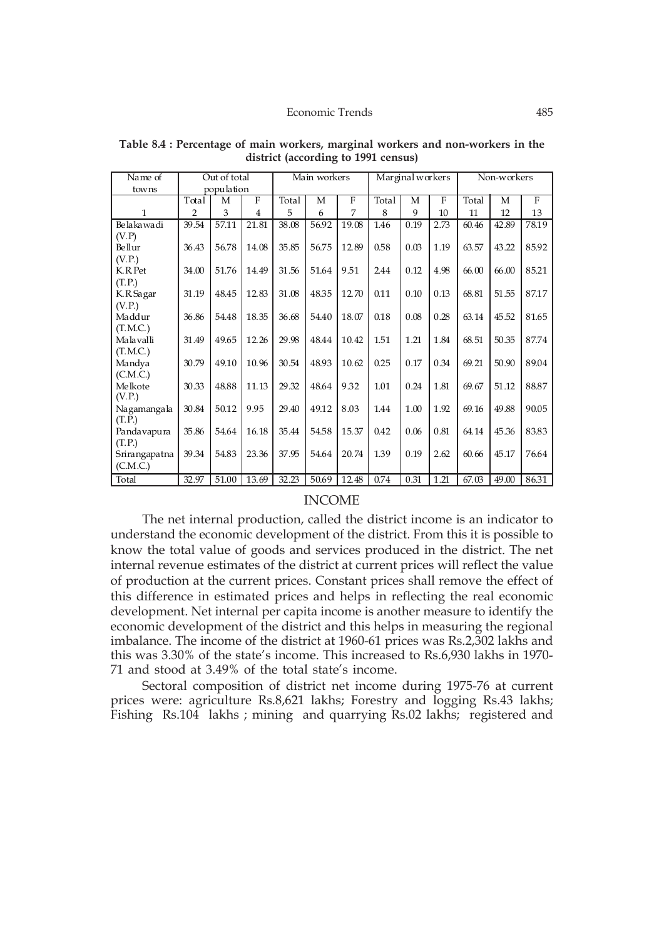| Name of               |                | Out of total |                |       | Main workers |           |       | Marginal workers |           |       | Non-workers |              |
|-----------------------|----------------|--------------|----------------|-------|--------------|-----------|-------|------------------|-----------|-------|-------------|--------------|
| towns                 |                | population   |                |       |              |           |       |                  |           |       |             |              |
|                       | Total          | М            | $\mathbf F$    | Total | М            | ${\bf F}$ | Total | М                | ${\bf F}$ | Total | М           | $\mathbf{F}$ |
| $\mathbf{1}$          | $\overline{2}$ | 3            | $\overline{4}$ | 5     | 6            | 7         | 8     | 9                | 10        | 11    | 12          | 13           |
| Belakawadi            | 39.54          | 57.11        | 21.81          | 38.08 | 56.92        | 19.08     | 1.46  | 0.19             | 2.73      | 60.46 | 42.89       | 78.19        |
| (V.P)                 |                |              |                |       |              |           |       |                  |           |       |             |              |
| Bellur                | 36.43          | 56.78        | 14.08          | 35.85 | 56.75        | 12.89     | 0.58  | 0.03             | 1.19      | 63.57 | 43.22       | 85.92        |
| (V.P.)                |                |              |                |       |              |           |       |                  |           |       |             |              |
| K.R.Pet               | 34.00          | 51.76        | 14.49          | 31.56 | 51.64        | 9.51      | 2.44  | 0.12             | 4.98      | 66.00 | 66.00       | 85.21        |
| (T.P.)                |                |              |                |       |              |           |       |                  |           |       |             |              |
| K.R.Sagar             | 31.19          | 48.45        | 12.83          | 31.08 | 48.35        | 12.70     | 0.11  | 0.10             | 0.13      | 68.81 | 51.55       | 87.17        |
| (V.P.)                |                |              |                |       |              |           |       |                  |           |       |             |              |
| Maddur                | 36.86          | 54.48        | 18.35          | 36.68 | 54.40        | 18.07     | 0.18  | 0.08             | 0.28      | 63.14 | 45.52       | 81.65        |
| (T.M.C.)              |                |              |                |       |              |           |       |                  |           |       |             |              |
| Malavalli             | 31.49          | 49.65        | 12.26          | 29.98 | 48.44        | 10.42     | 1.51  | 1.21             | 1.84      | 68.51 | 50.35       | 87.74        |
| (T.M.C.)              |                |              |                |       |              |           |       |                  |           |       |             |              |
| Mandya                | 30.79          | 49.10        | 10.96          | 30.54 | 48.93        | 10.62     | 0.25  | 0.17             | 0.34      | 69.21 | 50.90       | 89.04        |
| (C.M.C.)              |                |              |                |       |              |           |       |                  |           |       |             |              |
| Melkote               | 30.33          | 48.88        | 11.13          | 29.32 | 48.64        | 9.32      | 1.01  | 0.24             | 1.81      | 69.67 | 51.12       | 88.87        |
| (V.P.)                |                |              |                |       |              |           |       |                  |           |       |             |              |
| Nagamangala<br>(T.P.) | 30.84          | 50.12        | 9.95           | 29.40 | 49.12        | 8.03      | 1.44  | 1.00             | 1.92      | 69.16 | 49.88       | 90.05        |
| Pandavapura           | 35.86          | 54.64        | 16.18          | 35.44 | 54.58        | 15.37     | 0.42  | 0.06             | 0.81      | 64.14 | 45.36       | 83.83        |
| (T.P.)                |                |              |                |       |              |           |       |                  |           |       |             |              |
| Srirangapatna         | 39.34          | 54.83        | 23.36          | 37.95 | 54.64        | 20.74     | 1.39  | 0.19             | 2.62      | 60.66 | 45.17       | 76.64        |
| (C.M.C.)              |                |              |                |       |              |           |       |                  |           |       |             |              |
| Total                 | 32.97          | 51.00        | 13.69          | 32.23 | 50.69        | 12.48     | 0.74  | 0.31             | 1.21      | 67.03 | 49.00       | 86.31        |

**Table 8.4 : Percentage of main workers, marginal workers and non-workers in the district (according to 1991 census)**

### INCOME

The net internal production, called the district income is an indicator to understand the economic development of the district. From this it is possible to know the total value of goods and services produced in the district. The net internal revenue estimates of the district at current prices will reflect the value of production at the current prices. Constant prices shall remove the effect of this difference in estimated prices and helps in reflecting the real economic development. Net internal per capita income is another measure to identify the economic development of the district and this helps in measuring the regional imbalance. The income of the district at 1960-61 prices was Rs.2,302 lakhs and this was 3.30% of the state's income. This increased to Rs.6,930 lakhs in 1970- 71 and stood at 3.49% of the total state's income.

Sectoral composition of district net income during 1975-76 at current prices were: agriculture Rs.8,621 lakhs; Forestry and logging Rs.43 lakhs; Fishing Rs.104 lakhs; mining and quarrying Rs.02 lakhs; registered and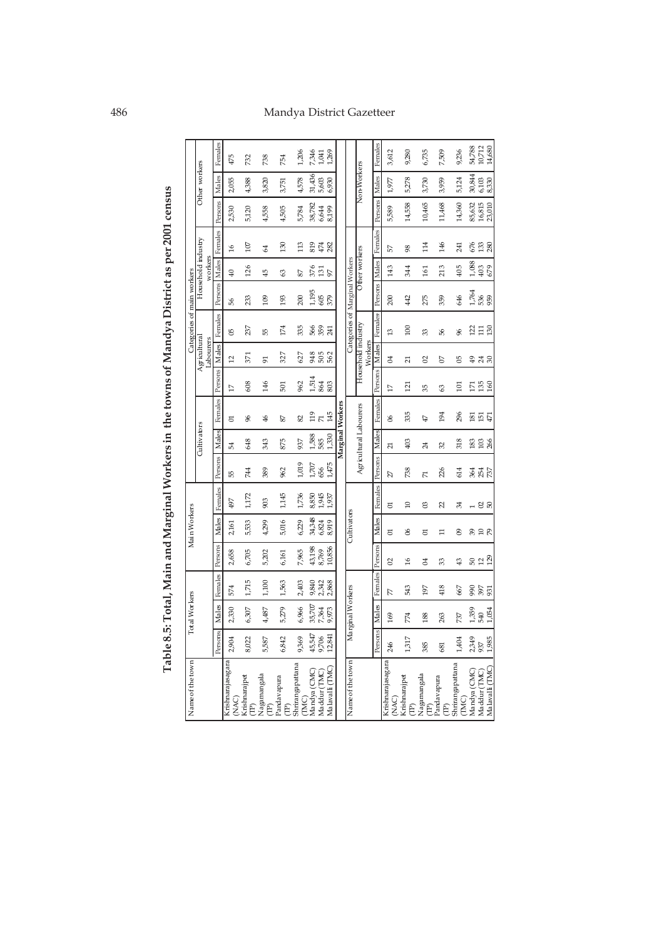# 486 Mandya District Gazetteer

|                                                        |              |                      |            |               |              |         |                  |                        |                         |                                           |                                  | Table 8.5: Total, Main and Marginal Workers in the towns of Mandya District as per 2001 census |                       |                    |               |                  |                |                                                 |
|--------------------------------------------------------|--------------|----------------------|------------|---------------|--------------|---------|------------------|------------------------|-------------------------|-------------------------------------------|----------------------------------|------------------------------------------------------------------------------------------------|-----------------------|--------------------|---------------|------------------|----------------|-------------------------------------------------|
| Name of the town                                       |              | <b>Total Workers</b> |            |               | Main Workers |         |                  |                        |                         |                                           |                                  | Categories of main workers                                                                     |                       |                    |               |                  |                |                                                 |
|                                                        |              |                      |            |               |              |         |                  | Cultivators            |                         |                                           | Agricultural<br><b>Labourers</b> |                                                                                                |                       | Household industry |               |                  | Other workers  |                                                 |
|                                                        | Persons      | Males                | Females    | Persons       | Males        | Females | Persons Males    |                        | Females                 | Persons Males                             |                                  | Females                                                                                        | Persons Males Females | workers            |               | Persons          | Males          | Females                                         |
| Krishnarajasagara                                      | 2,904        | 2,330                | 574        | 2,658         | 2,161        | 497     | 55               | Ľ,                     | 5                       | H                                         | $\overline{12}$                  | පි                                                                                             | 9g                    | ą,                 | $\frac{6}{2}$ | 2,530            | 2,055          | 475                                             |
| (NAC)                                                  |              |                      |            |               |              |         |                  |                        |                         |                                           |                                  |                                                                                                |                       |                    |               |                  |                |                                                 |
| Krishnarajpet<br>$\widehat{\boxplus}$                  | 8,022        | 6,307                | 1,715      | 6,705         | 5,533        | 1,172   | 744              | 648                    | 96                      | 608                                       | 371                              | 237                                                                                            | 233                   | 126                | 107           | 5,120            | 4,388          | 732                                             |
| Nagamangala<br>$\widehat{\mathbb{E}}$                  | 5,587        | 4,487                | 1,100      | 5,202         | 4,299        | 903     | 389              | 343                    | $\frac{4}{6}$           | 146                                       | 51                               | B,                                                                                             | 109                   | $\overline{4}$     | 2             | 4,558            | 3,820          | 738                                             |
| Pandavapura<br>$\widehat{E}$                           | 6,842        | 5,279                | 1,563      | 6,161         | 5,016        | 1,145   | 962              | 875                    | 22                      | 501                                       | 327                              | 174                                                                                            | 193                   | 3                  | 130           | 4,505            | 3,751          | 754                                             |
| Shrirangapattana<br>(MC)                               | 9,369        | 6,966                | 2,403      | 7,965         | 6,229        | 1,736   | 1,019            | 937                    | 82                      | 962                                       | 627                              | 335                                                                                            | 200                   | 22                 | 113           | 5,784            | 4,578          | 1,206                                           |
| Mandya (CMC)                                           | 45,547       | 35,707               | 9,840      | 43,198        | 34,348       | 8,850   | $1,707\,$        | 1,588                  | 119                     | 1,514                                     | 948                              |                                                                                                | 1,195                 | 376                | 819           | 38,782           | 31,436         | 7,346                                           |
| Maddur (TMC)                                           | 9,706        | 7,364                | 2,342      | 8,769         | 6,824        | 1,945   | 656              | 585                    | K                       | <b>864</b><br>803                         | 505<br>562                       | 56<br>53<br>31                                                                                 | 605                   | $\frac{131}{97}$   | $474\,$       | 6,644            | 5,603          | 1,041                                           |
| Ma lavalli (TMC)                                       | 12,841       | 9,973                | 2,868      | 10,856        | 8,919        | 1,937   | 1,475            | 1,330                  | 145                     |                                           |                                  |                                                                                                |                       |                    | 282           | 8,199            | 6,930          | 1,269                                           |
|                                                        |              |                      |            |               |              |         |                  | Marginal Workers       |                         |                                           |                                  |                                                                                                |                       |                    |               |                  |                |                                                 |
| Name of the town                                       |              | Marginal Workers     |            |               | Cultivators  |         |                  |                        |                         |                                           |                                  | Categories of Marginal Workers                                                                 |                       |                    |               |                  |                |                                                 |
|                                                        |              |                      |            |               |              |         |                  | Agricultural Labourers |                         |                                           | Household industry<br>Workers    |                                                                                                |                       | Other workers      |               |                  | Non-Workers    |                                                 |
|                                                        | Persons      | Males                | Females    | Persons       | Males        | Females | Persons          | Males                  | Females                 | Persons                                   | Males                            | Females                                                                                        | Persons Males         |                    | Females       | Persons          | Males          | Females                                         |
| Krishnarajasagara<br>(NAC)                             | 246          | 169                  | K          | 2             | 5            | 5       | 27               | Z                      | 8                       | IJ                                        | $\overline{04}$                  | $\mathfrak{a}$                                                                                 | 200                   | 143                | 57            | 5,589            | 1,977          | 3,612                                           |
| Krishnarajpet<br>$\widehat{\boxplus}$                  | 1,317        | 774                  | 543        | $\frac{6}{2}$ | 8            | $\Xi$   | 738              | 403                    | 335                     | 121                                       | $\overline{21}$                  | 100                                                                                            | 42                    | 344                | 98            | 14,558           | 5,278          | 9,280                                           |
| Nagamangala $\begin{pmatrix} \mathbf{T} \end{pmatrix}$ | 385          | 188                  | 197        | \$            | 5            | 8       | N                | $\overline{24}$        | 47                      | 95                                        | $\Omega$                         | 33                                                                                             | 275                   | 161                | 114           | 10,465           | 3,730          | 6,735                                           |
| Pandavapura<br>$\widehat{E}$                           | 681          | 263                  | 418        | 33            | $\Xi$        | Z       | 226              | 32                     | 194                     | 3                                         | 5                                | 95                                                                                             | 359                   | 213                | 146           | 11,468           | 3,959          | 7,509                                           |
| Shrirangapattana<br>(MC)                               | 1,404        | 737                  | 667        | $\frac{3}{2}$ | 8            | रू      | 614              | 318                    | 296                     | $\Xi$                                     | 95                               | æ                                                                                              | 646                   | 405                | 241           | 14,360           | 5,124          | 9,236                                           |
| Mandya (CMC)                                           | 2,349        | 1,359                | 990        |               | 39           |         |                  | 183                    | $\overline{\mathrm{g}}$ | $\overline{\Gamma}$                       |                                  |                                                                                                | 1,764                 | 1,088              | 676           | 85,632           | 30,844         | 54,788                                          |
| Ma lavalli (TMC)<br>Maddur (TMC)                       | 1,985<br>937 | 1,054<br>540         | 397<br>931 | ន ដង          | $20^{2}$     | – 8 ន   | 364<br>367<br>27 | 103<br>266             | <b>臣皇</b>               | $\begin{array}{c} 135 \\ 160 \end{array}$ | ್ತಿ ಸೆ ನಿ                        | 2118                                                                                           | 53<br>959             | 403<br>679         | 133<br>280    | 16,815<br>23,010 | 8,330<br>6,103 | $\begin{array}{c} 10,712 \\ 14,680 \end{array}$ |
|                                                        |              |                      |            |               |              |         |                  |                        |                         |                                           |                                  |                                                                                                |                       |                    |               |                  |                |                                                 |

Table 8.5: Total, Main and Marginal Workers in the towns of Mandya District as per 2001 census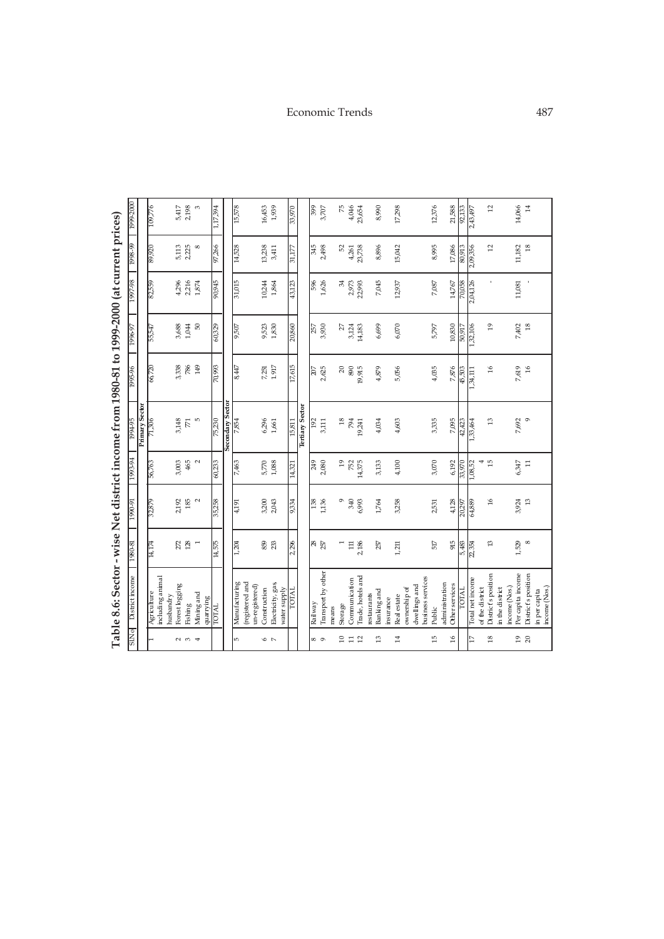|                      | Table 8.6: Sector - wise Net district income from 1980-81 to 1999-2000 (at current prices) |                |                     |                 |                     |                 |             |          |               |                 |
|----------------------|--------------------------------------------------------------------------------------------|----------------|---------------------|-----------------|---------------------|-----------------|-------------|----------|---------------|-----------------|
| <b>PNTS</b>          | District income                                                                            | 1980-81        | I <sub>6</sub> -066 | $1993 - 94$     | 1994-95             | 1995-96         | 1996-97     | 1997-98  | $0.98 - 0.00$ | 1999-2000       |
|                      |                                                                                            |                |                     |                 | Primary Sector      |                 |             |          |               |                 |
|                      | including animal<br>Agriculture                                                            | 14,174         | 32,879              | 56,763          | 71,306              | 66,720          | 55,547      | 82,559   | 89,920        | 109,776         |
|                      | husbandry                                                                                  |                |                     |                 |                     |                 |             |          |               |                 |
|                      | Forest logging                                                                             | 272            | 2192                | 3,003           | 3,148               | 3,338           | 3,688       | 4,296    | 5,113         | 5,417           |
| $\sim$ $\sim$ $\sim$ | Fishing                                                                                    | 128            | 185                 | 465             | $\overline{\kappa}$ | 786             | 1,044       | 2,216    | 2,225         | 2,198           |
|                      | Mining and<br>quarrying                                                                    | $\overline{ }$ | $\sim$              |                 | LO <sub>1</sub>     | $\overline{49}$ | 8           | 1,874    | $\infty$      |                 |
|                      | <b>INIOI</b>                                                                               | 14,575         | 35,258              | 60,233          | 75,230              | 70,993          | 60,329      | 90,945   | 97,266        | 1,17,394        |
|                      |                                                                                            |                |                     |                 | Secondary Sector    |                 |             |          |               |                 |
| ю                    | Manufacturing                                                                              | 1,204          | 4,191               | 7,463           | 7,854               | 8,447           | 9,507       | 31,015   | 14,528        | 15,578          |
|                      | (registered and                                                                            |                |                     |                 |                     |                 |             |          |               |                 |
|                      | un-registered)                                                                             |                |                     |                 |                     |                 |             |          |               |                 |
| $\circ$ $\sim$       | Construction                                                                               | 859            | 3,200               | 5,770           | 6,296               | 7,251           | 9,523       | 10,244   | 13,238        | 16,453          |
|                      | Electricity, gas,<br>water supply                                                          | 233            | 2,043               | 1,088           | 1,661               | 1.917           | 1,830       | 1,864    | 3,411         | 1,939           |
|                      | TOTAL                                                                                      |                | 9,334               | 14,321          | 15,811              |                 | 20,860      | 43,123   | 31,177        | 33,970          |
|                      |                                                                                            | 2,296          |                     |                 | Tertiary Sector     | 17,615          |             |          |               |                 |
|                      |                                                                                            |                |                     |                 |                     |                 |             |          |               |                 |
| ∞ ာ                  | Railway                                                                                    | 28             | 138                 | 249             | 192                 | 207             | 257         | 96       | 516           | 666             |
|                      | Transport by other                                                                         | 257            | 1,136               | 2,080           | 3,111               | 2,625           | 3,930       | 1,626    | 2,498         | 3,707           |
|                      | means                                                                                      |                |                     |                 |                     |                 |             |          |               |                 |
| $\overline{a}$       | Storage                                                                                    |                | ó                   | $\overline{c}$  | $^{18}$             | $\approx$       | 27          | R,       | 52            | 52              |
| $\mathbb{I}$         | Communication                                                                              | $\Xi$          | 340                 | 752<br>14,375   | 794                 | 890             | 3,124       | 2,973    | 4,261         | 4,046           |
| 12                   | Trade, hotels and                                                                          | 2,186          | 6,993               |                 | 19,241              | 19,915          | 14,183      | 22,993   | 23,738        | 23,654          |
| $\frac{3}{2}$        | Banking and<br>restaurants                                                                 | 257            | 1,764               | 3,133           | 4,034               | 4,879           | 6,699       | 7,045    | 8,896         | 8,990           |
|                      | insurance                                                                                  |                |                     |                 |                     |                 |             |          |               |                 |
| $\overline{14}$      | Real estate                                                                                | 1,211          | 3,258               | 4,100           | 4,603               | 5,056           | $6,\!0\!70$ | 12,937   | 15,042        | 17,298          |
|                      | ownership of                                                                               |                |                     |                 |                     |                 |             |          |               |                 |
|                      | dwellings and                                                                              |                |                     |                 |                     |                 |             |          |               |                 |
| 15                   | business services<br>Public                                                                | $517\,$        | 2,531               | 3,070           | 3,335               | 4,035           | 5,797       | 7,087    | 8,995         | 12,376          |
|                      | administration                                                                             |                |                     |                 |                     |                 |             |          |               |                 |
| 16                   | <b>Otherservices</b>                                                                       | 915            | 4,128               | 6,192           | 7,095               | 7,876           | 10,830      | $14,767$ | 17,086        | 21,588          |
|                      | <b>LOTAL</b>                                                                               | 5,483          | 20,297              | 33,970          | 42,423              | 45,503          | 50,917      | 70,058   | 80,913        | 92,133          |
| 17                   | Total net income                                                                           | 22,354         | 64,889              | 1,08,52         | 1,33,464            | 1,34,111        | 1,32,106    | 2,04,126 | 2,09,356      | 2,43,497        |
|                      | of the district                                                                            |                |                     | 4               |                     |                 |             |          |               |                 |
| $^{18}$              | District's position                                                                        | 13             | 9Ľ                  | $\overline{10}$ | 13                  | $\frac{6}{2}$   | $^{19}$     | ï        | 12            | $\overline{12}$ |
|                      | in the district                                                                            |                |                     |                 |                     |                 |             |          |               |                 |
| 19                   | Per capita income<br>income (Nos.)                                                         | 1,529          | 3,924               | 6,347           | 7,692               | 7,619           | 7,402       | 11,081   | 11,182        | 14,066          |
| $_{20}$              | District's position                                                                        | $\infty$       | B                   | $\Xi$           | $\circ$             | $\frac{6}{2}$   | 18          |          | $\frac{8}{2}$ | $\overline{14}$ |
|                      | income (Nos.)<br>in per capita                                                             |                |                     |                 |                     |                 |             |          |               |                 |
|                      |                                                                                            |                |                     |                 |                     |                 |             |          |               |                 |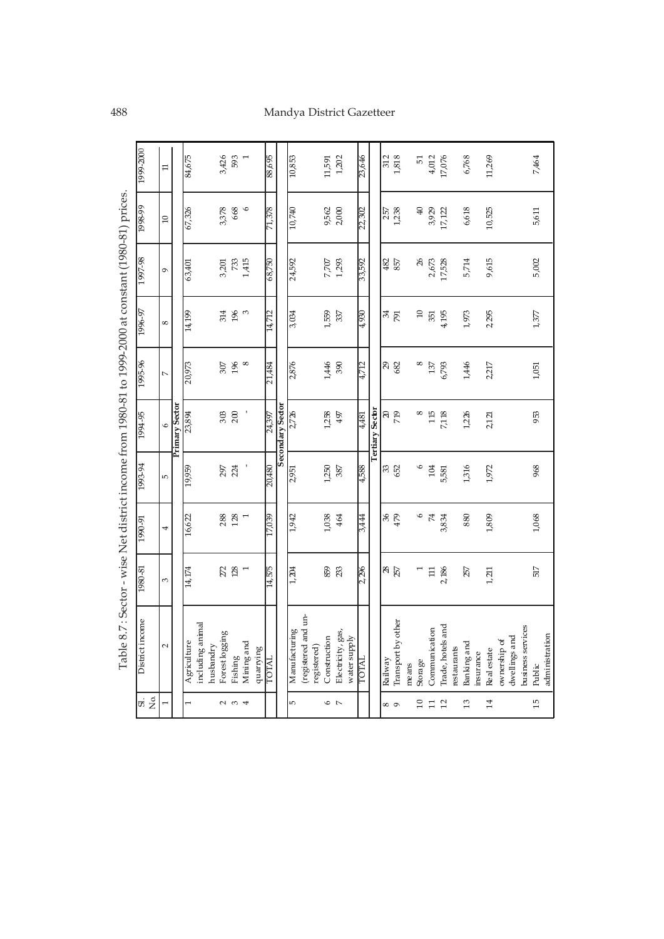# 488 Mandya District Gazetteer

|                          | Table 8.7 : Sector - wise Net district income from 1980-81 to 1999-2000 at constant (1980-81) prices. |                  |                  |           |                  |                  |                   |                |                       |                     |
|--------------------------|-------------------------------------------------------------------------------------------------------|------------------|------------------|-----------|------------------|------------------|-------------------|----------------|-----------------------|---------------------|
| ದ<br>ನ                   | District income                                                                                       | 1980-81          | 1990-91          | 1993-94   | 1994-95          | 1995-96          | 1996-97           | 1997-98        | 1998-99               | 1999-2000           |
|                          | $\sim$                                                                                                | 3                | 4                | LO.       | $\circ$          | $\overline{a}$   | ${}^{\circ}$      | $\sigma$       | $\Omega$              | $\Xi$               |
|                          |                                                                                                       |                  |                  |           | Primary Sector   |                  |                   |                |                       |                     |
|                          | Agriculture                                                                                           | 14,174           | 16,622           | 19,959    | 23,894           | 20,973           | 14,199            | 63,401         | 67,326                | 84,675              |
|                          | including animal                                                                                      |                  |                  |           |                  |                  |                   |                |                       |                     |
|                          | husbandry                                                                                             |                  |                  |           |                  |                  |                   |                |                       |                     |
| $\sim$ $\sim$            | Forest logging                                                                                        | 272              | 288              | 297       | 303              | 307              | 314               |                | 3,378                 | 3,426               |
|                          | $Fix\mathrm{hing}$                                                                                    | 128              | 128              | 224       | 200              | 196              | $\frac{1}{2}$     | 3,201          | 668                   | 593                 |
| $\overline{\phantom{a}}$ | Mining and                                                                                            | $\overline{a}$   | $\overline{ }$   |           |                  | 8                | $\mathfrak{S}$    | 1,415          | $\tilde{\phantom{a}}$ | $\overline{ }$      |
|                          | guarying                                                                                              |                  |                  |           |                  |                  |                   |                |                       |                     |
|                          | <b>LOTAL</b>                                                                                          | 14,575           | 17,039           | 20,480    | 24,397           | 21,484           | 14,712            | 68,750         | 71,378                | 88,695              |
|                          |                                                                                                       |                  |                  |           | Secondary Sector |                  |                   |                |                       |                     |
| Б                        | Manufacturing                                                                                         | 1,204            | 1,942            | 2,951     | 2,726            | 2,876            | 3,034             | 24,592         | 10,740                | 10,853              |
|                          | (registered and un-                                                                                   |                  |                  |           |                  |                  |                   |                |                       |                     |
|                          | registered)                                                                                           |                  |                  |           |                  |                  |                   |                |                       |                     |
| $\circ$                  | Construction                                                                                          | 859              | 1,038            | 1,250     | 1,258            | 1,446            | 1,559             | 7,707<br>1,293 | 9,562                 | 11,591              |
| $\overline{a}$           | Electricity, gas,                                                                                     | 23               | 464              | 387       | 497              | 390              | 337               |                | 2,000                 | 1,202               |
|                          | water supply                                                                                          |                  |                  |           |                  |                  |                   |                |                       |                     |
|                          | IOTAI                                                                                                 | 2,296            | 3,444            | 4,588     | $\frac{4481}{4}$ | 4,712            | $\frac{0.65}{11}$ | 33,592         | 22,302                | 23,646              |
|                          |                                                                                                       |                  |                  |           | Tertiary Sector  |                  |                   |                |                       |                     |
|                          | Railway                                                                                               | <b>28</b><br>257 |                  |           |                  |                  |                   |                |                       | $\frac{312}{1,818}$ |
| $\infty$                 | Transport by other                                                                                    |                  | $\frac{36}{479}$ | 33<br>652 | ສ<br>ກອ          | $\frac{28}{682}$ | ले ह              | 482<br>857     | 257<br>1,238          |                     |
|                          | means                                                                                                 |                  |                  |           |                  |                  |                   |                |                       |                     |
| $\overline{10}$          | Storage                                                                                               |                  | $\mathsf{o}$     | $\circ$   | ${}^{\circ}$     | $^{\circ}$       | $\Xi$             | $26$           | ₽                     | 51                  |
| $\overline{1}$           | Communication                                                                                         | $\Xi$            | $\overline{7}$   | 104       | 115              | 137              | 551               | 2,673          | 3,929                 | 4,012               |
| 12                       | Irade, hotels and                                                                                     | 2,186            | 3,834            | 5,581     | 7,118            | 6,793            | 4,195             | 17,528         | 17,122                | 17,076              |
|                          | restaurants                                                                                           |                  |                  |           |                  |                  |                   |                |                       |                     |
| $\frac{3}{2}$            | Banking and                                                                                           | 257              | 880              | 1,316     | 1,226            | 1,446            | 1,973             | 5,714          | 6,618                 | 6,768               |
|                          | insurance                                                                                             |                  |                  |           |                  |                  |                   |                |                       |                     |
| 14                       | Real estate                                                                                           | 1,211            | 1,809            | 1,972     | 2,121            | 2,217            | 2,295             | 9,615          | 10,525                | 11,269              |
|                          | ownership of                                                                                          |                  |                  |           |                  |                  |                   |                |                       |                     |
|                          | dwellings and                                                                                         |                  |                  |           |                  |                  |                   |                |                       |                     |
|                          | business services                                                                                     |                  |                  |           |                  |                  |                   |                |                       |                     |
| 15                       | Public                                                                                                | 517              | 1,068            | 968       | 953              | 1,051            | $1,377$           | 5,002          | 5,611                 | 7,464               |
|                          | administration                                                                                        |                  |                  |           |                  |                  |                   |                |                       |                     |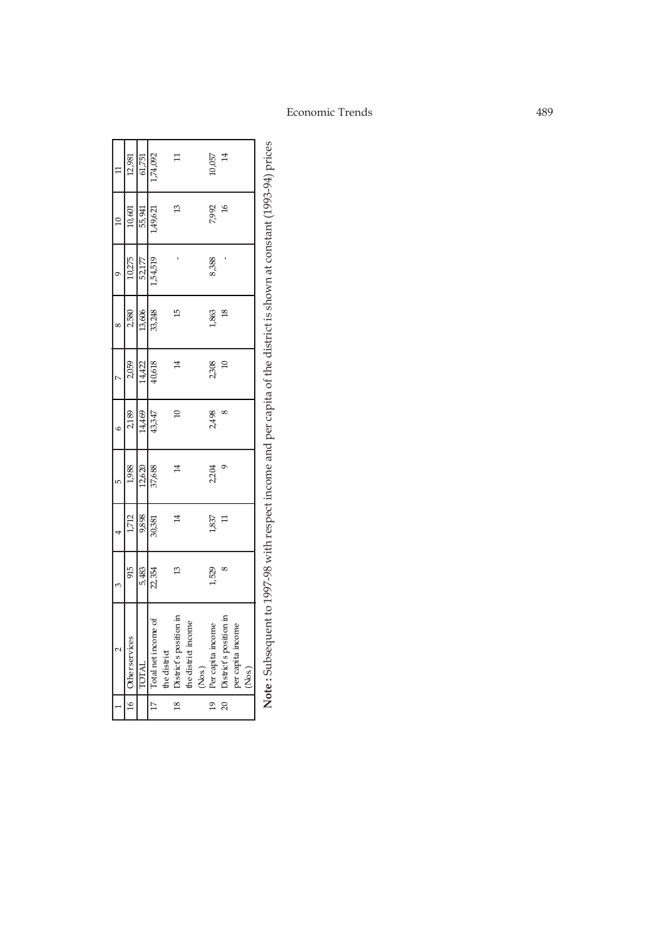| Ξ               | 12,981                | 61,751 | 1,74,092            |              |                        |                     |        | 10,057            | $^{14}$                |                   |        |
|-----------------|-----------------------|--------|---------------------|--------------|------------------------|---------------------|--------|-------------------|------------------------|-------------------|--------|
| $\overline{10}$ | 10,601                | 55,941 | 1,49,621            |              | ₽                      |                     |        | 7,992             | $\tilde{a}$            |                   |        |
| σ               | 10,275                | 52,177 | 1,54,519            |              |                        |                     |        | 8,388             |                        |                   |        |
| $\infty$        | 2,580                 | 13,606 | 33,248              |              | டி                     |                     |        | 1,863             | $^{\circ}$             |                   |        |
| r               | 2,059                 | 14,422 | 40,618              |              | 4                      |                     |        | 2,308             | $\Omega$               |                   |        |
| $\epsilon$      | 2,189                 | 14,469 | 43,347              |              | $\Xi$                  |                     |        | 2,498             |                        |                   |        |
| LŊ              | 1,988                 | 12,620 | 37,688              |              |                        |                     |        | 2,204             |                        |                   |        |
|                 | 1,712                 | 9,898  | 30,381              |              | 4                      |                     |        | 1,837             |                        |                   |        |
| 3               | 915                   | 5,483  | 22,354              |              | $\mathfrak{D}$         |                     |        | 529               |                        |                   |        |
|                 | <b>Other services</b> | TOTAL  | Total net income of | the district | District's position in | the district income | (Nos.) | Per capita income | District's position in | per capita income | (Nos.) |
|                 | $\frac{16}{1}$        |        | 17 <sub>1</sub>     |              | $\frac{8}{18}$         |                     |        | $\frac{9}{2}$     | 20 <sub>1</sub>        |                   |        |

Note: Subsequent to 1997-98 with respect income and per capita of the district is shown at constant (1993-94) prices **Note :** Subsequent to 1997-98 with respect income and per capita of the district is shown at constant (1993-94) prices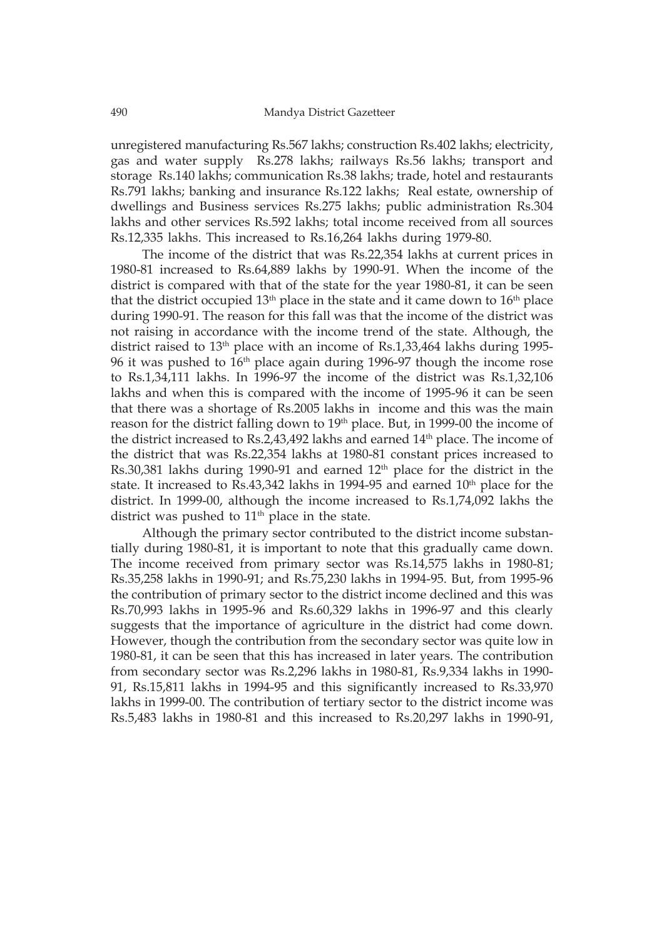unregistered manufacturing Rs.567 lakhs; construction Rs.402 lakhs; electricity, gas and water supply Rs.278 lakhs; railways Rs.56 lakhs; transport and storage Rs.140 lakhs; communication Rs.38 lakhs; trade, hotel and restaurants Rs.791 lakhs; banking and insurance Rs.122 lakhs; Real estate, ownership of dwellings and Business services Rs.275 lakhs; public administration Rs.304 lakhs and other services Rs.592 lakhs; total income received from all sources Rs.12,335 lakhs. This increased to Rs.16,264 lakhs during 1979-80.

The income of the district that was Rs.22,354 lakhs at current prices in 1980-81 increased to Rs.64,889 lakhs by 1990-91. When the income of the district is compared with that of the state for the year 1980-81, it can be seen that the district occupied  $13<sup>th</sup>$  place in the state and it came down to  $16<sup>th</sup>$  place during 1990-91. The reason for this fall was that the income of the district was not raising in accordance with the income trend of the state. Although, the district raised to  $13<sup>th</sup>$  place with an income of Rs.1,33,464 lakhs during 1995-96 it was pushed to 16<sup>th</sup> place again during 1996-97 though the income rose to Rs.1,34,111 lakhs. In 1996-97 the income of the district was Rs.1,32,106 lakhs and when this is compared with the income of 1995-96 it can be seen that there was a shortage of Rs.2005 lakhs in income and this was the main reason for the district falling down to 19<sup>th</sup> place. But, in 1999-00 the income of the district increased to Rs.2,43,492 lakhs and earned  $14<sup>th</sup>$  place. The income of the district that was Rs.22,354 lakhs at 1980-81 constant prices increased to Rs.30,381 lakhs during 1990-91 and earned 12<sup>th</sup> place for the district in the state. It increased to Rs.43,342 lakhs in 1994-95 and earned  $10<sup>th</sup>$  place for the district. In 1999-00, although the income increased to Rs.1,74,092 lakhs the district was pushed to  $11<sup>th</sup>$  place in the state.

Although the primary sector contributed to the district income substantially during 1980-81, it is important to note that this gradually came down. The income received from primary sector was Rs.14,575 lakhs in 1980-81; Rs.35,258 lakhs in 1990-91; and Rs.75,230 lakhs in 1994-95. But, from 1995-96 the contribution of primary sector to the district income declined and this was Rs.70,993 lakhs in 1995-96 and Rs.60,329 lakhs in 1996-97 and this clearly suggests that the importance of agriculture in the district had come down. However, though the contribution from the secondary sector was quite low in 1980-81, it can be seen that this has increased in later years. The contribution from secondary sector was Rs.2,296 lakhs in 1980-81, Rs.9,334 lakhs in 1990- 91, Rs.15,811 lakhs in 1994-95 and this significantly increased to Rs.33,970 lakhs in 1999-00. The contribution of tertiary sector to the district income was Rs.5,483 lakhs in 1980-81 and this increased to Rs.20,297 lakhs in 1990-91,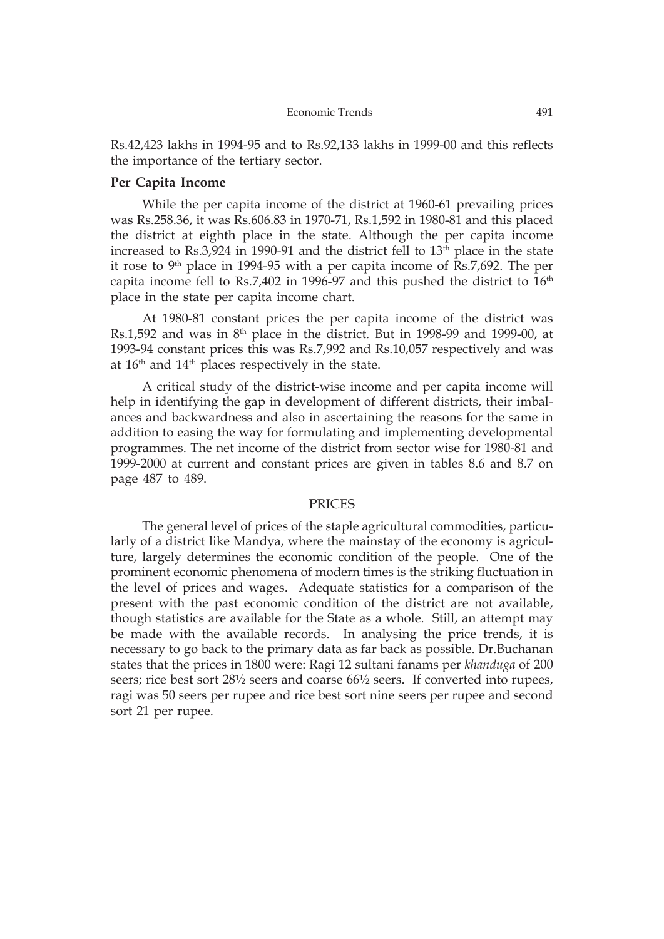Rs.42,423 lakhs in 1994-95 and to Rs.92,133 lakhs in 1999-00 and this reflects the importance of the tertiary sector.

## **Per Capita Income**

While the per capita income of the district at 1960-61 prevailing prices was Rs.258.36, it was Rs.606.83 in 1970-71, Rs.1,592 in 1980-81 and this placed the district at eighth place in the state. Although the per capita income increased to Rs.3,924 in 1990-91 and the district fell to  $13<sup>th</sup>$  place in the state it rose to  $9<sup>th</sup>$  place in 1994-95 with a per capita income of Rs.7,692. The per capita income fell to Rs.7,402 in 1996-97 and this pushed the district to 16<sup>th</sup> place in the state per capita income chart.

At 1980-81 constant prices the per capita income of the district was Rs.1,592 and was in  $8<sup>th</sup>$  place in the district. But in 1998-99 and 1999-00, at 1993-94 constant prices this was Rs.7,992 and Rs.10,057 respectively and was at  $16<sup>th</sup>$  and  $14<sup>th</sup>$  places respectively in the state.

A critical study of the district-wise income and per capita income will help in identifying the gap in development of different districts, their imbalances and backwardness and also in ascertaining the reasons for the same in addition to easing the way for formulating and implementing developmental programmes. The net income of the district from sector wise for 1980-81 and 1999-2000 at current and constant prices are given in tables 8.6 and 8.7 on page 487 to 489.

### PRICES

The general level of prices of the staple agricultural commodities, particularly of a district like Mandya, where the mainstay of the economy is agriculture, largely determines the economic condition of the people. One of the prominent economic phenomena of modern times is the striking fluctuation in the level of prices and wages. Adequate statistics for a comparison of the present with the past economic condition of the district are not available, though statistics are available for the State as a whole. Still, an attempt may be made with the available records. In analysing the price trends, it is necessary to go back to the primary data as far back as possible. Dr.Buchanan states that the prices in 1800 were: Ragi 12 sultani fanams per *khanduga* of 200 seers; rice best sort 28½ seers and coarse 66½ seers. If converted into rupees, ragi was 50 seers per rupee and rice best sort nine seers per rupee and second sort 21 per rupee.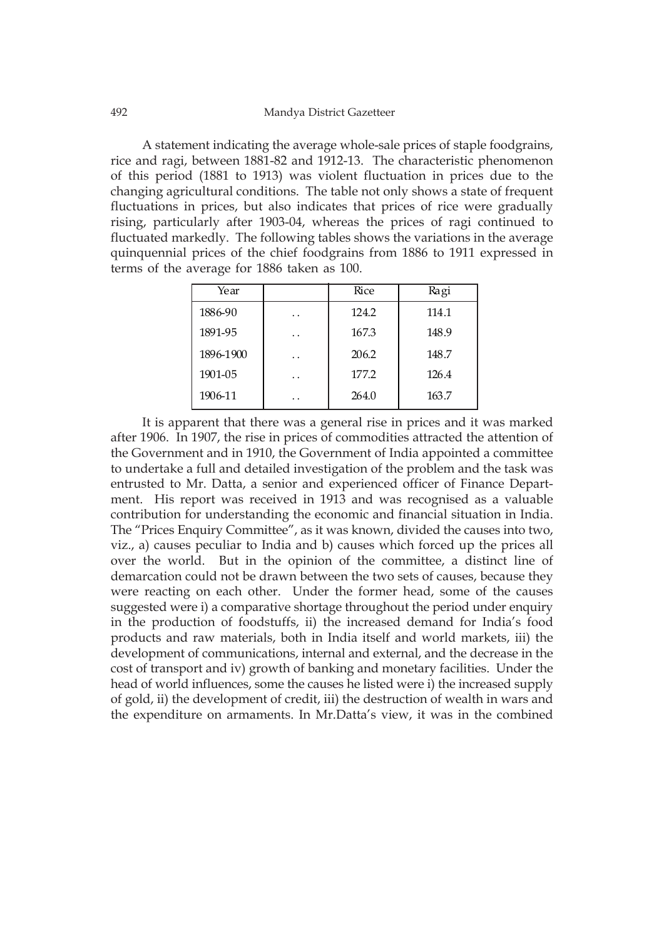A statement indicating the average whole-sale prices of staple foodgrains, rice and ragi, between 1881-82 and 1912-13. The characteristic phenomenon of this period (1881 to 1913) was violent fluctuation in prices due to the changing agricultural conditions. The table not only shows a state of frequent fluctuations in prices, but also indicates that prices of rice were gradually rising, particularly after 1903-04, whereas the prices of ragi continued to fluctuated markedly. The following tables shows the variations in the average quinquennial prices of the chief foodgrains from 1886 to 1911 expressed in terms of the average for 1886 taken as 100.

| Year      |     | Rice  | Ragi  |
|-----------|-----|-------|-------|
| 1886-90   | . . | 124.2 | 114.1 |
| 1891-95   | . . | 167.3 | 148.9 |
| 1896-1900 | . . | 206.2 | 148.7 |
| 1901-05   | . . | 177.2 | 126.4 |
| 1906-11   | . . | 264.0 | 163.7 |

It is apparent that there was a general rise in prices and it was marked after 1906. In 1907, the rise in prices of commodities attracted the attention of the Government and in 1910, the Government of India appointed a committee to undertake a full and detailed investigation of the problem and the task was entrusted to Mr. Datta, a senior and experienced officer of Finance Department. His report was received in 1913 and was recognised as a valuable contribution for understanding the economic and financial situation in India. The "Prices Enquiry Committee", as it was known, divided the causes into two, viz., a) causes peculiar to India and b) causes which forced up the prices all over the world. But in the opinion of the committee, a distinct line of demarcation could not be drawn between the two sets of causes, because they were reacting on each other. Under the former head, some of the causes suggested were i) a comparative shortage throughout the period under enquiry in the production of foodstuffs, ii) the increased demand for India's food products and raw materials, both in India itself and world markets, iii) the development of communications, internal and external, and the decrease in the cost of transport and iv) growth of banking and monetary facilities. Under the head of world influences, some the causes he listed were i) the increased supply of gold, ii) the development of credit, iii) the destruction of wealth in wars and the expenditure on armaments. In Mr.Datta's view, it was in the combined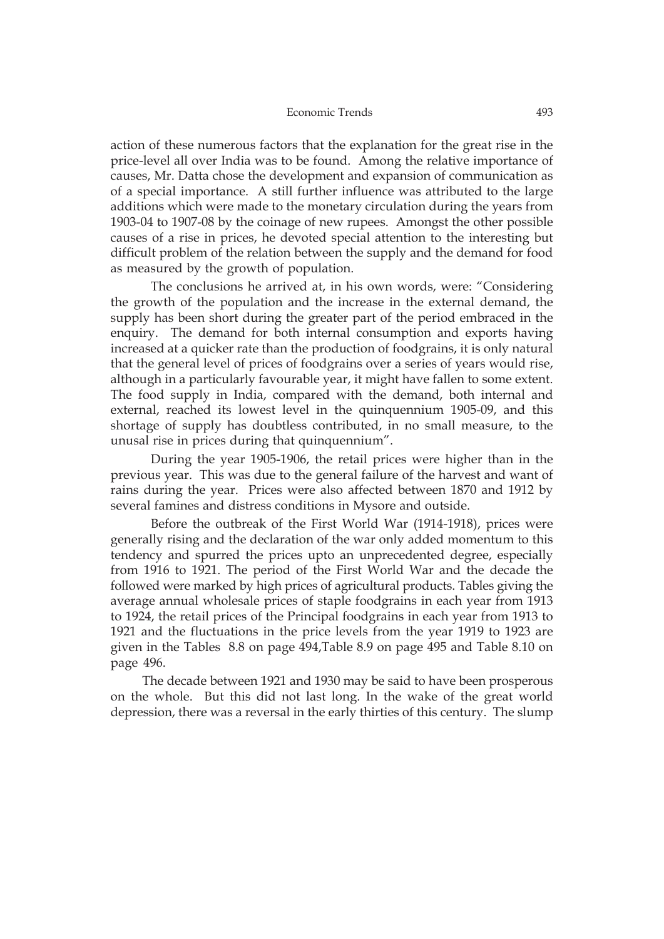#### Economic Trends 493

action of these numerous factors that the explanation for the great rise in the price-level all over India was to be found. Among the relative importance of causes, Mr. Datta chose the development and expansion of communication as of a special importance. A still further influence was attributed to the large additions which were made to the monetary circulation during the years from 1903-04 to 1907-08 by the coinage of new rupees. Amongst the other possible causes of a rise in prices, he devoted special attention to the interesting but difficult problem of the relation between the supply and the demand for food as measured by the growth of population.

The conclusions he arrived at, in his own words, were: "Considering the growth of the population and the increase in the external demand, the supply has been short during the greater part of the period embraced in the enquiry. The demand for both internal consumption and exports having increased at a quicker rate than the production of foodgrains, it is only natural that the general level of prices of foodgrains over a series of years would rise, although in a particularly favourable year, it might have fallen to some extent. The food supply in India, compared with the demand, both internal and external, reached its lowest level in the quinquennium 1905-09, and this shortage of supply has doubtless contributed, in no small measure, to the unusal rise in prices during that quinquennium".

During the year 1905-1906, the retail prices were higher than in the previous year. This was due to the general failure of the harvest and want of rains during the year. Prices were also affected between 1870 and 1912 by several famines and distress conditions in Mysore and outside.

Before the outbreak of the First World War (1914-1918), prices were generally rising and the declaration of the war only added momentum to this tendency and spurred the prices upto an unprecedented degree, especially from 1916 to 1921. The period of the First World War and the decade the followed were marked by high prices of agricultural products. Tables giving the average annual wholesale prices of staple foodgrains in each year from 1913 to 1924, the retail prices of the Principal foodgrains in each year from 1913 to 1921 and the fluctuations in the price levels from the year 1919 to 1923 are given in the Tables 8.8 on page 494,Table 8.9 on page 495 and Table 8.10 on page 496.

The decade between 1921 and 1930 may be said to have been prosperous on the whole. But this did not last long. In the wake of the great world depression, there was a reversal in the early thirties of this century. The slump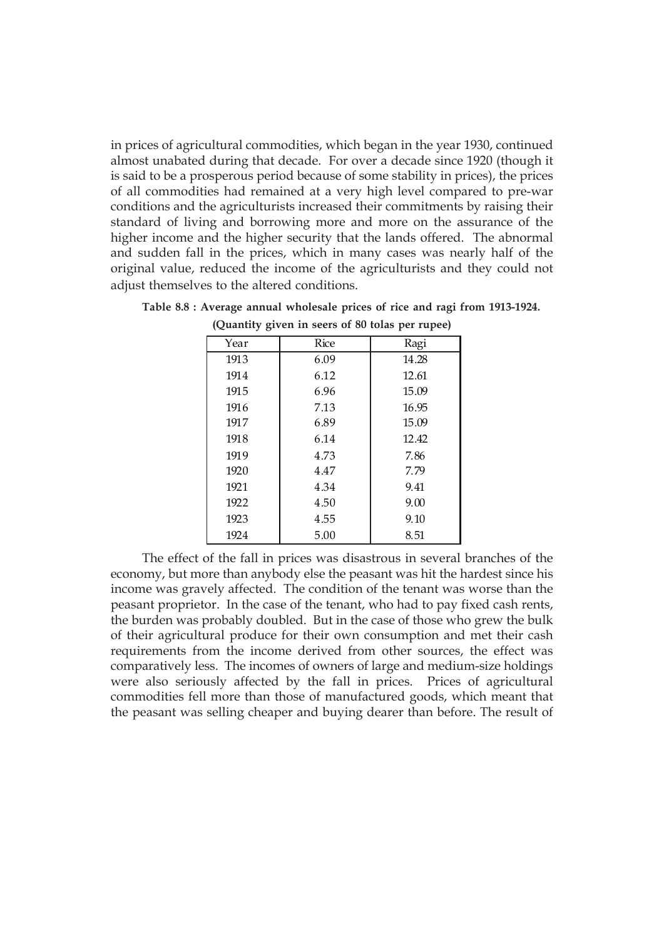in prices of agricultural commodities, which began in the year 1930, continued almost unabated during that decade. For over a decade since 1920 (though it is said to be a prosperous period because of some stability in prices), the prices of all commodities had remained at a very high level compared to pre-war conditions and the agriculturists increased their commitments by raising their standard of living and borrowing more and more on the assurance of the higher income and the higher security that the lands offered. The abnormal and sudden fall in the prices, which in many cases was nearly half of the original value, reduced the income of the agriculturists and they could not adjust themselves to the altered conditions.

| Year | Rice | Ragi  |
|------|------|-------|
| 1913 | 6.09 | 14.28 |
| 1914 | 6.12 | 12.61 |
| 1915 | 6.96 | 15.09 |
| 1916 | 7.13 | 16.95 |
| 1917 | 6.89 | 15.09 |
| 1918 | 6.14 | 12.42 |
| 1919 | 4.73 | 7.86  |
| 1920 | 4.47 | 7.79  |
| 1921 | 4.34 | 9.41  |
| 1922 | 4.50 | 9.00  |
| 1923 | 4.55 | 9.10  |
| 1924 | 5.00 | 8.51  |

**Table 8.8 : Average annual wholesale prices of rice and ragi from 1913-1924.**

|                                                                                 | 1923 | 4.55 | 9.10 |                                                                            |
|---------------------------------------------------------------------------------|------|------|------|----------------------------------------------------------------------------|
|                                                                                 | 1924 | 5.00 | 8.51 |                                                                            |
|                                                                                 |      |      |      | The effect of the fall in prices was disastrous in several branches of the |
| economy, but more than any body else the peasant was hit the hardest since his  |      |      |      |                                                                            |
| income was gravely affected. The condition of the tenant was worse than the     |      |      |      |                                                                            |
| peasant proprietor. In the case of the tenant, who had to pay fixed cash rents, |      |      |      |                                                                            |
| the burden was probably doubled. But in the case of those who grew the bulk     |      |      |      |                                                                            |
| of their agricultural produce for their own consumption and met their cash      |      |      |      |                                                                            |
| requirements from the income derived from other sources, the effect was         |      |      |      |                                                                            |
| comparatively less. The incomes of owners of large and medium-size holdings     |      |      |      |                                                                            |
| were also seriously affected by the fall in prices. Prices of agricultural      |      |      |      |                                                                            |
| commodities fell more than those of manufactured goods, which meant that        |      |      |      |                                                                            |

the peasant was selling cheaper and buying dearer than before. The result of

**(Quantity given in seers of 80 tolas per rupee)**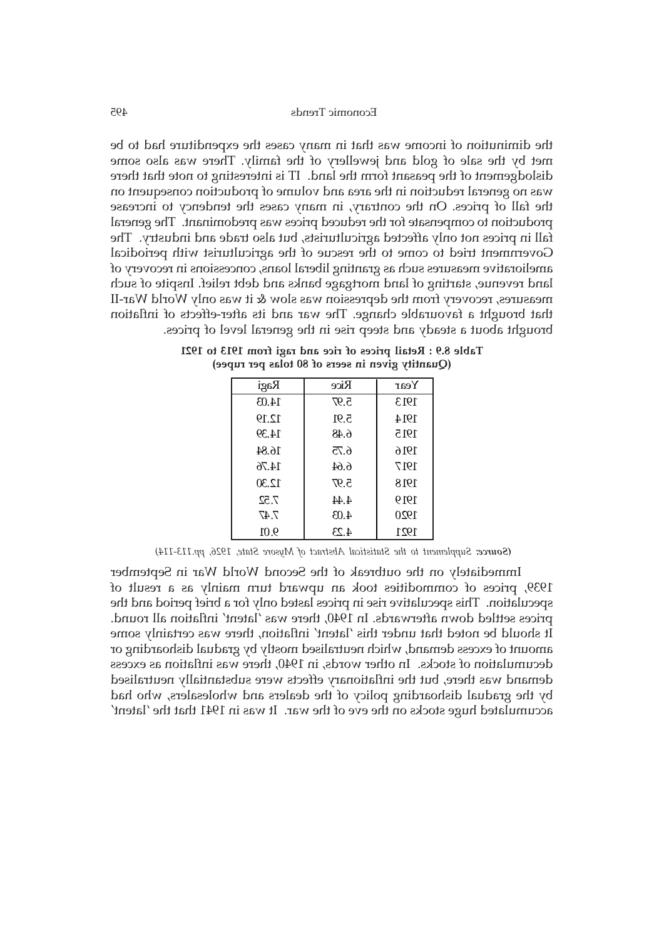the diminution of income was that in many cases the expenditure had to be met by the sale of gold and jewellery of the family. There was also some dislodgement of the peasant form the land. IT is interesting to note that there was no general reduction in the area and volume of production consequent on the fall of prices. On the contrary, in many cases the tendency to increase production to compensate for the reduced prices was predominant. The general fall in prices not only affected agriculturists, but also trade and industry. The Government tried to come to the rescue of the agriculturist with periodical ameliorative measures such as granting liberal loans, concessions in recovery of land revenue, starting of land mortgage banks and debt relief. Inspite of such measures, recovery from the depression was slow & it was only World War-II that brought a favourable change. The war and its after-effects of inflation brought about a steady and steep rise in the general level of prices.

| Ragi  | Rice | Year |
|-------|------|------|
| 14.03 | 5.97 | 1913 |
| 12.19 | 5.91 | 1914 |
| 14.39 | 6.48 | 1915 |
| 16.84 | 6.75 | 1916 |
| 14.76 | 6.64 | 1917 |
| 12.30 | 5.97 | 1918 |
| 7.52  | 4.44 | 1919 |
| 7.47  | 4.03 | 1920 |
| 9.01  | 4.23 | 1921 |

**Table 8.9 : Retail prices of rice and ragi from 1913 to 1921 (Quantity given in seers of 80 tolas per rupee)**

 *Supplement to the Statistical Abstract of Mysore State, 1926, pp.113-114) (Source:*

Immediately on the outbreak of the Second World War in September 1939, prices of commodities took an upward turn mainly as a result of speculation. This speculative rise in prices lasted only for a brief period and the prices settled down afterwards. In 1940, there was 'latent' inflation all round. It should be noted that under this 'latent' inflation, there was certainly some amount of excess demand, which neutralised mostly by gradual dishoarding or decumulation of stocks. In other words, in 1940, there was inflation as excess demand was there, but the inflationary effects were substantially neutralised by the gradual dishoarding policy of the dealers and wholesalers, who had accumulated huge stocks on the eve of the war. It was in 1941 that the 'latent'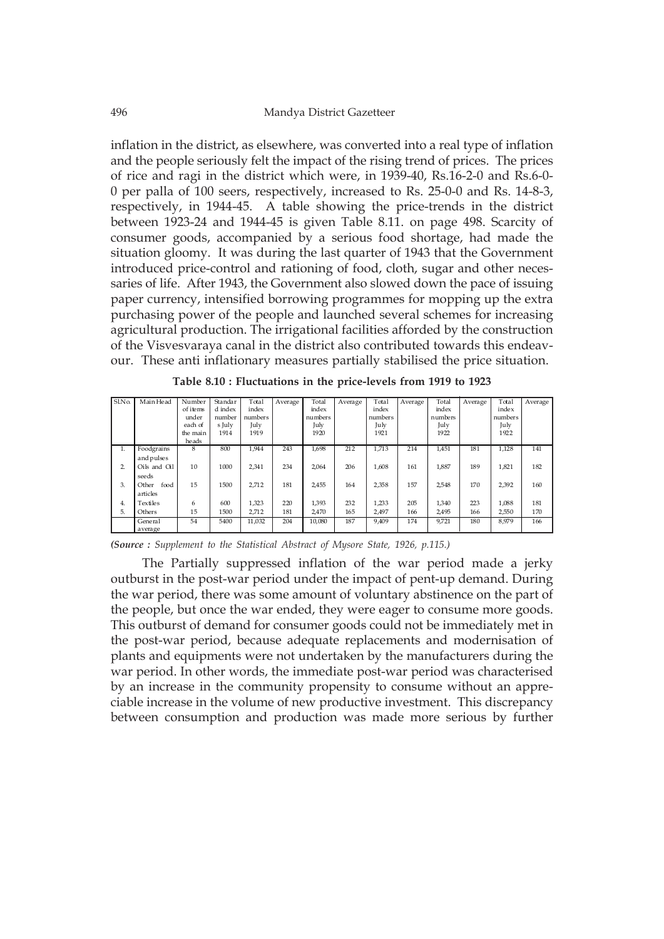inflation in the district, as elsewhere, was converted into a real type of inflation and the people seriously felt the impact of the rising trend of prices. The prices of rice and ragi in the district which were, in 1939-40, Rs.16-2-0 and Rs.6-0- 0 per palla of 100 seers, respectively, increased to Rs. 25-0-0 and Rs. 14-8-3, respectively, in 1944-45. A table showing the price-trends in the district between 1923-24 and 1944-45 is given Table 8.11. on page 498. Scarcity of consumer goods, accompanied by a serious food shortage, had made the situation gloomy. It was during the last quarter of 1943 that the Government introduced price-control and rationing of food, cloth, sugar and other necessaries of life. After 1943, the Government also slowed down the pace of issuing paper currency, intensified borrowing programmes for mopping up the extra purchasing power of the people and launched several schemes for increasing agricultural production. The irrigational facilities afforded by the construction of the Visvesvaraya canal in the district also contributed towards this endeavour. These anti inflationary measures partially stabilised the price situation.

| SlNo. | Main Head     | Number   | Standar | Total   | Average | Total   | Average | Total   | Average | Total   | Average | Total   | Average |
|-------|---------------|----------|---------|---------|---------|---------|---------|---------|---------|---------|---------|---------|---------|
|       |               | of items | d index | index   |         | index   |         | index   |         | index   |         | index   |         |
|       |               | under    | number  | numbers |         | numbers |         | numbers |         | numbers |         | numbers |         |
|       |               | each of  | s July  | July    |         | July    |         | July    |         | July    |         | July    |         |
|       |               | the main | 1914    | 1919    |         | 1920    |         | 1921    |         | 1922    |         | 1922    |         |
|       |               | heads    |         |         |         |         |         |         |         |         |         |         |         |
| л.    | Foodgrains    | 8        | 800     | 1,944   | 243     | 1,698   | 212     | 1,713   | 214     | 1,451   | 181     | 1,128   | 141     |
|       | and pulses    |          |         |         |         |         |         |         |         |         |         |         |         |
| 2.    | Oils and Oil  | 10       | 1000    | 2,341   | 234     | 2,064   | 206     | 1.608   | 161     | 1.887   | 189     | 1,821   | 182     |
|       | seeds         |          |         |         |         |         |         |         |         |         |         |         |         |
| 3.    | food<br>Other | 15       | 1500    | 2.712   | 181     | 2,455   | 164     | 2,358   | 157     | 2.548   | 170     | 2.392   | 160     |
|       | articles      |          |         |         |         |         |         |         |         |         |         |         |         |
| 4.    | Textiles      | 6        | 600     | 1,323   | 220     | 1.393   | 232     | 1,233   | 205     | 1.340   | 223     | 1.088   | 181     |
| 5.    | Others        | 15       | 1500    | 2,712   | 181     | 2,470   | 165     | 2,497   | 166     | 2.495   | 166     | 2,550   | 170     |
|       | General       | 54       | 5400    | 11,032  | 204     | 10.080  | 187     | 9.409   | 174     | 9.721   | 180     | 8.979   | 166     |
|       | average       |          |         |         |         |         |         |         |         |         |         |         |         |

**Table 8.10 : Fluctuations in the price-levels from 1919 to 1923**

*(Source : Supplement to the Statistical Abstract of Mysore State, 1926, p.115.)*

The Partially suppressed inflation of the war period made a jerky outburst in the post-war period under the impact of pent-up demand. During the war period, there was some amount of voluntary abstinence on the part of the people, but once the war ended, they were eager to consume more goods. This outburst of demand for consumer goods could not be immediately met in the post-war period, because adequate replacements and modernisation of plants and equipments were not undertaken by the manufacturers during the war period. In other words, the immediate post-war period was characterised by an increase in the community propensity to consume without an appreciable increase in the volume of new productive investment. This discrepancy between consumption and production was made more serious by further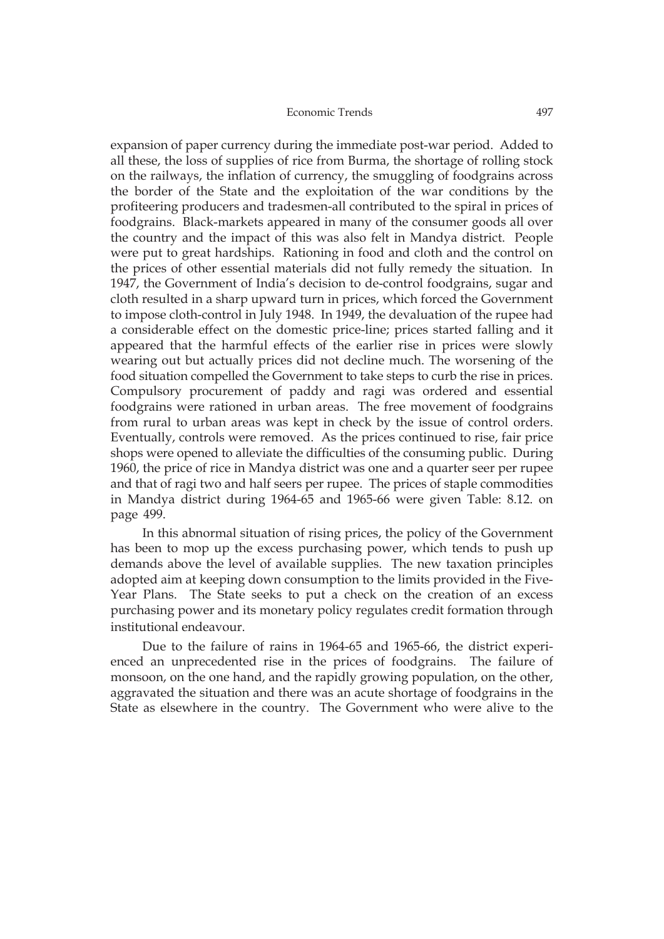expansion of paper currency during the immediate post-war period. Added to all these, the loss of supplies of rice from Burma, the shortage of rolling stock on the railways, the inflation of currency, the smuggling of foodgrains across the border of the State and the exploitation of the war conditions by the profiteering producers and tradesmen-all contributed to the spiral in prices of foodgrains. Black-markets appeared in many of the consumer goods all over the country and the impact of this was also felt in Mandya district. People were put to great hardships. Rationing in food and cloth and the control on the prices of other essential materials did not fully remedy the situation. In 1947, the Government of India's decision to de-control foodgrains, sugar and cloth resulted in a sharp upward turn in prices, which forced the Government to impose cloth-control in July 1948. In 1949, the devaluation of the rupee had a considerable effect on the domestic price-line; prices started falling and it appeared that the harmful effects of the earlier rise in prices were slowly wearing out but actually prices did not decline much. The worsening of the food situation compelled the Government to take steps to curb the rise in prices. Compulsory procurement of paddy and ragi was ordered and essential foodgrains were rationed in urban areas. The free movement of foodgrains from rural to urban areas was kept in check by the issue of control orders. Eventually, controls were removed. As the prices continued to rise, fair price shops were opened to alleviate the difficulties of the consuming public. During 1960, the price of rice in Mandya district was one and a quarter seer per rupee and that of ragi two and half seers per rupee. The prices of staple commodities in Mandya district during 1964-65 and 1965-66 were given Table: 8.12. on page 499.

In this abnormal situation of rising prices, the policy of the Government has been to mop up the excess purchasing power, which tends to push up demands above the level of available supplies. The new taxation principles adopted aim at keeping down consumption to the limits provided in the Five-Year Plans. The State seeks to put a check on the creation of an excess purchasing power and its monetary policy regulates credit formation through institutional endeavour.

Due to the failure of rains in 1964-65 and 1965-66, the district experienced an unprecedented rise in the prices of foodgrains. The failure of monsoon, on the one hand, and the rapidly growing population, on the other, aggravated the situation and there was an acute shortage of foodgrains in the State as elsewhere in the country. The Government who were alive to the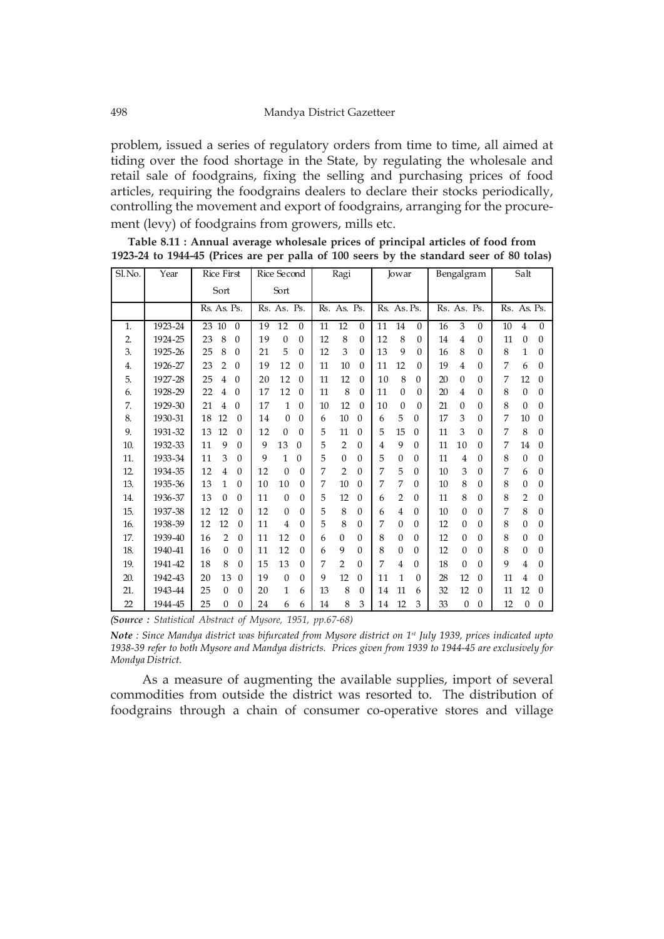problem, issued a series of regulatory orders from time to time, all aimed at tiding over the food shortage in the State, by regulating the wholesale and retail sale of foodgrains, fixing the selling and purchasing prices of food articles, requiring the foodgrains dealers to declare their stocks periodically, controlling the movement and export of foodgrains, arranging for the procurement (levy) of foodgrains from growers, mills etc.

| Sl.No. | Year    | <b>Rice First</b>                    | Rice Second                    | Ragi                            | <b>Jowar</b>                   | Bengalgram                         | Salt                               |  |
|--------|---------|--------------------------------------|--------------------------------|---------------------------------|--------------------------------|------------------------------------|------------------------------------|--|
|        |         | Sort                                 | Sort                           |                                 |                                |                                    |                                    |  |
|        |         | Rs. As. Ps.                          | Rs. As. Ps.                    | Rs. As. Ps.                     | Rs. As. Ps.                    | Rs. As. Ps.                        | Rs. As. Ps.                        |  |
| 1.     | 1923-24 | 23 10<br>$\theta$                    | 12<br>19<br>$\mathbf{0}$       | 12<br>11<br>$\mathbf{0}$        | 14<br>11<br>$\mathbf{0}$       | 3<br>16<br>$\overline{0}$          | 10<br>$\theta$<br>$\overline{4}$   |  |
| 2.     | 1924-25 | 8<br>23<br>$\Omega$                  | 19<br>$\mathbf{0}$<br>$\Omega$ | 12<br>8<br>$\theta$             | 12<br>8<br>$\Omega$            | 14<br>4<br>$\Omega$                | 11<br>$\mathbf{0}$<br>$\Omega$     |  |
| 3.     | 1925-26 | 8<br>25<br>$\Omega$                  | 5<br>21<br>$\Omega$            | 12<br>3<br>$\theta$             | 13<br>9<br>$\Omega$            | 8<br>16<br>$\Omega$                | 8<br>1<br>$\Omega$                 |  |
| 4.     | 1926-27 | 23<br>$\overline{2}$<br>$\Omega$     | 12<br>19<br>$\theta$           | 10<br>11<br>$\theta$            | 11<br>12<br>$\Omega$           | 19<br>4<br>$\Omega$                | 7<br>6<br>$\Omega$                 |  |
| 5.     | 1927-28 | 25<br>$\overline{4}$<br>$\Omega$     | 12<br>20<br>$\theta$           | 11<br>12<br>$\theta$            | 8<br>10<br>$\Omega$            | 20<br>$\theta$<br>$\theta$         | 12<br>7<br>$\Omega$                |  |
| 6.     | 1928-29 | 22<br>4<br>$\theta$                  | 12<br>17<br>$\theta$           | 8<br>11<br>$\mathbf{0}$         | 11<br>$\mathbf{0}$<br>$\Omega$ | 20<br>4<br>$\theta$                | 8<br>$\mathbf{0}$<br>$\theta$      |  |
| 7.     | 1929-30 | 21<br>4<br>$\Omega$                  | 17<br>1<br>$\Omega$            | 12<br>10<br>$\theta$            | 10<br>$\Omega$<br>$\Omega$     | 21<br>$\theta$<br>$\theta$         | 8<br>$\mathbf{0}$<br>$\Omega$      |  |
| 8.     | 1930-31 | 12<br>18<br>$\Omega$                 | $\Omega$<br>14<br>0            | 10<br>$\Omega$<br>6             | 5<br>0<br>6                    | 17<br>3<br>$\Omega$                | 10<br>7<br>$\Omega$                |  |
| 9.     | 1931-32 | 12<br>13<br>$\theta$                 | 12<br>$\Omega$<br>$\Omega$     | 5<br>$\theta$<br>11             | 15<br>5<br>$\Omega$            | 3<br>11<br>$\theta$                | 8<br>7<br>$\theta$                 |  |
| 10.    | 1932-33 | 9<br>11<br>0                         | 9<br>13<br>$\theta$            | 5<br>0<br>2                     | 9<br>0<br>4                    | 11<br>10<br>$\theta$               | 7<br>14<br>$\Omega$                |  |
| 11.    | 1933-34 | 3<br>11<br>$\mathbf{0}$              | 9<br>$\mathbf{0}$<br>1         | 5<br>$\Omega$<br>$\theta$       | 5<br>$\mathbf{0}$<br>0         | 11<br>4<br>$\Omega$                | 8<br>$\mathbf{0}$<br>$\theta$      |  |
| 12.    | 1934-35 | 12<br>4<br>$\theta$                  | 12<br>$\Omega$<br>$\Omega$     | 7<br>$\overline{2}$<br>$\Omega$ | 5<br>7<br>$\theta$             | 3<br>10<br>$\theta$                | 7<br>6<br>$\theta$                 |  |
| 13.    | 1935-36 | 13<br>1<br>$\mathbf{0}$              | 10<br>10<br>$\mathbf{0}$       | $\mathbf{0}$<br>7<br>10         | 7<br>7<br>0                    | 8<br>10<br>$\theta$                | 8<br>$\mathbf{0}$<br>$\theta$      |  |
| 14.    | 1936-37 | 13<br>$\overline{0}$<br>$\mathbf{0}$ | 11<br>$\Omega$<br>$\theta$     | 5<br>12<br>$\theta$             | 2<br>$\mathbf{0}$<br>6         | 8<br>11<br>$\theta$                | $\overline{2}$<br>8<br>$\theta$    |  |
| 15.    | 1937-38 | 12<br>12<br>$\Omega$                 | 12<br>$\Omega$<br>$\theta$     | $\theta$<br>5<br>8              | $\theta$<br>4<br>6             | 10<br>0<br>$\theta$                | 8<br>7<br>$\Omega$                 |  |
| 16.    | 1938-39 | 12<br>12<br>$\Omega$                 | 11<br>4<br>$\mathbf{0}$        | 5<br>8<br>$\theta$              | 7<br>$\mathbf{0}$<br>0         | 12<br>$\overline{0}$<br>$\theta$   | 8<br>$\mathbf{0}$<br>$\theta$      |  |
| 17.    | 1939-40 | 16<br>2<br>$\theta$                  | 11<br>12<br>$\theta$           | 0<br>6<br>$\theta$              | 8<br>$\mathbf{0}$<br>$\theta$  | 12<br>0<br>$\theta$                | 8<br>$\mathbf{0}$<br>$\theta$      |  |
| 18.    | 1940-41 | $\boldsymbol{0}$<br>16<br>$\theta$   | 11<br>12<br>$\theta$           | 9<br>0<br>6                     | 8<br>$\theta$<br>0             | 12<br>0<br>$\theta$                | 8<br>$\theta$<br>$\Omega$          |  |
| 19.    | 1941-42 | 18<br>8<br>$\Omega$                  | 15<br>13<br>$\Omega$           | 7<br>$\overline{2}$<br>$\Omega$ | 7<br>4<br>0                    | 18<br>0<br>$\theta$                | 9<br>4<br>$\Omega$                 |  |
| 20.    | 1942-43 | 20<br>13<br>$\theta$                 | 19<br>$\mathbf{0}$<br>$\theta$ | 9<br>12<br>$\theta$             | 11<br>1<br>$\mathbf{0}$        | 28<br>12<br>$\theta$               | 11<br>4<br>$\Omega$                |  |
| 21.    | 1943-44 | 25<br>$\theta$<br>$\theta$           | 20<br>1<br>6                   | 13<br>$\theta$<br>8             | 11<br>14<br>6                  | 12<br>32<br>$\theta$               | 12<br>11<br>$\Omega$               |  |
| 22     | 1944-45 | 25<br>0<br>$\theta$                  | 24<br>6<br>6                   | 8<br>14<br>3                    | 12<br>3<br>14                  | 33<br>$\theta$<br>$\boldsymbol{0}$ | 12<br>$\boldsymbol{0}$<br>$\theta$ |  |

| Table 8.11 : Annual average wholesale prices of principal articles of food from         |  |
|-----------------------------------------------------------------------------------------|--|
| 1923-24 to 1944-45 (Prices are per palla of 100 seers by the standard seer of 80 tolas) |  |

*(Source : Statistical Abstract of Mysore, 1951, pp.67-68)*

*Note : Since Mandya district was bifurcated from Mysore district on 1st July 1939, prices indicated upto 1938-39 refer to both Mysore and Mandya districts. Prices given from 1939 to 1944-45 are exclusively for Mondya District.*

As a measure of augmenting the available supplies, import of several commodities from outside the district was resorted to. The distribution of foodgrains through a chain of consumer co-operative stores and village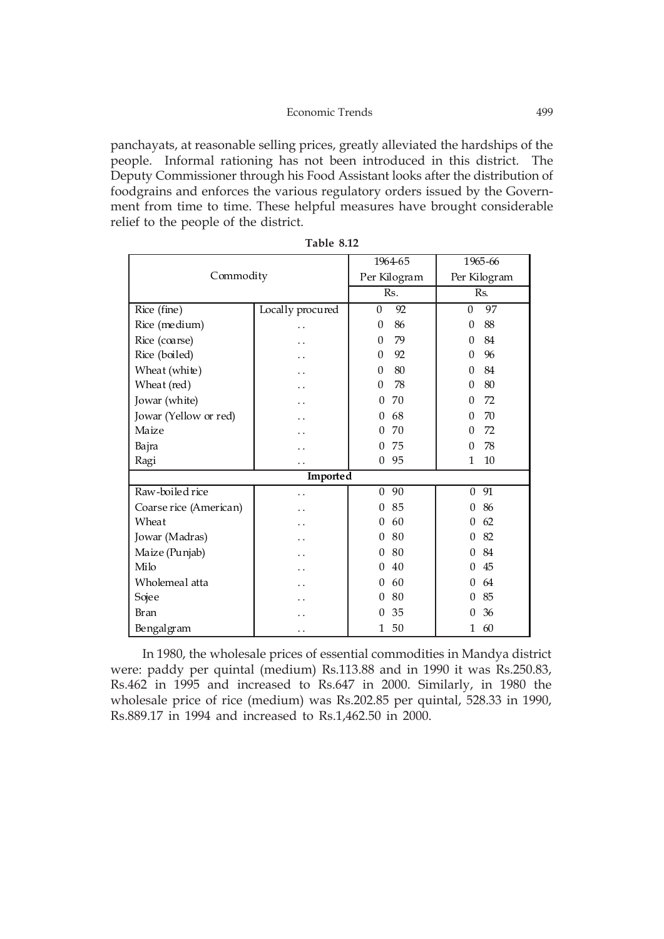panchayats, at reasonable selling prices, greatly alleviated the hardships of the people. Informal rationing has not been introduced in this district. The Deputy Commissioner through his Food Assistant looks after the distribution of foodgrains and enforces the various regulatory orders issued by the Government from time to time. These helpful measures have brought considerable relief to the people of the district.

|                        |                  | 1964-65                | 1965-66                |  |  |
|------------------------|------------------|------------------------|------------------------|--|--|
| Commodity              |                  | Per Kilogram           | Per Kilogram           |  |  |
|                        |                  | Rs.                    | Rs.                    |  |  |
| Rice (fine)            | Locally procured | 92<br>$\theta$         | 97<br>$\theta$         |  |  |
| Rice (medium)          |                  | 86<br>$\theta$         | 88<br>$\Omega$         |  |  |
| Rice (coarse)          |                  | 79<br>$\theta$         | 84<br>$\theta$         |  |  |
| Rice (boiled)          |                  | $\theta$<br>92         | 96<br>$\Omega$         |  |  |
| Wheat (white)          |                  | $\boldsymbol{0}$<br>80 | 84<br>$\Omega$         |  |  |
| Wheat (red)            |                  | $\theta$<br>78         | 80<br>$\Omega$         |  |  |
| Jowar (white)          |                  | 70<br>$\theta$         | 72<br>$\boldsymbol{0}$ |  |  |
| Jowar (Yellow or red)  |                  | 68<br>$\Omega$         | 70<br>$\Omega$         |  |  |
| Maize                  |                  | 70<br>$\overline{0}$   | 72<br>$\theta$         |  |  |
| Bajra                  |                  | 75<br>$\Omega$         | 78<br>$\Omega$         |  |  |
| Ragi                   |                  | 95<br>$\theta$         | $\mathbf{1}$<br>10     |  |  |
|                        | <b>Imported</b>  |                        |                        |  |  |
| Raw-boiled rice        | . .              | 90<br>$\theta$         | 91<br>$\boldsymbol{0}$ |  |  |
| Coarse rice (American) |                  | 85<br>$\theta$         | 86<br>$\Omega$         |  |  |
| Wheat                  |                  | 60<br>$\theta$         | 62<br>$\Omega$         |  |  |
| Jowar (Madras)         |                  | 80<br>$\theta$         | 82<br>$\Omega$         |  |  |
| Maize (Punjab)         |                  | 80<br>$\theta$         | 84<br>0                |  |  |
| Milo                   |                  | 40<br>$\theta$         | 45<br>0                |  |  |
| Wholemeal atta         |                  | 60<br>$\theta$         | 64<br>0                |  |  |
| Sojee                  |                  | 80<br>$\theta$         | 85<br>$\Omega$         |  |  |
| <b>Bran</b>            |                  | 35<br>$\overline{0}$   | 36<br>$\Omega$         |  |  |
| Bengalgram             | . .              | 50<br>1                | 60<br>1                |  |  |

| Table 8.12 |  |
|------------|--|
|------------|--|

In 1980, the wholesale prices of essential commodities in Mandya district were: paddy per quintal (medium) Rs.113.88 and in 1990 it was Rs.250.83, Rs.462 in 1995 and increased to Rs.647 in 2000. Similarly, in 1980 the wholesale price of rice (medium) was Rs.202.85 per quintal, 528.33 in 1990, Rs.889.17 in 1994 and increased to Rs.1,462.50 in 2000.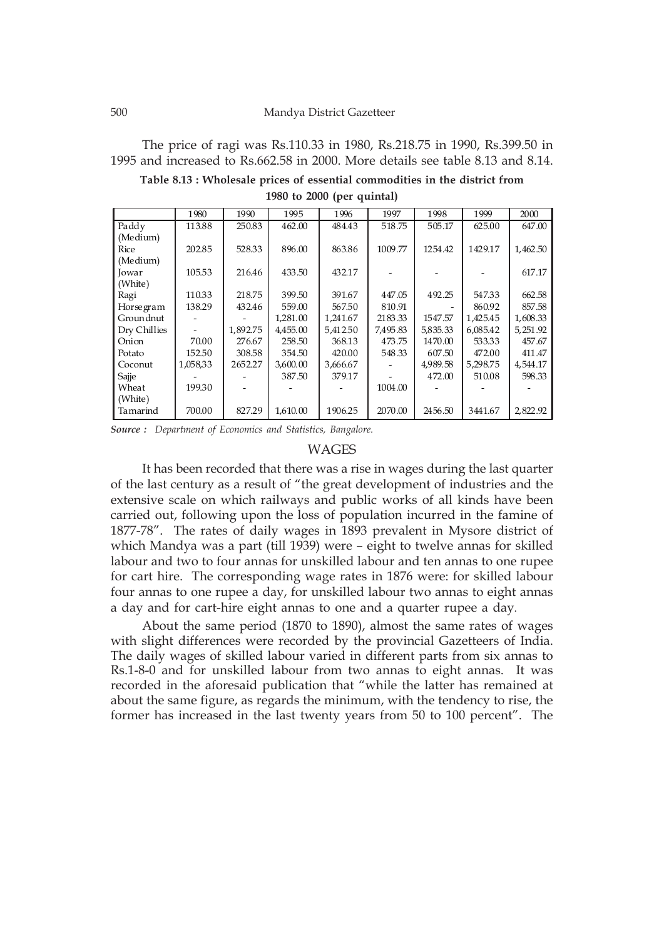The price of ragi was Rs.110.33 in 1980, Rs.218.75 in 1990, Rs.399.50 in 1995 and increased to Rs.662.58 in 2000. More details see table 8.13 and 8.14.

**Table 8.13 : Wholesale prices of essential commodities in the district from 1980 to 2000 (per quintal)**

|              | 1980     | 1990     | 1995     | 1996     | 1997     | 1998     | 1999     | 2000      |
|--------------|----------|----------|----------|----------|----------|----------|----------|-----------|
| Paddy        | 113.88   | 250.83   | 462.00   | 484.43   | 518.75   | 505.17   | 625.00   | 647.00    |
| (Medium)     |          |          |          |          |          |          |          |           |
| Rice         | 202.85   | 528.33   | 896.00   | 863.86   | 1009.77  | 1254.42  | 1429.17  | 1,462.50  |
| (Medium)     |          |          |          |          |          |          |          |           |
| Jowar        | 105.53   | 216.46   | 433.50   | 432.17   |          |          |          | 617.17    |
| (White)      |          |          |          |          |          |          |          |           |
| Ragi         | 110.33   | 218.75   | 399.50   | 391.67   | 447.05   | 492.25   | 547.33   | 662.58    |
| Horsegram    | 138.29   | 432.46   | 559.00   | 567.50   | 810.91   |          | 860.92   | 857.58    |
| Groundnut    |          |          | 1,281.00 | 1,241.67 | 2183.33  | 1547.57  | 1,425.45 | 1,608.33  |
| Dry Chillies |          | 1,892.75 | 4,455.00 | 5,412.50 | 7,495.83 | 5,835.33 | 6,085.42 | 5, 251.92 |
| Onion        | 70.00    | 276.67   | 258.50   | 368.13   | 473.75   | 1470.00  | 533.33   | 457.67    |
| Potato       | 152.50   | 308.58   | 354.50   | 420.00   | 548.33   | 607.50   | 472.00   | 411.47    |
| Coconut      | 1,058,33 | 2652.27  | 3,600.00 | 3,666.67 |          | 4,989.58 | 5,298.75 | 4,544.17  |
| Sajje        |          |          | 387.50   | 379.17   |          | 472.00   | 510.08   | 598.33    |
| Wheat        | 199.30   |          |          |          | 1004.00  |          |          |           |
| (White)      |          |          |          |          |          |          |          |           |
| Tamarind     | 700.00   | 827.29   | 1,610.00 | 1906.25  | 2070.00  | 2456.50  | 3441.67  | 2,822.92  |

*Source : Department of Economics and Statistics, Bangalore.*

### WAGES

It has been recorded that there was a rise in wages during the last quarter of the last century as a result of "the great development of industries and the extensive scale on which railways and public works of all kinds have been carried out, following upon the loss of population incurred in the famine of 1877-78". The rates of daily wages in 1893 prevalent in Mysore district of which Mandya was a part (till 1939) were – eight to twelve annas for skilled labour and two to four annas for unskilled labour and ten annas to one rupee for cart hire. The corresponding wage rates in 1876 were: for skilled labour four annas to one rupee a day, for unskilled labour two annas to eight annas a day and for cart-hire eight annas to one and a quarter rupee a day.

About the same period (1870 to 1890), almost the same rates of wages with slight differences were recorded by the provincial Gazetteers of India. The daily wages of skilled labour varied in different parts from six annas to Rs.1-8-0 and for unskilled labour from two annas to eight annas. It was recorded in the aforesaid publication that "while the latter has remained at about the same figure, as regards the minimum, with the tendency to rise, the former has increased in the last twenty years from 50 to 100 percent". The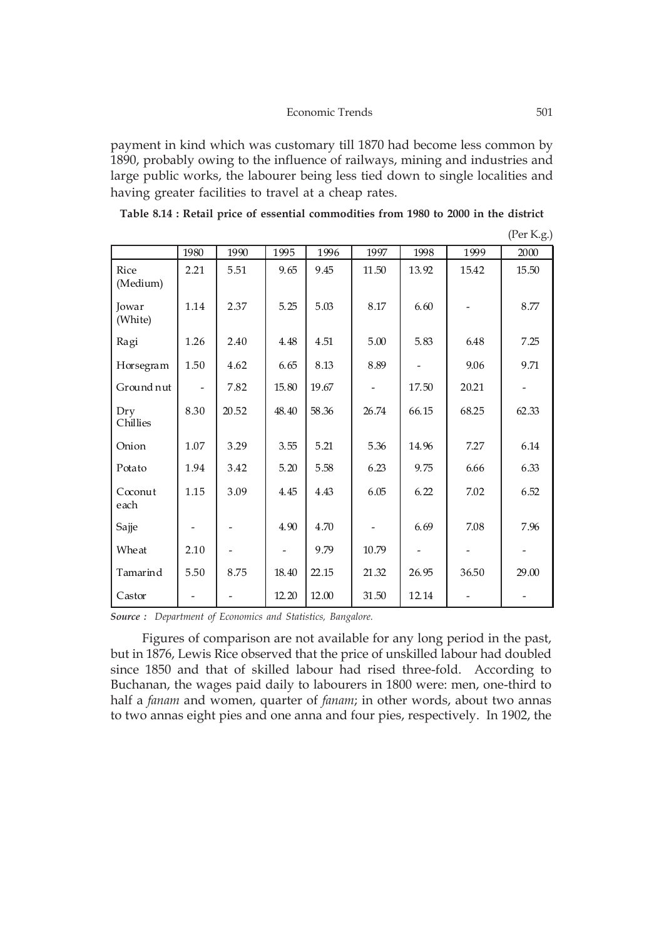payment in kind which was customary till 1870 had become less common by 1890, probably owing to the influence of railways, mining and industries and large public works, the labourer being less tied down to single localities and having greater facilities to travel at a cheap rates.

| Table 8.14 : Retail price of essential commodities from 1980 to 2000 in the district |  |  |  |  |  |  |  |  |  |
|--------------------------------------------------------------------------------------|--|--|--|--|--|--|--|--|--|
|--------------------------------------------------------------------------------------|--|--|--|--|--|--|--|--|--|

|                    | 1980 | 1990  | 1995  | 1996  | 1997                         | 1998  | 1999  | 2000  |
|--------------------|------|-------|-------|-------|------------------------------|-------|-------|-------|
| Rice<br>(Medium)   | 2.21 | 5.51  | 9.65  | 9.45  | 11.50                        | 13.92 | 15.42 | 15.50 |
| Jowar<br>(White)   | 1.14 | 2.37  | 5.25  | 5.03  | 8.17                         | 6.60  |       | 8.77  |
| Ragi               | 1.26 | 2.40  | 4.48  | 4.51  | 5.00                         | 5.83  | 6.48  | 7.25  |
| Horsegram          | 1.50 | 4.62  | 6.65  | 8.13  | 8.89                         |       | 9.06  | 9.71  |
| Ground nut         |      | 7.82  | 15.80 | 19.67 |                              | 17.50 | 20.21 |       |
| Dry<br>Chillies    | 8.30 | 20.52 | 48.40 | 58.36 | 26.74                        | 66.15 | 68.25 | 62.33 |
| Onion              | 1.07 | 3.29  | 3.55  | 5.21  | 5.36                         | 14.96 | 7.27  | 6.14  |
| Potato             | 1.94 | 3.42  | 5.20  | 5.58  | 6.23                         | 9.75  | 6.66  | 6.33  |
| $Coc$ onut<br>each | 1.15 | 3.09  | 4.45  | 4.43  | 6.05                         | 6.22  | 7.02  | 6.52  |
| Sajje              |      |       | 4.90  | 4.70  | $\qquad \qquad \blacksquare$ | 6.69  | 7.08  | 7.96  |
| Wheat              | 2.10 |       |       | 9.79  | 10.79                        |       |       |       |
| Tamarind           | 5.50 | 8.75  | 18.40 | 22.15 | 21.32                        | 26.95 | 36.50 | 29.00 |
| Castor             |      |       | 12.20 | 12.00 | 31.50                        | 12.14 |       |       |

(Per K.g.)

*Source : Department of Economics and Statistics, Bangalore.*

Figures of comparison are not available for any long period in the past, but in 1876, Lewis Rice observed that the price of unskilled labour had doubled since 1850 and that of skilled labour had rised three-fold. According to Buchanan, the wages paid daily to labourers in 1800 were: men, one-third to half a *fanam* and women, quarter of *fanam*; in other words, about two annas to two annas eight pies and one anna and four pies, respectively. In 1902, the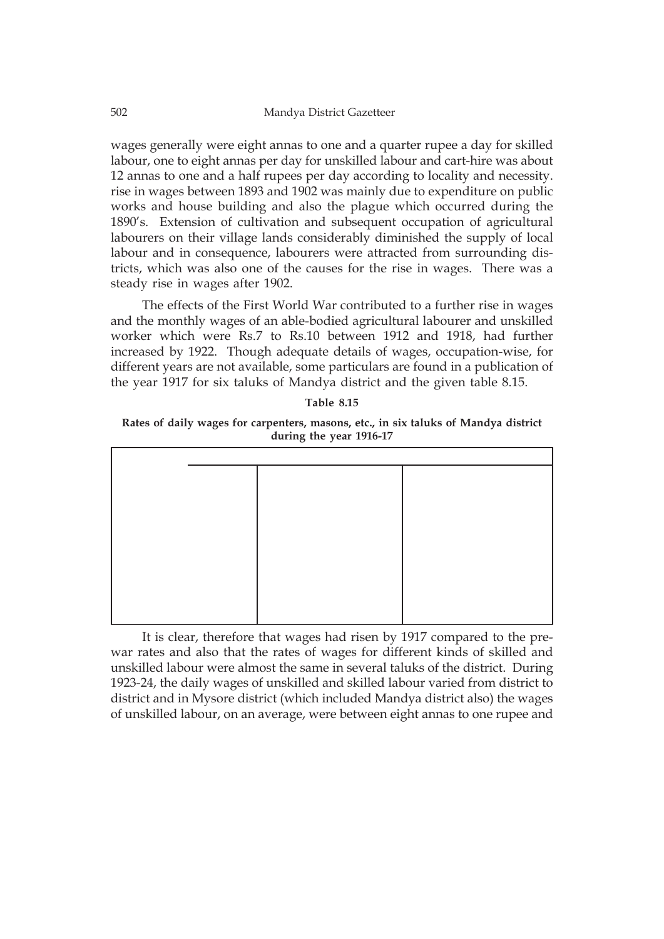wages generally were eight annas to one and a quarter rupee a day for skilled labour, one to eight annas per day for unskilled labour and cart-hire was about 12 annas to one and a half rupees per day according to locality and necessity. rise in wages between 1893 and 1902 was mainly due to expenditure on public works and house building and also the plague which occurred during the 1890's. Extension of cultivation and subsequent occupation of agricultural labourers on their village lands considerably diminished the supply of local labour and in consequence, labourers were attracted from surrounding districts, which was also one of the causes for the rise in wages. There was a steady rise in wages after 1902.

The effects of the First World War contributed to a further rise in wages and the monthly wages of an able-bodied agricultural labourer and unskilled worker which were Rs.7 to Rs.10 between 1912 and 1918, had further increased by 1922. Though adequate details of wages, occupation-wise, for different years are not available, some particulars are found in a publication of the year 1917 for six taluks of Mandya district and the given table 8.15.

| Table 8.15 |  |
|------------|--|
|------------|--|

**Rates of daily wages for carpenters, masons, etc., in six taluks of Mandya district during the year 1916-17**

It is clear, therefore that wages had risen by 1917 compared to the prewar rates and also that the rates of wages for different kinds of skilled and unskilled labour were almost the same in several taluks of the district. During 1923-24, the daily wages of unskilled and skilled labour varied from district to district and in Mysore district (which included Mandya district also) the wages of unskilled labour, on an average, were between eight annas to one rupee and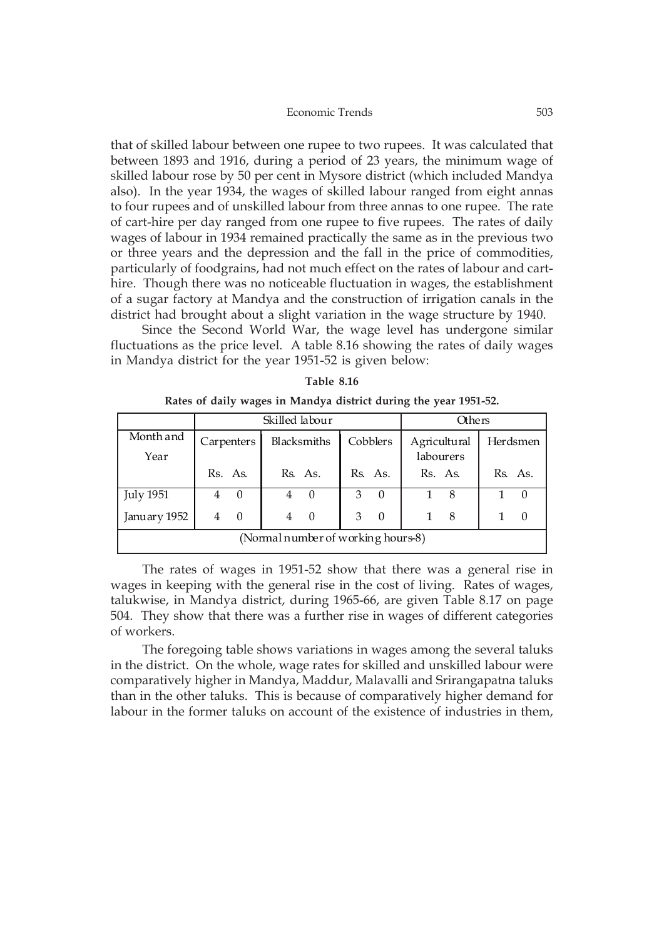#### Economic Trends 503

that of skilled labour between one rupee to two rupees. It was calculated that between 1893 and 1916, during a period of 23 years, the minimum wage of skilled labour rose by 50 per cent in Mysore district (which included Mandya also). In the year 1934, the wages of skilled labour ranged from eight annas to four rupees and of unskilled labour from three annas to one rupee. The rate of cart-hire per day ranged from one rupee to five rupees. The rates of daily wages of labour in 1934 remained practically the same as in the previous two or three years and the depression and the fall in the price of commodities, particularly of foodgrains, had not much effect on the rates of labour and carthire. Though there was no noticeable fluctuation in wages, the establishment of a sugar factory at Mandya and the construction of irrigation canals in the district had brought about a slight variation in the wage structure by 1940.

Since the Second World War, the wage level has undergone similar fluctuations as the price level. A table 8.16 showing the rates of daily wages in Mandya district for the year 1951-52 is given below:

|                                    |   |            | Skilled labour |             | <b>Others</b> |          |         |                           |  |          |
|------------------------------------|---|------------|----------------|-------------|---------------|----------|---------|---------------------------|--|----------|
| Month and<br>Year                  |   | Carpenters |                | Blacksmiths | Cobblers      |          |         | Agricultural<br>labourers |  | Herdsmen |
|                                    |   | Rs. As.    |                | Rs. As.     |               | Rs. As.  | Rs. As. |                           |  | Rs. As.  |
| <b>July 1951</b>                   | 4 | $\Omega$   |                | $\theta$    | 3             | $\Omega$ |         | 8                         |  |          |
| January 1952                       | 4 | $\Omega$   | 4              | - 0         | 3             | $\Omega$ |         | 8                         |  | $\left($ |
| (Normal number of working hours-8) |   |            |                |             |               |          |         |                           |  |          |

|                                                                  |  |  | Table 8.16 |  |  |  |
|------------------------------------------------------------------|--|--|------------|--|--|--|
| Rates of daily wages in Mandya district during the year 1951-52. |  |  |            |  |  |  |

The rates of wages in 1951-52 show that there was a general rise in wages in keeping with the general rise in the cost of living. Rates of wages, talukwise, in Mandya district, during 1965-66, are given Table 8.17 on page 504. They show that there was a further rise in wages of different categories of workers.

The foregoing table shows variations in wages among the several taluks in the district. On the whole, wage rates for skilled and unskilled labour were comparatively higher in Mandya, Maddur, Malavalli and Srirangapatna taluks than in the other taluks. This is because of comparatively higher demand for labour in the former taluks on account of the existence of industries in them,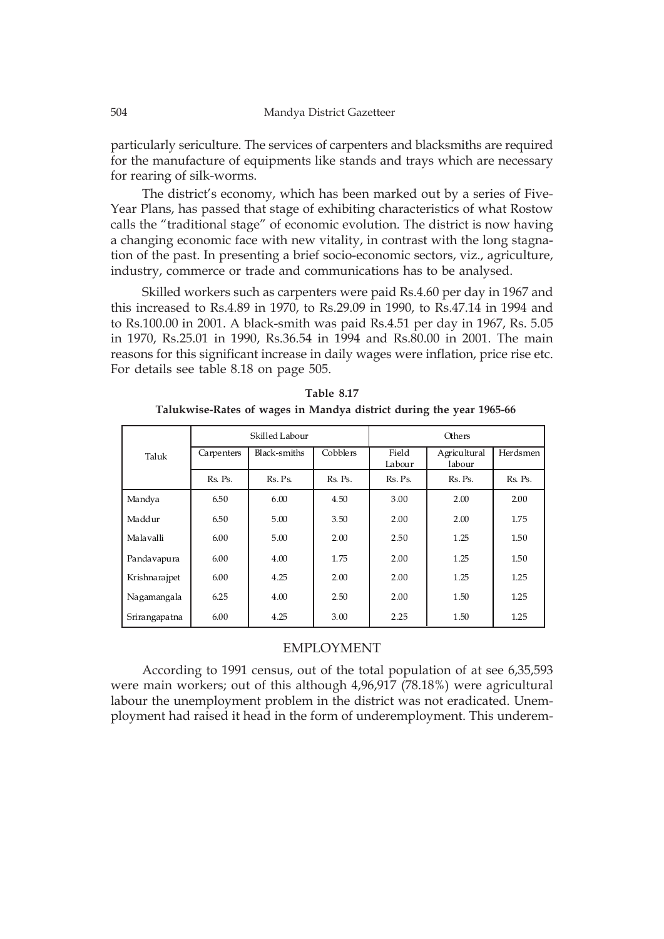particularly sericulture. The services of carpenters and blacksmiths are required for the manufacture of equipments like stands and trays which are necessary for rearing of silk-worms.

The district's economy, which has been marked out by a series of Five-Year Plans, has passed that stage of exhibiting characteristics of what Rostow calls the "traditional stage" of economic evolution. The district is now having a changing economic face with new vitality, in contrast with the long stagnation of the past. In presenting a brief socio-economic sectors, viz., agriculture, industry, commerce or trade and communications has to be analysed.

Skilled workers such as carpenters were paid Rs.4.60 per day in 1967 and this increased to Rs.4.89 in 1970, to Rs.29.09 in 1990, to Rs.47.14 in 1994 and to Rs.100.00 in 2001. A black-smith was paid Rs.4.51 per day in 1967, Rs. 5.05 in 1970, Rs.25.01 in 1990, Rs.36.54 in 1994 and Rs.80.00 in 2001. The main reasons for this significant increase in daily wages were inflation, price rise etc. For details see table 8.18 on page 505.

|                     |         | Skilled Labour |          | Others          |                        |          |  |  |
|---------------------|---------|----------------|----------|-----------------|------------------------|----------|--|--|
| Carpenters<br>Taluk |         | Black-smiths   | Cobblers | Field<br>Labour | Agricultural<br>labour | Herdsmen |  |  |
|                     | Rs. Ps. | Rs. Ps.        | Rs. Ps.  | Rs. Ps.         | Rs. Ps.                | Rs. Ps.  |  |  |
| Mandya              | 6.50    | 6.00           | 4.50     | 3.00            | 2.00                   | 2.00     |  |  |
| Maddur              | 6.50    | 5.00           | 3.50     | 2.00            | 2.00                   | 1.75     |  |  |
| Malavalli           | 6.00    | 5.00           | 2.00     | 2.50            | 1.25                   | 1.50     |  |  |
| Pandavapura         | 6.00    | 4.00           | 1.75     | 2.00            | 1.25                   | 1.50     |  |  |
| Krishnarajpet       | 6.00    | 4.25           | 2.00     | 2.00            | 1.25                   | 1.25     |  |  |
| Nagamangala         | 6.25    | 4.00           | 2.50     | 2.00            | 1.50                   | 1.25     |  |  |
| Srirangapatna       | 6.00    | 4.25           | 3.00     | 2.25            | 1.50                   | 1.25     |  |  |

**Table 8.17 Talukwise-Rates of wages in Mandya district during the year 1965-66**

## EMPLOYMENT

According to 1991 census, out of the total population of at see 6,35,593 were main workers; out of this although 4,96,917 (78.18%) were agricultural labour the unemployment problem in the district was not eradicated. Unemployment had raised it head in the form of underemployment. This underem-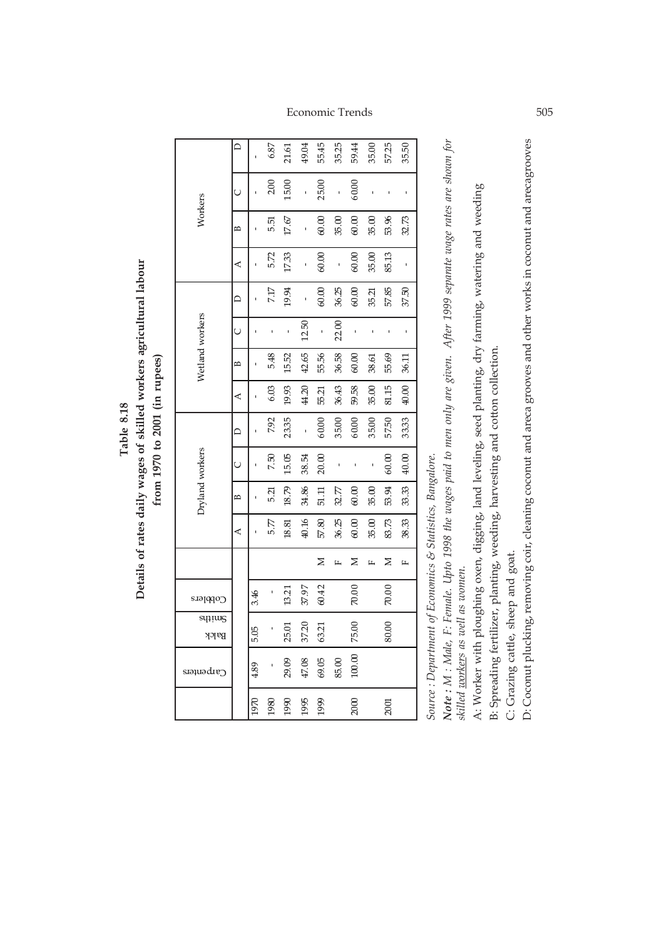Details of rates daily wages of skilled workers agricultural labour **Details of rates daily wages of skilled workers agricultural labour** from 1970 to 2001 (in rupees) **from 1970 to 2001 (in rupees)** Table 8.18 **Table 8.18**

|                 |   |      | 6.87   | 21.61    | 49.04 | 55.45            | 35.25 | 59.44  | 35.00 | 57.25   | 3550  |  |
|-----------------|---|------|--------|----------|-------|------------------|-------|--------|-------|---------|-------|--|
|                 | Ü |      | 2.00   | 15.00    | 1     | 25.00            | ı     | 60.00  |       |         |       |  |
| Workers         | В |      | 5.51   | $17.6\%$ | 1     | 0.00             | 35.00 | 60.00  | 35.00 | 53.96   | 32.73 |  |
|                 | ⋖ |      | 5.72   | 17.33    | ı     | 60.00            | ı     | 60.00  | 35.00 | 85.13   | ı     |  |
|                 | ≏ |      | 7.17   | 19.94    |       | $60.00$          | 36.25 | 60.00  | 35.21 | 57.85   | 37.50 |  |
|                 | Ō |      | ı      | ı        | 12.50 | ı                | 22.00 | ı      |       | ı       | ı     |  |
| Wetland workers | В |      | 5.48   | 15.52    | 42.65 | 55.56            | 36.58 | 60.00  | 38.61 | 55.69   | 36.11 |  |
|                 | ⋖ |      | $6.03$ | 19.93    | 44.20 | 55.21            | 36.43 | 59.58  | 35.00 | 81.15   | 40.00 |  |
|                 | ≏ |      | 7.92   | 23.35    | 1     | 60.00            | 35.00 | 60.00  | 35.00 | 57.50   | 33.33 |  |
|                 | Ō |      | 7.50   | 15.05    | 38.54 | 20.00            | ı     | ı      | ı     | $60.00$ | 40.00 |  |
| Dryland workers | B |      | 5.ZI   | 18.79    | 34.86 | 51.11            | 32.77 | 60.00  | 35.00 | 53.94   | 33.33 |  |
|                 | ⋖ |      | 5.77   | 18.81    | 40.16 | $57.80\,$        | 36.25 | 60.00  | 35.00 | 83.73   | 38.33 |  |
|                 |   |      |        |          |       | Z                | щ     | ⋝      | щ     | ≍       | щ     |  |
| င္၀pp၂မႈ        |   | 3.46 |        | 13.21    | 37.97 | 60.42            |       | 70.00  |       | 70.00   |       |  |
| sųjiug<br>Balck |   | 5.05 |        | 25.01    | 37.20 | 63.21            |       | 75.00  |       | 80.00   |       |  |
| Carpenters      |   | 4.89 |        | 29.09    |       | $47.08$<br>69.05 | 85.00 | 100.00 |       |         |       |  |
|                 |   | 1970 | 1980   | 1990     | 1995  | 1999             |       | 2000   |       | 2001    |       |  |

Source : Department of Economics & Statistics, Bangalore. *Source : Department of Economics & Statistics, Bangalore.*

Note: M : Male, F: Female. Upto 1998 the wages paid to men only are given. After 1999 separate wage rates are shown for *Note : M : Male, F: Female. Upto 1998 the wages paid to men only are given. After 1999 separate wage rates are shown for* skilled voorkers as well as women. *skilled workers as well as women.*

A: Worker with ploughing oxen, digging, land leveling, seed planting, dry farming, watering and weeding A: Worker with ploughing oxen, digging, land leveling, seed planting, dry farming, watering and weeding

B: Spreading fertilizer, planting, weeding, harvesting and cotton collection. B: Spreading fertilizer, planting, weeding, harvesting and cotton collection.

C: Grazing cattle, sheep and goat. C: Grazing cattle, sheep and goat.

D: Coconut plucking, removing coir, cleaning coconut and areca grooves and other works in coconut and arecagrooves D: Coconut plucking, removing coir, cleaning coconut and areca grooves and other works in coconut and arecagrooves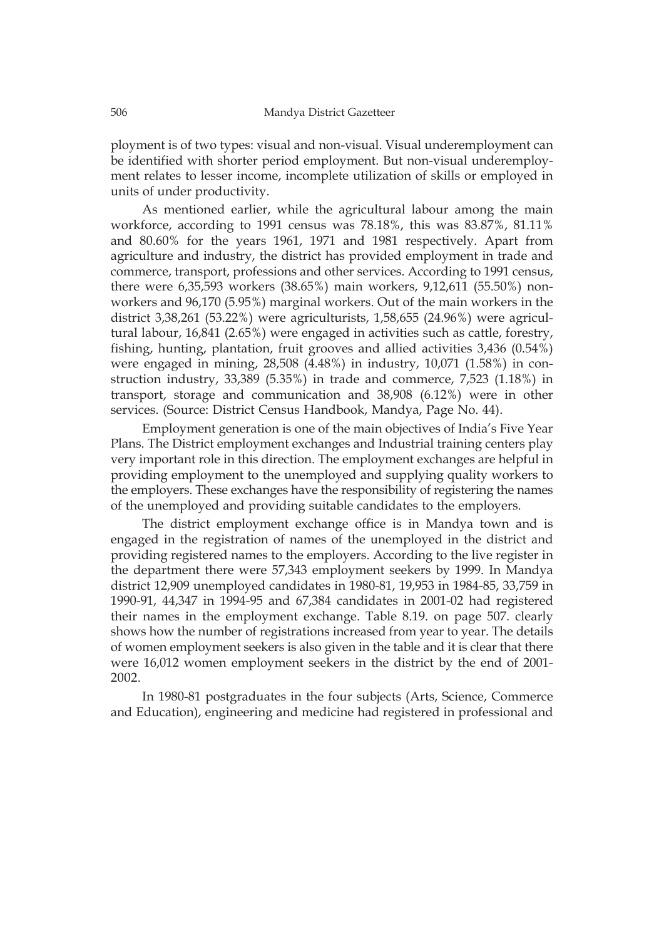ployment is of two types: visual and non-visual. Visual underemployment can be identified with shorter period employment. But non-visual underemployment relates to lesser income, incomplete utilization of skills or employed in units of under productivity.

As mentioned earlier, while the agricultural labour among the main workforce, according to 1991 census was 78.18%, this was 83.87%, 81.11% and 80.60% for the years 1961, 1971 and 1981 respectively. Apart from agriculture and industry, the district has provided employment in trade and commerce, transport, professions and other services. According to 1991 census, there were 6,35,593 workers (38.65%) main workers, 9,12,611 (55.50%) nonworkers and 96,170 (5.95%) marginal workers. Out of the main workers in the district 3,38,261 (53.22%) were agriculturists, 1,58,655 (24.96%) were agricultural labour, 16,841 (2.65%) were engaged in activities such as cattle, forestry, fishing, hunting, plantation, fruit grooves and allied activities 3,436 (0.54%) were engaged in mining, 28,508 (4.48%) in industry, 10,071 (1.58%) in construction industry, 33,389 (5.35%) in trade and commerce, 7,523 (1.18%) in transport, storage and communication and 38,908 (6.12%) were in other services. (Source: District Census Handbook, Mandya, Page No. 44).

Employment generation is one of the main objectives of India's Five Year Plans. The District employment exchanges and Industrial training centers play very important role in this direction. The employment exchanges are helpful in providing employment to the unemployed and supplying quality workers to the employers. These exchanges have the responsibility of registering the names of the unemployed and providing suitable candidates to the employers.

The district employment exchange office is in Mandya town and is engaged in the registration of names of the unemployed in the district and providing registered names to the employers. According to the live register in the department there were 57,343 employment seekers by 1999. In Mandya district 12,909 unemployed candidates in 1980-81, 19,953 in 1984-85, 33,759 in 1990-91, 44,347 in 1994-95 and 67,384 candidates in 2001-02 had registered their names in the employment exchange. Table 8.19. on page 507. clearly shows how the number of registrations increased from year to year. The details of women employment seekers is also given in the table and it is clear that there were 16,012 women employment seekers in the district by the end of 2001- 2002.

In 1980-81 postgraduates in the four subjects (Arts, Science, Commerce and Education), engineering and medicine had registered in professional and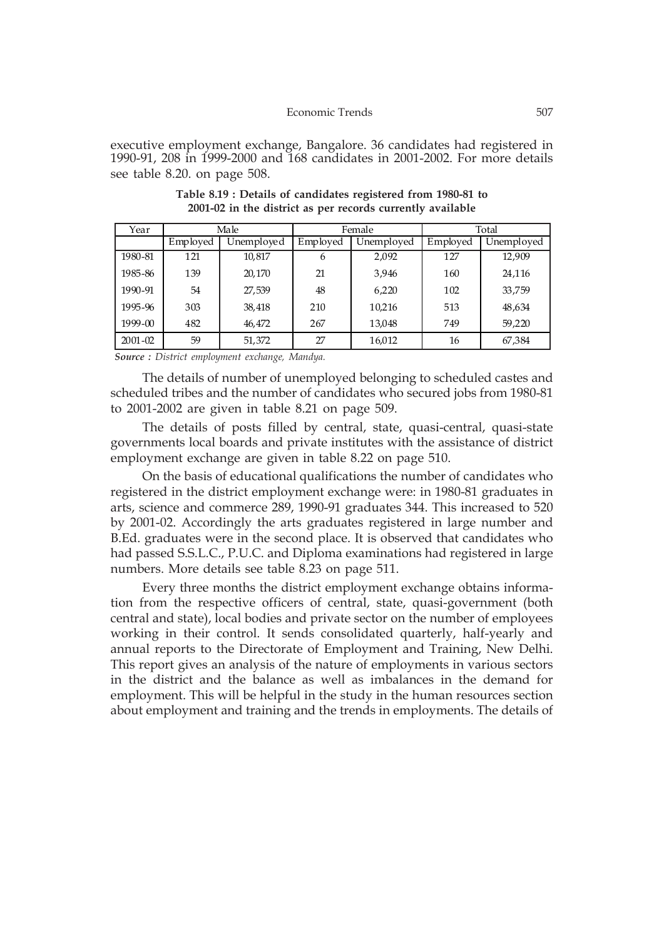executive employment exchange, Bangalore. 36 candidates had registered in 1990-91, 208 in 1999-2000 and 168 candidates in 2001-2002. For more details see table 8.20. on page 508.

| Year        |          | Male       |          | Female     |          | Total      |
|-------------|----------|------------|----------|------------|----------|------------|
|             | Employed | Unemployed | Employed | Unemployed | Employed | Unemployed |
| 1980-81     | 121      | 10,817     | 6        | 2,092      | 127      | 12,909     |
| 1985-86     | 139      | 20,170     | 21       | 3.946      | 160      | 24,116     |
| 1990-91     | 54       | 27,539     | 48       | 6,220      | 102      | 33,759     |
| 1995-96     | 303      | 38,418     | 210      | 10,216     | 513      | 48,634     |
| 1999-00     | 482      | 46,472     | 267      | 13,048     | 749      | 59,220     |
| $2001 - 02$ | 59       | 51,372     | 27       | 16,012     | 16       | 67,384     |

**Table 8.19 : Details of candidates registered from 1980-81 to 2001-02 in the district as per records currently available**

 *Source : District employment exchange, Mandya.*

The details of number of unemployed belonging to scheduled castes and scheduled tribes and the number of candidates who secured jobs from 1980-81 to 2001-2002 are given in table 8.21 on page 509.

The details of posts filled by central, state, quasi-central, quasi-state governments local boards and private institutes with the assistance of district employment exchange are given in table 8.22 on page 510.

On the basis of educational qualifications the number of candidates who registered in the district employment exchange were: in 1980-81 graduates in arts, science and commerce 289, 1990-91 graduates 344. This increased to 520 by 2001-02. Accordingly the arts graduates registered in large number and B.Ed. graduates were in the second place. It is observed that candidates who had passed S.S.L.C., P.U.C. and Diploma examinations had registered in large numbers. More details see table 8.23 on page 511.

Every three months the district employment exchange obtains information from the respective officers of central, state, quasi-government (both central and state), local bodies and private sector on the number of employees working in their control. It sends consolidated quarterly, half-yearly and annual reports to the Directorate of Employment and Training, New Delhi. This report gives an analysis of the nature of employments in various sectors in the district and the balance as well as imbalances in the demand for employment. This will be helpful in the study in the human resources section about employment and training and the trends in employments. The details of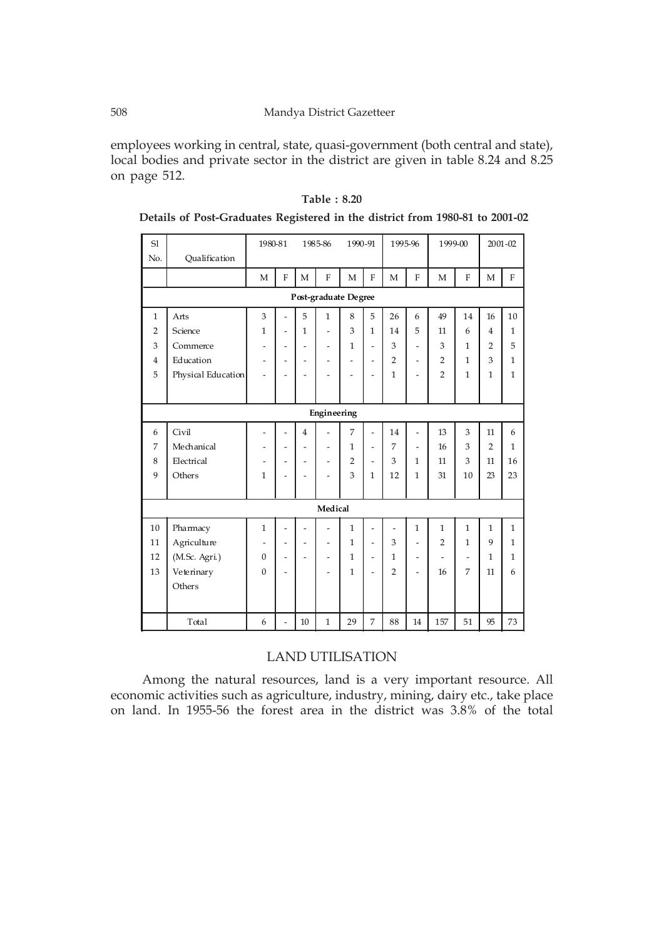#### 508 Mandya District Gazetteer

employees working in central, state, quasi-government (both central and state), local bodies and private sector in the district are given in table 8.24 and 8.25 on page 512.

| S1             |                    | 1980-81                  |                          |                              | 1985-86                      | 1990-91                      |                          | 1995-96        |                              | 1999-00                  |                          |                | $2001 - 02$    |
|----------------|--------------------|--------------------------|--------------------------|------------------------------|------------------------------|------------------------------|--------------------------|----------------|------------------------------|--------------------------|--------------------------|----------------|----------------|
| No.            | Qualification      |                          |                          |                              |                              |                              |                          |                |                              |                          |                          |                |                |
|                |                    | M                        | $\overline{F}$           | M                            | $\overline{F}$               | $\mathbf{M}$                 | $\mathbf{F}$             | M              | $\overline{F}$               | $\overline{M}$           | $\overline{F}$           | $\overline{M}$ | $\overline{F}$ |
|                |                    |                          |                          |                              | Post-graduate Degree         |                              |                          |                |                              |                          |                          |                |                |
| $\mathbf{1}$   | Arts               | 3                        | $\overline{a}$           | 5                            | $\mathbf{1}$                 | 8                            | 5                        | 26             | 6                            | 49                       | 14                       | 16             | 10             |
| $\overline{2}$ | Science            | $\mathbf{1}$             | $\overline{a}$           | $\mathbf{1}$                 | $\overline{a}$               | 3                            | $\mathbf{1}$             | 14             | 5                            | 11                       | 6                        | $\overline{4}$ | $\mathbf{1}$   |
| 3              | Commerce           | $\overline{\phantom{a}}$ | $\overline{a}$           | $\overline{a}$               | $\overline{a}$               | $\mathbf{1}$                 | $\overline{a}$           | 3              | $\overline{a}$               | 3                        | $\mathbf{1}$             | $\overline{2}$ | 5              |
| $\overline{4}$ | Education          | $\overline{\phantom{a}}$ | $\overline{\phantom{0}}$ | $\overline{a}$               | $\overline{\phantom{0}}$     | $\qquad \qquad \blacksquare$ | $\overline{\phantom{a}}$ | $\overline{2}$ | $\overline{a}$               | $\overline{2}$           | $\mathbf{1}$             | 3              | $\mathbf{1}$   |
| 5              | Physical Education | $\overline{a}$           | $\overline{a}$           | $\overline{a}$               |                              | $\overline{\phantom{0}}$     | $\overline{\phantom{0}}$ | $\mathbf{1}$   |                              | $\overline{2}$           | $\mathbf{1}$             | $\mathbf{1}$   | $\mathbf{1}$   |
|                |                    |                          |                          |                              |                              |                              |                          |                |                              |                          |                          |                |                |
|                |                    |                          |                          |                              | Engineering                  |                              |                          |                |                              |                          |                          |                |                |
| 6              | Civil              | $\overline{\phantom{a}}$ | $\overline{a}$           | $\overline{4}$               | $\overline{a}$               | 7                            | $\overline{a}$           | 14             | $\overline{a}$               | 13                       | 3                        | 11             | 6              |
| 7              | Mechanical         | $\overline{\phantom{a}}$ | $\overline{a}$           | $\overline{a}$               | $\qquad \qquad \blacksquare$ | $\mathbf{1}$                 | $\overline{\phantom{a}}$ | 7              | $\overline{a}$               | 16                       | 3                        | $\mathfrak{D}$ | $\mathbf{1}$   |
| 8              | Electrical         | $\overline{\phantom{a}}$ | $\overline{a}$           | $\qquad \qquad \blacksquare$ | -                            | $\overline{2}$               | $\overline{a}$           | 3              | $\mathbf{1}$                 | 11                       | 3                        | 11             | 16             |
| 9              | Others             | $\mathbf{1}$             | $\overline{\phantom{0}}$ | $\overline{a}$               | $\overline{a}$               | 3                            | $\mathbf{1}$             | 12             | 1                            | 31                       | 10                       | 23             | 23             |
|                |                    |                          |                          |                              |                              |                              |                          |                |                              |                          |                          |                |                |
|                |                    |                          |                          |                              | Medical                      |                              |                          |                |                              |                          |                          |                |                |
| 10             | Pharmacy           | $\mathbf{1}$             | -                        |                              |                              | $\mathbf{1}$                 | $\overline{a}$           | $\overline{a}$ | $\mathbf{1}$                 | $\mathbf{1}$             | $\mathbf{1}$             | $\mathbf{1}$   | $\mathbf{1}$   |
| 11             | Agriculture        | $\overline{\phantom{a}}$ | $\overline{a}$           | $\overline{a}$               | -                            | $\mathbf{1}$                 | $\overline{a}$           | 3              | $\overline{a}$               | $\overline{2}$           | $\mathbf{1}$             | 9              | $\mathbf{1}$   |
| 12             | (M.Sc. Agri.)      | $\boldsymbol{0}$         | $\overline{\phantom{0}}$ | $\overline{a}$               | $\overline{\phantom{0}}$     | $\mathbf{1}$                 | $\overline{\phantom{a}}$ | $\mathbf{1}$   | $\qquad \qquad \blacksquare$ | $\overline{\phantom{a}}$ | $\overline{\phantom{0}}$ | 1              | $\mathbf{1}$   |
| 13             | Veterinary         | $\theta$                 | $\overline{a}$           |                              | ۳                            | $\mathbf{1}$                 | $\overline{\phantom{a}}$ | $\overline{2}$ | $\overline{a}$               | 16                       | 7                        | 11             | 6              |
|                | Others             |                          |                          |                              |                              |                              |                          |                |                              |                          |                          |                |                |
|                |                    |                          |                          |                              |                              |                              |                          |                |                              |                          |                          |                |                |
|                | Total              | 6                        | $\overline{a}$           | 10                           | $\mathbf{1}$                 | 29                           | 7                        | 88             | 14                           | 157                      | 51                       | 95             | 73             |

 **Details of Post-Graduates Registered in the district from 1980-81 to 2001-02**

## LAND UTILISATION

Among the natural resources, land is a very important resource. All economic activities such as agriculture, industry, mining, dairy etc., take place on land. In 1955-56 the forest area in the district was 3.8% of the total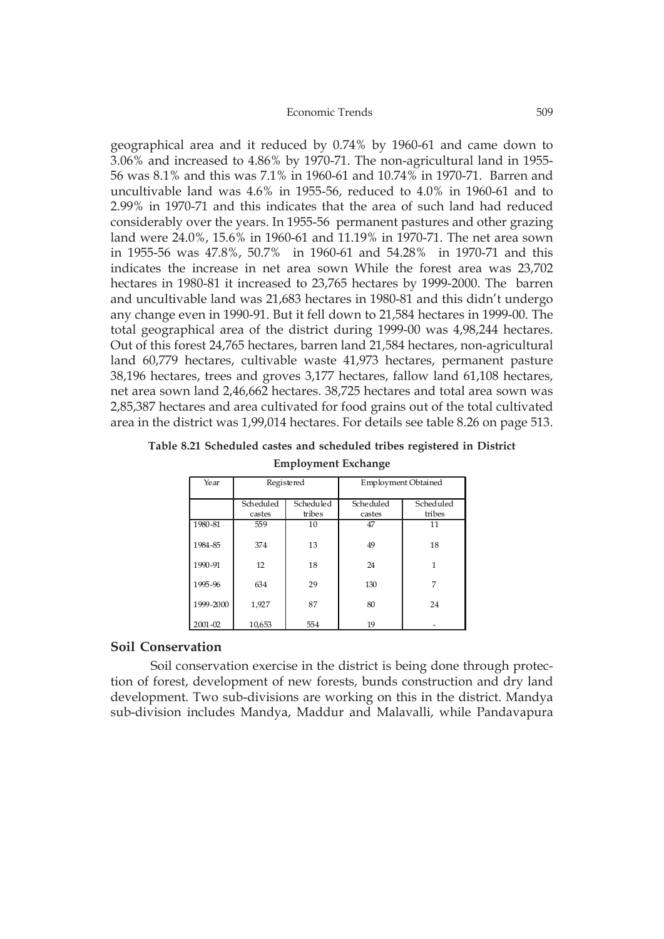geographical area and it reduced by 0.74% by 1960-61 and came down to 3.06% and increased to 4.86% by 1970-71. The non-agricultural land in 1955- 56 was 8.1% and this was 7.1% in 1960-61 and 10.74% in 1970-71. Barren and uncultivable land was 4.6% in 1955-56, reduced to 4.0% in 1960-61 and to 2.99% in 1970-71 and this indicates that the area of such land had reduced considerably over the years. In 1955-56 permanent pastures and other grazing land were 24.0%, 15.6% in 1960-61 and 11.19% in 1970-71. The net area sown in 1955-56 was 47.8%, 50.7% in 1960-61 and 54.28% in 1970-71 and this indicates the increase in net area sown While the forest area was 23,702 hectares in 1980-81 it increased to 23,765 hectares by 1999-2000. The barren and uncultivable land was 21,683 hectares in 1980-81 and this didn't undergo any change even in 1990-91. But it fell down to 21,584 hectares in 1999-00. The total geographical area of the district during 1999-00 was 4,98,244 hectares. Out of this forest 24,765 hectares, barren land 21,584 hectares, non-agricultural land 60,779 hectares, cultivable waste 41,973 hectares, permanent pasture 38,196 hectares, trees and groves 3,177 hectares, fallow land 61,108 hectares, net area sown land 2,46,662 hectares. 38,725 hectares and total area sown was 2,85,387 hectares and area cultivated for food grains out of the total cultivated area in the district was 1,99,014 hectares. For details see table 8.26 on page 513.

#### **Table 8.21 Scheduled castes and scheduled tribes registered in District**

| Year        | Registered |           | <b>Employment Obtained</b> |           |
|-------------|------------|-----------|----------------------------|-----------|
|             | Scheduled  | Scheduled | Scheduled                  | Scheduled |
|             | castes     | tribes    | castes                     | tribes    |
| 1980-81     | 559        | 10        | 47                         | 11        |
| 1984-85     | 374        | 13        | 49                         | 18        |
| 1990-91     | 12         | 18        | 24                         | 1         |
| 1995-96     | 634        | 29        | 130                        | 7         |
| 1999-2000   | 1,927      | 87        | 80                         | 24        |
| $2001 - 02$ | 10,653     | 554       | 19                         |           |

**Employment Exchange**

## **Soil Conservation**

Soil conservation exercise in the district is being done through protection of forest, development of new forests, bunds construction and dry land development. Two sub-divisions are working on this in the district. Mandya sub-division includes Mandya, Maddur and Malavalli, while Pandavapura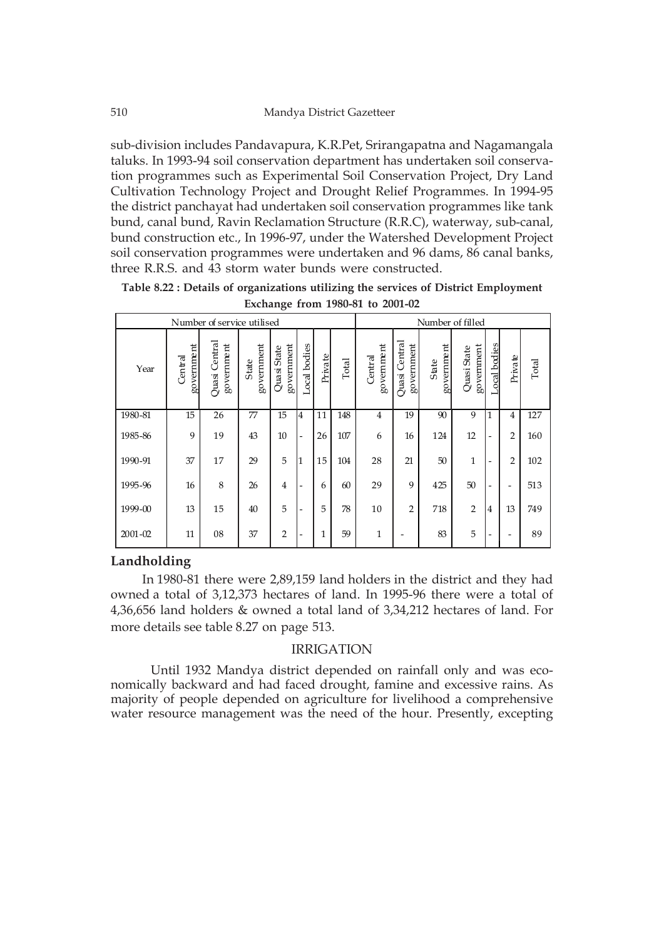sub-division includes Pandavapura, K.R.Pet, Srirangapatna and Nagamangala taluks. In 1993-94 soil conservation department has undertaken soil conservation programmes such as Experimental Soil Conservation Project, Dry Land Cultivation Technology Project and Drought Relief Programmes. In 1994-95 the district panchayat had undertaken soil conservation programmes like tank bund, canal bund, Ravin Reclamation Structure (R.R.C), waterway, sub-canal, bund construction etc., In 1996-97, under the Watershed Development Project soil conservation programmes were undertaken and 96 dams, 86 canal banks, three R.R.S. and 43 storm water bunds were constructed.

|             |                       |                             |                     | Ō                         |                              |              |       |                       |                             |                     |                           |                |                |       |
|-------------|-----------------------|-----------------------------|---------------------|---------------------------|------------------------------|--------------|-------|-----------------------|-----------------------------|---------------------|---------------------------|----------------|----------------|-------|
|             |                       | Number of service utilised  |                     |                           |                              |              |       |                       |                             | Number of filled    |                           |                |                |       |
| Year        | government<br>Central | Quasi Central<br>government | government<br>State | government<br>Quasi State | Local bodies                 | Private      | Total | government<br>Central | Quasi Central<br>government | government<br>State | government<br>Quasi State | Local bodies   | Private        | Total |
| 1980-81     | 15                    | 26                          | 77                  | 15                        | 4                            | 11           | 148   | $\overline{4}$        | 19                          | 90                  | 9                         | 1              | $\overline{4}$ | 127   |
| 1985-86     | 9                     | 19                          | 43                  | 10                        | $\overline{\phantom{a}}$     | 26           | 107   | 6                     | 16                          | 124                 | 12                        | ۰              | $\overline{2}$ | 160   |
| 1990-91     | 37                    | 17                          | 29                  | 5                         | 1                            | 15           | 104   | 28                    | 21                          | 50                  | $\mathbf{1}$              | ۰              | $\overline{2}$ | 102   |
| 1995-96     | 16                    | 8                           | 26                  | $\overline{4}$            | -                            | 6            | 60    | 29                    | $\mathbf{Q}$                | 425                 | 50                        | -              |                | 513   |
| 1999-00     | 13                    | 15                          | 40                  | 5                         | $\qquad \qquad \blacksquare$ | 5            | 78    | 10                    | $\overline{2}$              | 718                 | $\overline{2}$            | $\overline{4}$ | 13             | 749   |
| $2001 - 02$ | 11                    | 08                          | 37                  | $\overline{2}$            | -                            | $\mathbf{1}$ | 59    | $\mathbf{1}$          |                             | 83                  | 5                         | ٠              |                | 89    |

**Table 8.22 : Details of organizations utilizing the services of District Employment Exchange from 1980-81 to 2001-02**

### **Landholding**

In 1980-81 there were 2,89,159 land holders in the district and they had owned a total of 3,12,373 hectares of land. In 1995-96 there were a total of 4,36,656 land holders & owned a total land of 3,34,212 hectares of land. For more details see table 8.27 on page 513.

#### IRRIGATION

Until 1932 Mandya district depended on rainfall only and was economically backward and had faced drought, famine and excessive rains. As majority of people depended on agriculture for livelihood a comprehensive water resource management was the need of the hour. Presently, excepting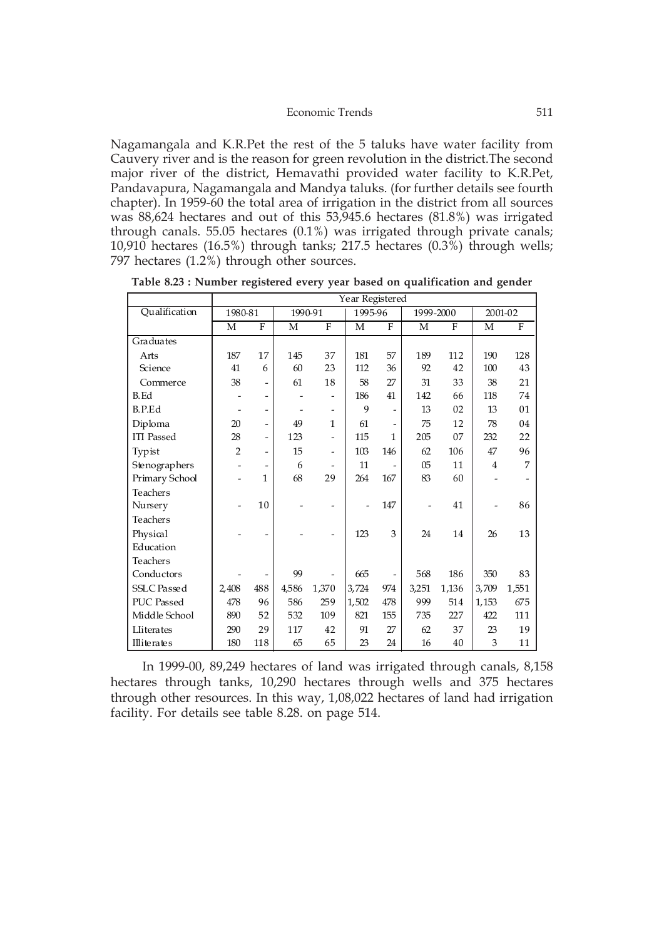Nagamangala and K.R.Pet the rest of the 5 taluks have water facility from Cauvery river and is the reason for green revolution in the district.The second major river of the district, Hemavathi provided water facility to K.R.Pet, Pandavapura, Nagamangala and Mandya taluks. (for further details see fourth chapter). In 1959-60 the total area of irrigation in the district from all sources was 88,624 hectares and out of this 53,945.6 hectares (81.8%) was irrigated through canals. 55.05 hectares (0.1%) was irrigated through private canals; 10,910 hectares (16.5%) through tanks; 217.5 hectares (0.3%) through wells; 797 hectares (1.2%) through other sources.

|                    |                |                |         |                          | Year Registered |                   |                |              |                |                |
|--------------------|----------------|----------------|---------|--------------------------|-----------------|-------------------|----------------|--------------|----------------|----------------|
| Qualification      | 1980-81        |                | 1990-91 |                          | 1995-96         |                   | 1999-2000      |              | 2001-02        |                |
|                    | M              | F              | M       | $\mathbf{F}$             | M               | F                 | M              | $\mathbf{F}$ | M              | $\overline{F}$ |
| Graduates          |                |                |         |                          |                 |                   |                |              |                |                |
| Arts               | 187            | 17             | 145     | 37                       | 181             | 57                | 189            | 112          | 190            | 128            |
| Science            | 41             | 6              | 60      | 23                       | 112             | 36                | 92             | 42           | 100            | 43             |
| Commerce           | 38             | $\overline{a}$ | 61      | 18                       | 58              | 27                | 31             | 33           | 38             | 21             |
| <b>B.Ed</b>        |                | -              |         | -                        | 186             | 41                | 142            | 66           | 118            | 74             |
| B.P.Ed             |                | -              |         | $\qquad \qquad -$        | 9               | $\qquad \qquad -$ | 13             | 02           | 13             | 01             |
| Diploma            | 20             | $\overline{a}$ | 49      | $\mathbf{1}$             | 61              | $\qquad \qquad$   | 75             | 12           | 78             | 04             |
| <b>ITI</b> Passed  | 28             | -              | 123     | $\overline{a}$           | 115             | 1                 | 205            | 07           | 232            | 22             |
| Typist             | $\overline{2}$ | $\overline{a}$ | 15      | $\overline{\phantom{0}}$ | 103             | 146               | 62             | 106          | 47             | 96             |
| Stenographers      |                |                | 6       |                          | 11              |                   | 0 <sub>5</sub> | 11           | $\overline{4}$ | 7              |
| Primary School     |                | 1              | 68      | 29                       | 264             | 167               | 83             | 60           |                |                |
| Teachers           |                |                |         |                          |                 |                   |                |              |                |                |
| Nursery            |                | 10             |         |                          |                 | 147               |                | 41           |                | 86             |
| Teachers           |                |                |         |                          |                 |                   |                |              |                |                |
| Physical           |                |                |         |                          | 123             | 3                 | 24             | 14           | 26             | 13             |
| Education          |                |                |         |                          |                 |                   |                |              |                |                |
| Teachers           |                |                |         |                          |                 |                   |                |              |                |                |
| Conductors         |                |                | 99      |                          | 665             | $\qquad \qquad -$ | 568            | 186          | 350            | 83             |
| <b>SSLC</b> Passed | 2,408          | 488            | 4,586   | 1,370                    | 3,724           | 974               | 3,251          | 1,136        | 3,709          | 1,551          |
| PUC Passed         | 478            | 96             | 586     | 259                      | 1,502           | 478               | 999            | 514          | 1,153          | 675            |
| Middle School      | 890            | 52             | 532     | 109                      | 821             | 155               | 735            | 227          | 422            | 111            |
| Lliterates         | 290            | 29             | 117     | 42                       | 91              | 27                | 62             | 37           | 23             | 19             |
| Illiterates        | 180            | 118            | 65      | 65                       | 23              | 24                | 16             | 40           | 3              | 11             |

**Table 8.23 : Number registered every year based on qualification and gender**

In 1999-00, 89,249 hectares of land was irrigated through canals, 8,158 hectares through tanks, 10,290 hectares through wells and 375 hectares through other resources. In this way, 1,08,022 hectares of land had irrigation facility. For details see table 8.28. on page 514.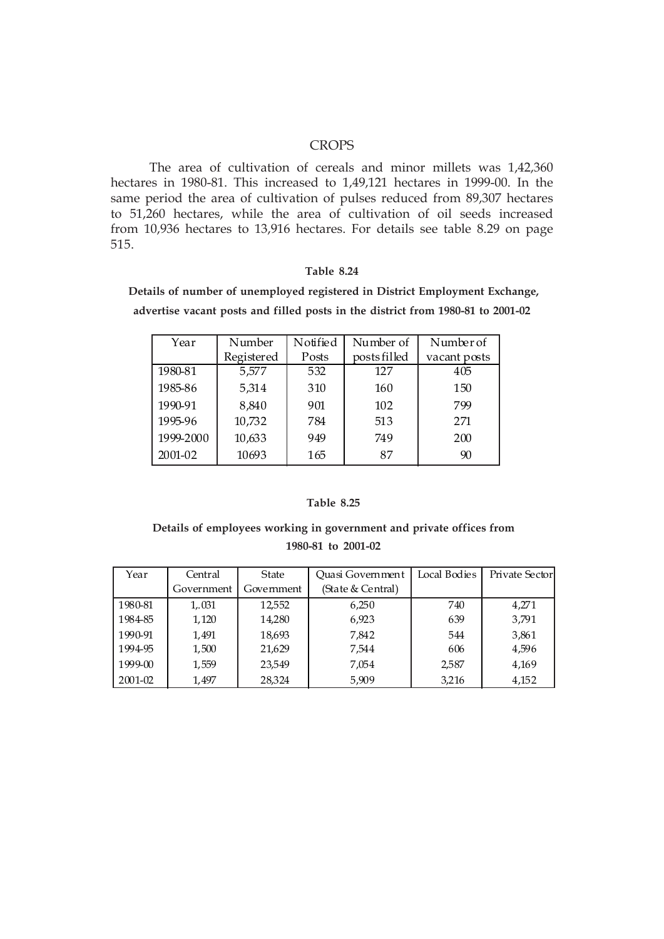### **CROPS**

 The area of cultivation of cereals and minor millets was 1,42,360 hectares in 1980-81. This increased to 1,49,121 hectares in 1999-00. In the same period the area of cultivation of pulses reduced from 89,307 hectares to 51,260 hectares, while the area of cultivation of oil seeds increased from 10,936 hectares to 13,916 hectares. For details see table 8.29 on page 515.

#### **Table 8.24**

 **Details of number of unemployed registered in District Employment Exchange, advertise vacant posts and filled posts in the district from 1980-81 to 2001-02**

| Year      | Number     | Notified | Number of    | Number of    |
|-----------|------------|----------|--------------|--------------|
|           | Registered | Posts    | posts filled | vacant posts |
| 1980-81   | 5,577      | 532      | 127          | 405          |
| 1985-86   | 5,314      | 310      | 160          | 150          |
| 1990-91   | 8,840      | 901      | 102          | 799          |
| 1995-96   | 10,732     | 784      | 513          | 271          |
| 1999-2000 | 10,633     | 949      | 749          | 200          |
| 2001-02   | 10693      | 165      | 87           | 90           |

#### **Table 8.25**

## **Details of employees working in government and private offices from 1980-81 to 2001-02**

| Year    | Central    | <b>State</b> | Quasi Government  | Local Bodies | Private Sectorl |
|---------|------------|--------------|-------------------|--------------|-----------------|
|         | Government | Government   | (State & Central) |              |                 |
| 1980-81 | 1,031      | 12,552       | 6,250             | 740          | 4,271           |
| 1984-85 | 1,120      | 14,280       | 6,923             | 639          | 3,791           |
| 1990-91 | 1,491      | 18.693       | 7,842             | 544          | 3,861           |
| 1994-95 | 1,500      | 21,629       | 7,544             | 606          | 4,596           |
| 1999-00 | 1,559      | 23,549       | 7,054             | 2,587        | 4,169           |
| 2001-02 | 1.497      | 28.324       | 5,909             | 3,216        | 4,152           |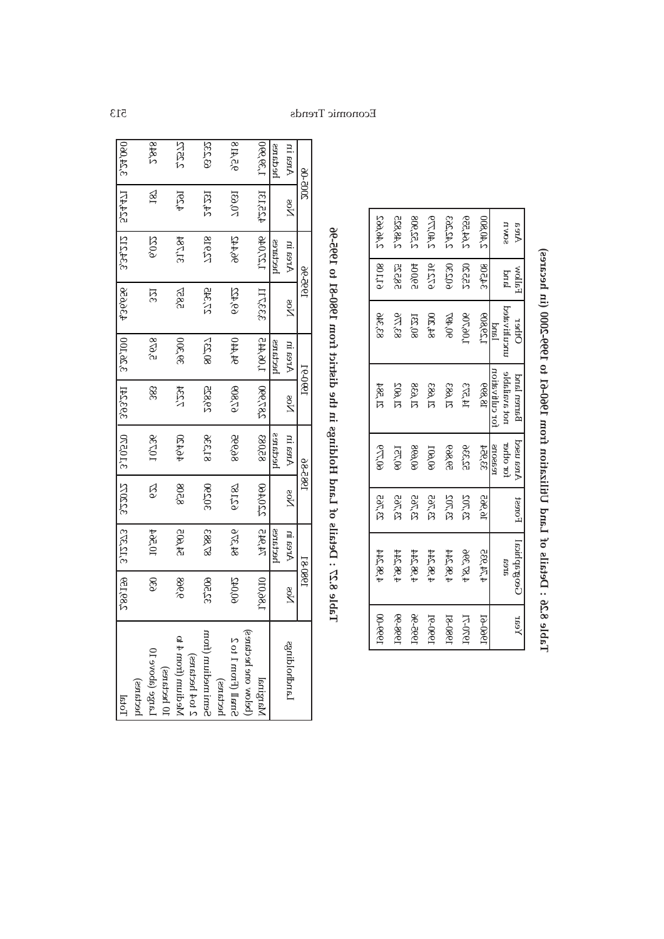| Area              | <b>WolfsH</b> | Ofler               | Barren land         | Area used     | Forest         | Geographical      | Year           |
|-------------------|---------------|---------------------|---------------------|---------------|----------------|-------------------|----------------|
| LIVND             | bral          | <b>Incultivated</b> | 9 distributed       | for other     |                | 9169              |                |
|                   |               | land                | for cultvituon      | reasons       |                |                   |                |
| <b>008.04.5</b>   | 34508         | 908,65,5            | <b>18880</b>        | 33'de4        | 16,965         | <b>280, AT, 4</b> | [960-61        |
| <b>PEE, AA, S</b> | 25220         | aor,aor,            | <b>SCRAI</b>        | 985,53        | <b>SOK.82</b>  | 995, 78 A         | <b>IS-OCGI</b> |
| <b>SAC.ALS</b>    | <b>65200</b>  | 60'                 | <b>SBO, IS</b>      | <b>998,95</b> | <b>SOT, ES</b> | 498.244           | <u>18-089</u>  |
| <b>PTT.OR.S</b>   | <b>912T6</b>  | 87500               | <b>S88, IS</b>      | <b>109,00</b> | 23,765         | <b>PRS 20.P</b>   | <b>1990-R</b>  |
| 809,52,5          | <b>2600R</b>  | <b>RC,08</b>        | 88 <sub>0</sub> .12 | 869,09        | 23,765         | 108,244           | ೧೫-೨೯          |
| 258,84.5          | <b>28232</b>  | <b>STR.68</b>       | 2006. IS            | <b>IST,00</b> | <b>23,765</b>  | 198.244           | 99-999]        |
| <b>SPO, 04.2</b>  | 80LL6         | 83376               | <b>A82, IS</b>      | ect,00        | <b>23,765</b>  | 198,244           | 00-eeer        |

| i                                                                                                                                                                         |
|---------------------------------------------------------------------------------------------------------------------------------------------------------------------------|
|                                                                                                                                                                           |
| I                                                                                                                                                                         |
|                                                                                                                                                                           |
|                                                                                                                                                                           |
| 5                                                                                                                                                                         |
| l                                                                                                                                                                         |
| $\begin{array}{c} \begin{array}{c} \begin{array}{c} \begin{array}{c} \end{array} \\ \end{array} \\ \begin{array}{c} \end{array} \end{array} \end{array} \end{array}$<br>ı |
| .<br>I                                                                                                                                                                    |
|                                                                                                                                                                           |
|                                                                                                                                                                           |
|                                                                                                                                                                           |
| 5.50222                                                                                                                                                                   |

**Table 8.27 : Details of Land Holdings in the district from 1980-81 to 1995-96**

de-Reel of I8-08el mort toirisib off ni egnibloH bns.I to alist o Islas SIdsT

| <b>2002-08</b> |                        | 1995-96        |                | I e-Oeer                 |                 | 985-86            |                | 198081             |               |                      |
|----------------|------------------------|----------------|----------------|--------------------------|-----------------|-------------------|----------------|--------------------|---------------|----------------------|
| hr sərA        | ре<br>Х                | Area in        | 8од            | hrea in                  | уов<br>Д        | hearA<br>An       | ро<br>Д        | <b>AGS In</b>      | es<br>N       | egniblodbnal         |
| ansban         |                        | hectares       |                | hectares                 |                 | <b>Pedares</b>    |                | hectares           |               |                      |
| 066,68,1       | <b>RISE24</b>          | <b>JADISTL</b> | LLCEEE         | <b>LOGARE</b>            | <b>Dee, 782</b> | 85,088            | 220,460        | 12岁                | 186010        | IsrigiaM             |
|                |                        |                |                |                          |                 |                   |                |                    |               | (below one hectares) |
| 8 P.R.         | $\sum_{i=1}^{n}$       | <b>PPAOP</b>   | <b>C9,422</b>  | OPP R                    | 67809           | 86,98             | 62187          | 975.48             | <b>60,042</b> | S of I mort] I sen2  |
|                |                        |                |                |                          |                 |                   |                |                    |               | hectares)            |
| 832269         | <b>PSAR</b>            | 81927          | <b>24.72</b>   | <b>732,08</b>            | 28,92           | 85,536            | 06508          | 87,883             | 92509         | Semibant imedian     |
|                |                        |                |                |                          |                 |                   |                |                    |               | 2 to 4 hectares)     |
| <b>NESS</b>    | <b>RS4</b>             | <b>RALGE</b>   | 5857           | <b>995.98</b>            | <b>RSST</b>     | 46420             | 8208           | <b>EOS, ES</b>     | 6066          | of 4 mori (from 4 to |
|                |                        |                |                |                          |                 |                   |                |                    |               | 10 hectares)         |
| $rac{8}{5}$    | $\frac{2}{3}$          | eoz            | $\overline{5}$ | $2^{\circ}$ e $\Delta$ 8 | 88              | <b>RTQI1</b>      | <b>S</b>       | <b>Pod.01</b>      | 89            | Large (above 10      |
|                |                        |                |                |                          |                 |                   |                |                    |               | hectares)            |
|                | OSCALD INFERING CLUSTS |                | <b>A36,656</b> | $-001950$                |                 | LASPORE   OKEOLLE | <b>SYDDESE</b> | STESIL'E   GEL'985 |               | <b>Lotal</b>         |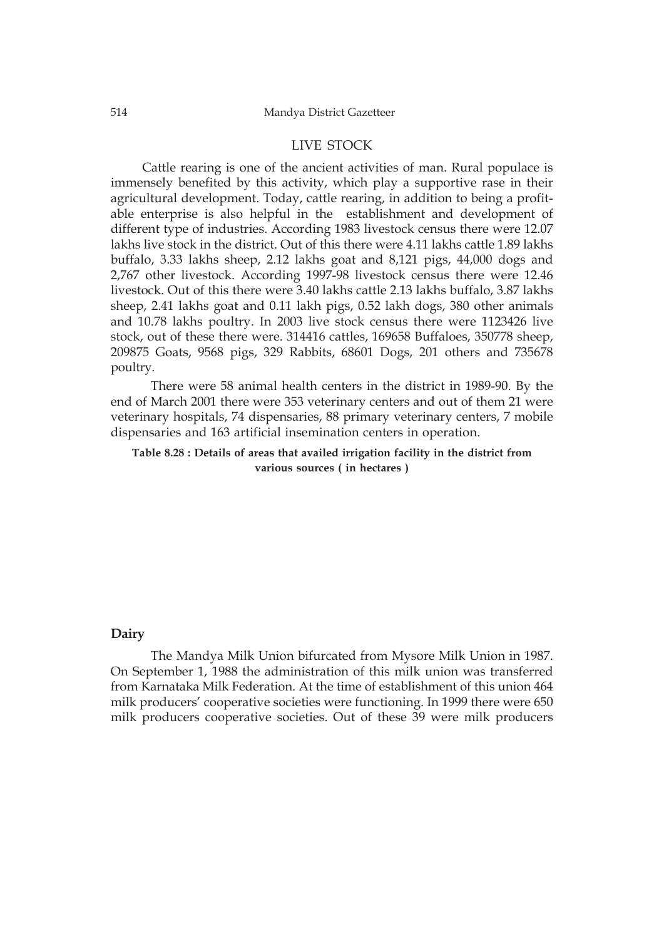#### LIVE STOCK

Cattle rearing is one of the ancient activities of man. Rural populace is immensely benefited by this activity, which play a supportive rase in their agricultural development. Today, cattle rearing, in addition to being a profitable enterprise is also helpful in the establishment and development of different type of industries. According 1983 livestock census there were 12.07 lakhs live stock in the district. Out of this there were 4.11 lakhs cattle 1.89 lakhs buffalo, 3.33 lakhs sheep, 2.12 lakhs goat and 8,121 pigs, 44,000 dogs and 2,767 other livestock. According 1997-98 livestock census there were 12.46 livestock. Out of this there were 3.40 lakhs cattle 2.13 lakhs buffalo, 3.87 lakhs sheep, 2.41 lakhs goat and 0.11 lakh pigs, 0.52 lakh dogs, 380 other animals and 10.78 lakhs poultry. In 2003 live stock census there were 1123426 live stock, out of these there were. 314416 cattles, 169658 Buffaloes, 350778 sheep, 209875 Goats, 9568 pigs, 329 Rabbits, 68601 Dogs, 201 others and 735678 poultry.

There were 58 animal health centers in the district in 1989-90. By the end of March 2001 there were 353 veterinary centers and out of them 21 were veterinary hospitals, 74 dispensaries, 88 primary veterinary centers, 7 mobile dispensaries and 163 artificial insemination centers in operation.

**Table 8.28 : Details of areas that availed irrigation facility in the district from various sources ( in hectares )**

#### **Dairy**

The Mandya Milk Union bifurcated from Mysore Milk Union in 1987. On September 1, 1988 the administration of this milk union was transferred from Karnataka Milk Federation. At the time of establishment of this union 464 milk producers' cooperative societies were functioning. In 1999 there were 650 milk producers cooperative societies. Out of these 39 were milk producers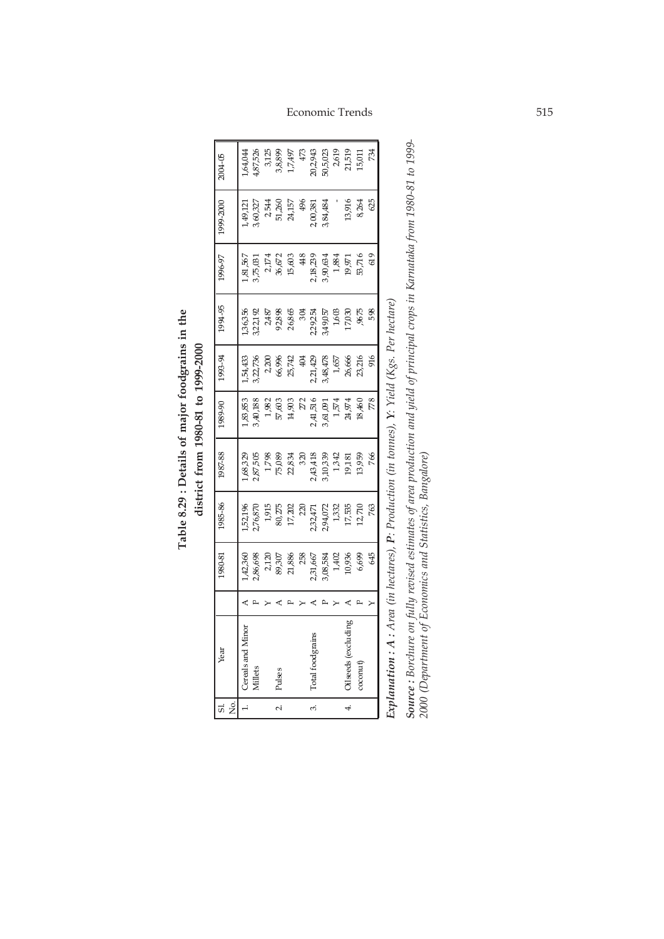| Σó,<br>$\overline{a}$ | Year                      | 1980-81                   | 1985-86                                                  | 987-88 | 1989-90                | 1993-94                   | 1994-95                   | 16-96                                                    | 1999-2000                 | 2004-05                                            |
|-----------------------|---------------------------|---------------------------|----------------------------------------------------------|--------|------------------------|---------------------------|---------------------------|----------------------------------------------------------|---------------------------|----------------------------------------------------|
|                       | Cereals and Minor         | ,42,360                   | ,52196                                                   |        | ,83,853                | ,54,433                   | ,36,356                   | 1,81,567                                                 | ,49,121                   | ,64,044                                            |
|                       | Millets                   | 2,86,698                  | ,76,870                                                  |        | 3,40,188               | 3,22,736                  | 3,22,192                  | 3,75,031                                                 | 3,60,327                  | ,87,526                                            |
|                       |                           |                           |                                                          |        |                        |                           |                           |                                                          |                           |                                                    |
| N                     | Pulses                    | 2,120<br>89,307<br>21,886 | $\begin{array}{c} 1,915 \\ 80,275 \\ 17,202 \end{array}$ |        | $\frac{1,982}{57,603}$ | 2,200<br>66,996<br>25,742 | 2,487<br>92,898<br>26,865 | $\begin{array}{c} 2.174 \\ 36.672 \\ 15.603 \end{array}$ | 2,544<br>51,260<br>24,157 | 3125<br>3,8899<br>1,7,497                          |
|                       |                           |                           |                                                          |        |                        |                           |                           |                                                          |                           |                                                    |
|                       |                           | 258                       | 220                                                      |        | 272                    | 404                       | 304                       | 48                                                       | 496                       | $47\!\!$                                           |
| ω,                    | otal food grains          | 2,31,667                  | 232471<br>294072                                         |        | 2,41,516               | 2,21,429                  | 2,29,254                  |                                                          | 2,00,381                  |                                                    |
|                       |                           | 3,08,584                  |                                                          |        | 3,61,091               | 3,48,478                  | 3,49,057                  | 2,18,239<br>3,90,634                                     | 3,84,484                  |                                                    |
|                       |                           | 1,402                     | $1,332$<br>$1,335$                                       |        | $1,\!574$              | 1,657                     | $1,603$                   | 1,884                                                    |                           |                                                    |
| 4                     | <b>Niseds</b> (excluding  | 10,936<br>6,699           |                                                          |        | 24,974                 | 26,666                    | 17,030                    | 19,971                                                   | 13,916                    | 20,2,943<br>50,5,023<br>71,519<br>21,519<br>15,011 |
|                       | $\infty$ conut $\uparrow$ |                           | 12,710                                                   |        | 18,460                 | 23,216                    | 9675                      | 53,716                                                   | 8,264                     |                                                    |
|                       |                           | 645                       | 763                                                      | 766    | 778                    | 916                       | 598                       | 619                                                      | 625                       | 734                                                |

Table 8.29 : Details of major foodgrains in the **Table 8.29 : Details of major foodgrains in the** district from 1980-81 to 1999-2000 **district from 1980-81 to 1999-2000**

Explanation : A : Area (in hectares), P: Production (in tonnes), Y: Yield (Kgs. Per hectare) *Y: Yield (Kgs. Per hectare) P: Production (in tonnes), Explanation : A : Area (in hectares),* 

**Source :** Borchure on fully revised estimates of area production and yield of principal crops in Karnataka from 1980-81 to 1999-<br>2000 (Department of Economics and Statistics, Bangalore) *Source : Borchure on fully revised estimates of area production and yield of principal crops in Karnataka from 1980-81 to 1999- 2000 (Department of Economics and Statistics, Bangalore)*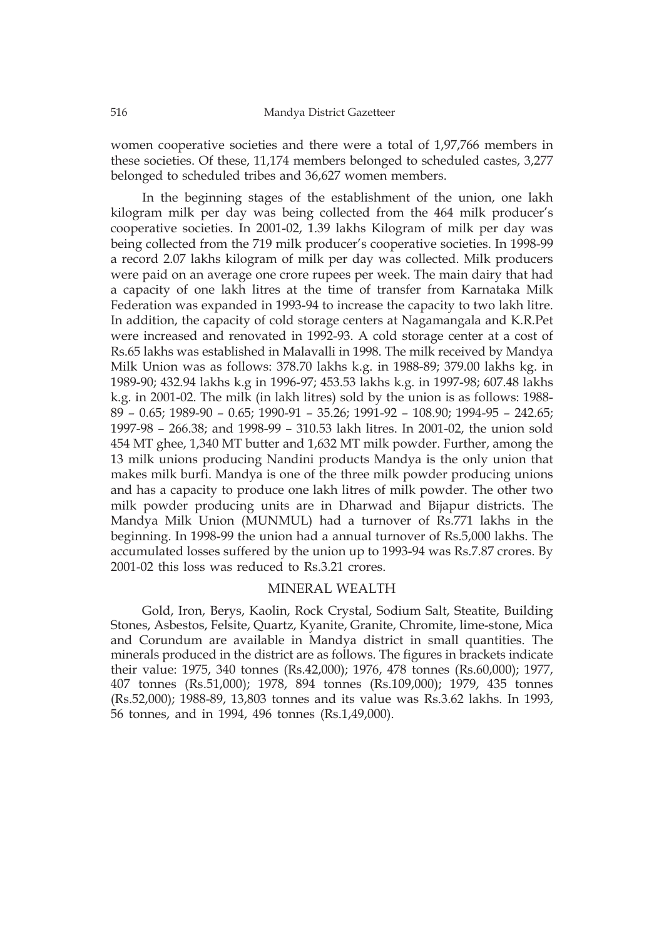women cooperative societies and there were a total of 1,97,766 members in these societies. Of these, 11,174 members belonged to scheduled castes, 3,277 belonged to scheduled tribes and 36,627 women members.

In the beginning stages of the establishment of the union, one lakh kilogram milk per day was being collected from the 464 milk producer's cooperative societies. In 2001-02, 1.39 lakhs Kilogram of milk per day was being collected from the 719 milk producer's cooperative societies. In 1998-99 a record 2.07 lakhs kilogram of milk per day was collected. Milk producers were paid on an average one crore rupees per week. The main dairy that had a capacity of one lakh litres at the time of transfer from Karnataka Milk Federation was expanded in 1993-94 to increase the capacity to two lakh litre. In addition, the capacity of cold storage centers at Nagamangala and K.R.Pet were increased and renovated in 1992-93. A cold storage center at a cost of Rs.65 lakhs was established in Malavalli in 1998. The milk received by Mandya Milk Union was as follows: 378.70 lakhs k.g. in 1988-89; 379.00 lakhs kg. in 1989-90; 432.94 lakhs k.g in 1996-97; 453.53 lakhs k.g. in 1997-98; 607.48 lakhs k.g. in 2001-02. The milk (in lakh litres) sold by the union is as follows: 1988- 89 – 0.65; 1989-90 – 0.65; 1990-91 – 35.26; 1991-92 – 108.90; 1994-95 – 242.65; 1997-98 – 266.38; and 1998-99 – 310.53 lakh litres. In 2001-02, the union sold 454 MT ghee, 1,340 MT butter and 1,632 MT milk powder. Further, among the 13 milk unions producing Nandini products Mandya is the only union that makes milk burfi. Mandya is one of the three milk powder producing unions and has a capacity to produce one lakh litres of milk powder. The other two milk powder producing units are in Dharwad and Bijapur districts. The Mandya Milk Union (MUNMUL) had a turnover of Rs.771 lakhs in the beginning. In 1998-99 the union had a annual turnover of Rs.5,000 lakhs. The accumulated losses suffered by the union up to 1993-94 was Rs.7.87 crores. By 2001-02 this loss was reduced to Rs.3.21 crores.

#### MINERAL WEALTH

Gold, Iron, Berys, Kaolin, Rock Crystal, Sodium Salt, Steatite, Building Stones, Asbestos, Felsite, Quartz, Kyanite, Granite, Chromite, lime-stone, Mica and Corundum are available in Mandya district in small quantities. The minerals produced in the district are as follows. The figures in brackets indicate their value: 1975, 340 tonnes (Rs.42,000); 1976, 478 tonnes (Rs.60,000); 1977, 407 tonnes (Rs.51,000); 1978, 894 tonnes (Rs.109,000); 1979, 435 tonnes (Rs.52,000); 1988-89, 13,803 tonnes and its value was Rs.3.62 lakhs. In 1993, 56 tonnes, and in 1994, 496 tonnes (Rs.1,49,000).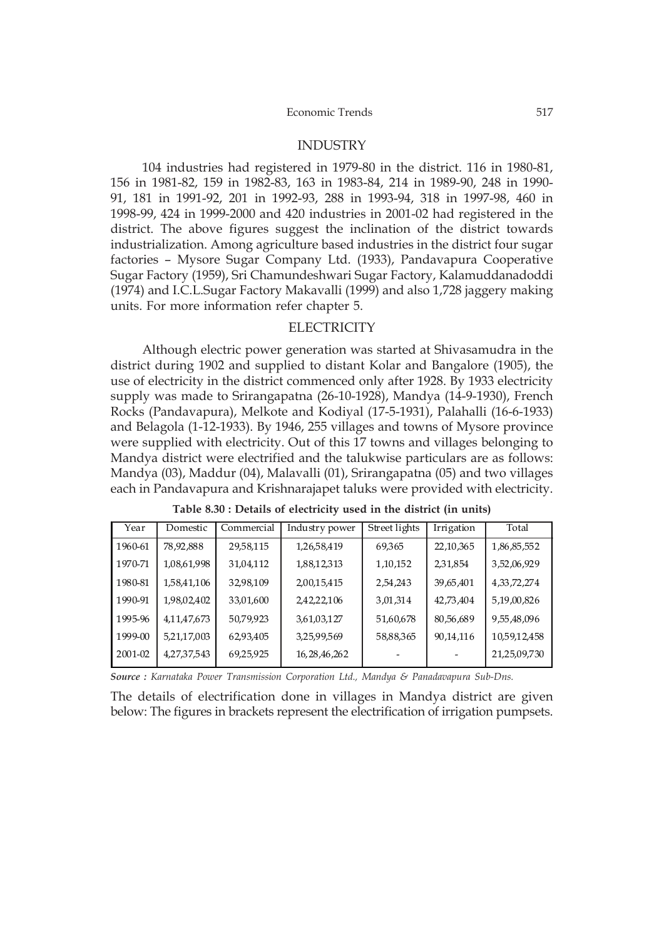#### INDUSTRY

104 industries had registered in 1979-80 in the district. 116 in 1980-81, 156 in 1981-82, 159 in 1982-83, 163 in 1983-84, 214 in 1989-90, 248 in 1990- 91, 181 in 1991-92, 201 in 1992-93, 288 in 1993-94, 318 in 1997-98, 460 in 1998-99, 424 in 1999-2000 and 420 industries in 2001-02 had registered in the district. The above figures suggest the inclination of the district towards industrialization. Among agriculture based industries in the district four sugar factories – Mysore Sugar Company Ltd. (1933), Pandavapura Cooperative Sugar Factory (1959), Sri Chamundeshwari Sugar Factory, Kalamuddanadoddi (1974) and I.C.L.Sugar Factory Makavalli (1999) and also 1,728 jaggery making units. For more information refer chapter 5.

#### **ELECTRICITY**

Although electric power generation was started at Shivasamudra in the district during 1902 and supplied to distant Kolar and Bangalore (1905), the use of electricity in the district commenced only after 1928. By 1933 electricity supply was made to Srirangapatna (26-10-1928), Mandya (14-9-1930), French Rocks (Pandavapura), Melkote and Kodiyal (17-5-1931), Palahalli (16-6-1933) and Belagola (1-12-1933). By 1946, 255 villages and towns of Mysore province were supplied with electricity. Out of this 17 towns and villages belonging to Mandya district were electrified and the talukwise particulars are as follows: Mandya (03), Maddur (04), Malavalli (01), Srirangapatna (05) and two villages each in Pandavapura and Krishnarajapet taluks were provided with electricity.

| Year    | Domestic    | Commercial | Industry power  | Street lights | Irrigation  | Total          |
|---------|-------------|------------|-----------------|---------------|-------------|----------------|
| 1960-61 | 78,92,888   | 29,58,115  | 1,26,58,419     | 69,365        | 22, 10, 365 | 1,86,85,552    |
| 1970-71 | 1,08,61,998 | 31,04,112  | 1,88,12,313     | 1,10,152      | 2,31,854    | 3,52,06,929    |
| 1980-81 | 1,58,41,106 | 32,98,109  | 2,00,15,415     | 2,54,243      | 39,65,401   | 4, 33, 72, 274 |
| 1990-91 | 1,98,02,402 | 33,01,600  | 2,42,22,106     | 3,01,314      | 42,73,404   | 5,19,00,826    |
| 1995-96 | 4,11,47,673 | 50,79,923  | 3,61,03,127     | 51,60,678     | 80,56,689   | 9,55,48,096    |
| 1999-00 | 5,21,17,003 | 62,93,405  | 3,25,99,569     | 58,88,365     | 90,14,116   | 10,59,12,458   |
| 2001-02 | 4,27,37,543 | 69,25,925  | 16, 28, 46, 262 |               |             | 21,25,09,730   |

**Table 8.30 : Details of electricity used in the district (in units)**

*Source : Karnataka Power Transmission Corporation Ltd., Mandya & Panadavapura Sub-Dns.*

The details of electrification done in villages in Mandya district are given below: The figures in brackets represent the electrification of irrigation pumpsets.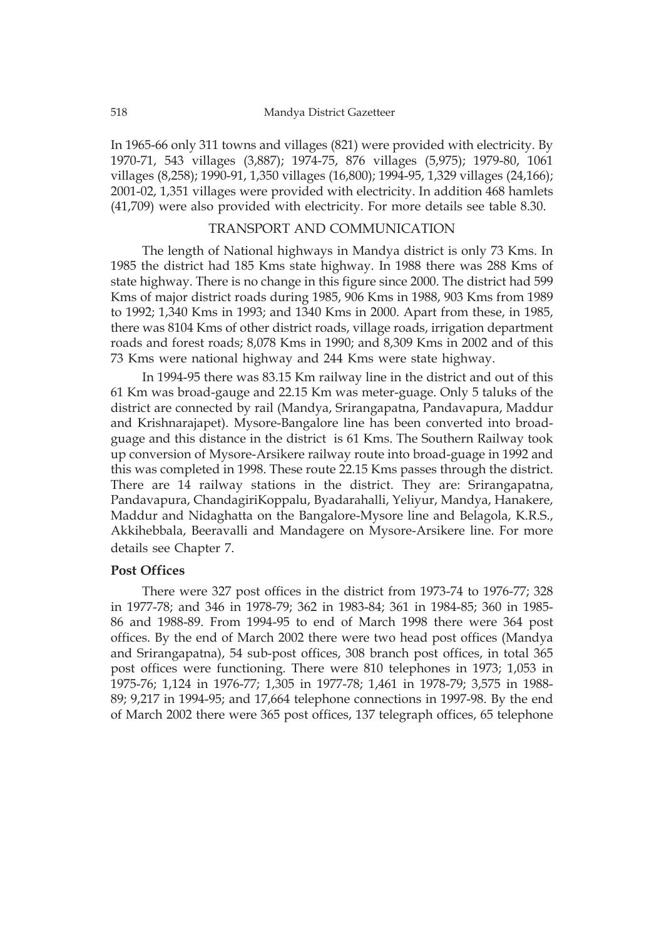#### 518 Mandya District Gazetteer

In 1965-66 only 311 towns and villages (821) were provided with electricity. By 1970-71, 543 villages (3,887); 1974-75, 876 villages (5,975); 1979-80, 1061 villages (8,258); 1990-91, 1,350 villages (16,800); 1994-95, 1,329 villages (24,166); 2001-02, 1,351 villages were provided with electricity. In addition 468 hamlets (41,709) were also provided with electricity. For more details see table 8.30.

## TRANSPORT AND COMMUNICATION

The length of National highways in Mandya district is only 73 Kms. In 1985 the district had 185 Kms state highway. In 1988 there was 288 Kms of state highway. There is no change in this figure since 2000. The district had 599 Kms of major district roads during 1985, 906 Kms in 1988, 903 Kms from 1989 to 1992; 1,340 Kms in 1993; and 1340 Kms in 2000. Apart from these, in 1985, there was 8104 Kms of other district roads, village roads, irrigation department roads and forest roads; 8,078 Kms in 1990; and 8,309 Kms in 2002 and of this 73 Kms were national highway and 244 Kms were state highway.

In 1994-95 there was 83.15 Km railway line in the district and out of this 61 Km was broad-gauge and 22.15 Km was meter-guage. Only 5 taluks of the district are connected by rail (Mandya, Srirangapatna, Pandavapura, Maddur and Krishnarajapet). Mysore-Bangalore line has been converted into broadguage and this distance in the district is 61 Kms. The Southern Railway took up conversion of Mysore-Arsikere railway route into broad-guage in 1992 and this was completed in 1998. These route 22.15 Kms passes through the district. There are 14 railway stations in the district. They are: Srirangapatna, Pandavapura, ChandagiriKoppalu, Byadarahalli, Yeliyur, Mandya, Hanakere, Maddur and Nidaghatta on the Bangalore-Mysore line and Belagola, K.R.S., Akkihebbala, Beeravalli and Mandagere on Mysore-Arsikere line. For more details see Chapter 7.

#### **Post Offices**

There were 327 post offices in the district from 1973-74 to 1976-77; 328 in 1977-78; and 346 in 1978-79; 362 in 1983-84; 361 in 1984-85; 360 in 1985- 86 and 1988-89. From 1994-95 to end of March 1998 there were 364 post offices. By the end of March 2002 there were two head post offices (Mandya and Srirangapatna), 54 sub-post offices, 308 branch post offices, in total 365 post offices were functioning. There were 810 telephones in 1973; 1,053 in 1975-76; 1,124 in 1976-77; 1,305 in 1977-78; 1,461 in 1978-79; 3,575 in 1988- 89; 9,217 in 1994-95; and 17,664 telephone connections in 1997-98. By the end of March 2002 there were 365 post offices, 137 telegraph offices, 65 telephone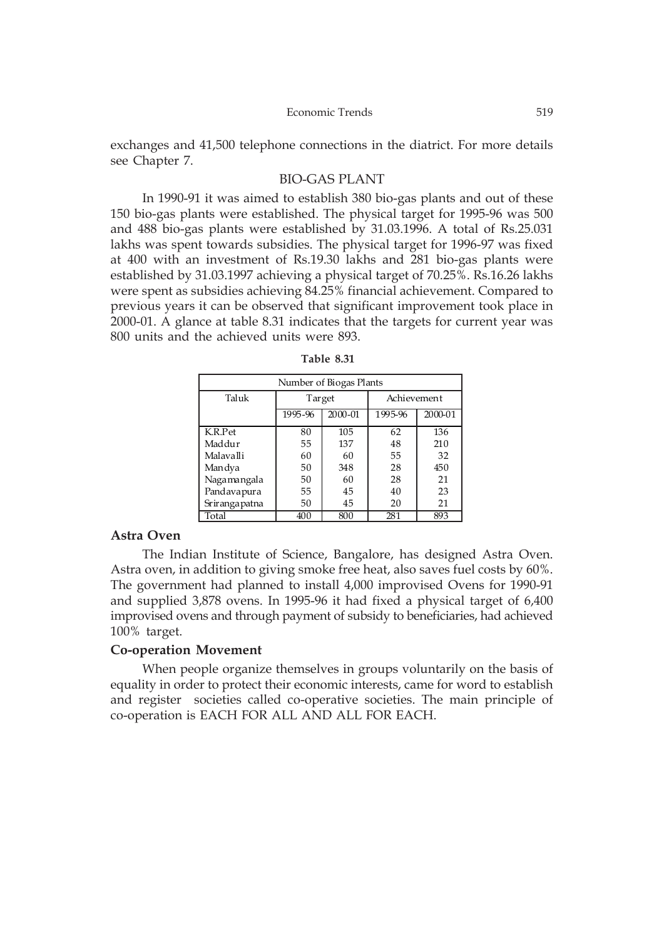exchanges and 41,500 telephone connections in the diatrict. For more details see Chapter 7.

### BIO-GAS PLANT

In 1990-91 it was aimed to establish 380 bio-gas plants and out of these 150 bio-gas plants were established. The physical target for 1995-96 was 500 and 488 bio-gas plants were established by 31.03.1996. A total of Rs.25.031 lakhs was spent towards subsidies. The physical target for 1996-97 was fixed at 400 with an investment of Rs.19.30 lakhs and 281 bio-gas plants were established by 31.03.1997 achieving a physical target of 70.25%. Rs.16.26 lakhs were spent as subsidies achieving 84.25% financial achievement. Compared to previous years it can be observed that significant improvement took place in 2000-01. A glance at table 8.31 indicates that the targets for current year was 800 units and the achieved units were 893.

| Number of Biogas Plants |                    |     |             |         |  |  |  |
|-------------------------|--------------------|-----|-------------|---------|--|--|--|
| Taluk                   | Target             |     | Achievement |         |  |  |  |
|                         | 2000-01<br>1995-96 |     | 1995-96     | 2000-01 |  |  |  |
| K.R.Pet                 | 80                 | 105 | 62          | 136     |  |  |  |
| Maddur                  | 55                 | 137 | 48          | 210     |  |  |  |
| Malavalli               | 60                 | 60  | 55          | 32      |  |  |  |
| Man dya                 | 50                 | 348 | 28          | 450     |  |  |  |
| Nagamangala             | 50                 | 60  | 28          | 21      |  |  |  |
| Pandavapura             | 55                 | 45  | 40          | 23      |  |  |  |
| Srirangapatna           | 50                 | 45  | 20          | 21      |  |  |  |
| Total                   | 400                | 800 | 281         | 893     |  |  |  |

**Table 8.31**

### **Astra Oven**

The Indian Institute of Science, Bangalore, has designed Astra Oven. Astra oven, in addition to giving smoke free heat, also saves fuel costs by 60%. The government had planned to install 4,000 improvised Ovens for 1990-91 and supplied 3,878 ovens. In 1995-96 it had fixed a physical target of 6,400 improvised ovens and through payment of subsidy to beneficiaries, had achieved 100% target.

#### **Co-operation Movement**

When people organize themselves in groups voluntarily on the basis of equality in order to protect their economic interests, came for word to establish and register societies called co-operative societies. The main principle of co-operation is EACH FOR ALL AND ALL FOR EACH.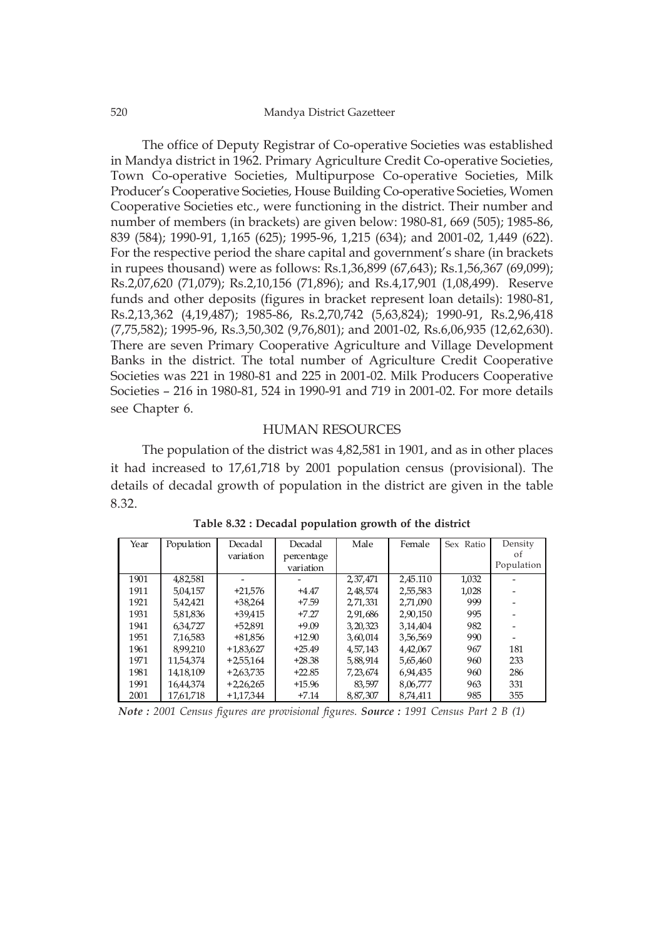The office of Deputy Registrar of Co-operative Societies was established in Mandya district in 1962. Primary Agriculture Credit Co-operative Societies, Town Co-operative Societies, Multipurpose Co-operative Societies, Milk Producer's Cooperative Societies, House Building Co-operative Societies, Women Cooperative Societies etc., were functioning in the district. Their number and number of members (in brackets) are given below: 1980-81, 669 (505); 1985-86, 839 (584); 1990-91, 1,165 (625); 1995-96, 1,215 (634); and 2001-02, 1,449 (622). For the respective period the share capital and government's share (in brackets in rupees thousand) were as follows: Rs.1,36,899 (67,643); Rs.1,56,367 (69,099); Rs.2,07,620 (71,079); Rs.2,10,156 (71,896); and Rs.4,17,901 (1,08,499). Reserve funds and other deposits (figures in bracket represent loan details): 1980-81, Rs.2,13,362 (4,19,487); 1985-86, Rs.2,70,742 (5,63,824); 1990-91, Rs.2,96,418 (7,75,582); 1995-96, Rs.3,50,302 (9,76,801); and 2001-02, Rs.6,06,935 (12,62,630). There are seven Primary Cooperative Agriculture and Village Development Banks in the district. The total number of Agriculture Credit Cooperative Societies was 221 in 1980-81 and 225 in 2001-02. Milk Producers Cooperative Societies – 216 in 1980-81, 524 in 1990-91 and 719 in 2001-02. For more details see Chapter 6.

#### HUMAN RESOURCES

The population of the district was 4,82,581 in 1901, and as in other places it had increased to 17,61,718 by 2001 population census (provisional). The details of decadal growth of population in the district are given in the table 8.32.

| Year | Population | Decadal     | Decadal    | Male       | Female   | Sex Ratio | Density    |
|------|------------|-------------|------------|------------|----------|-----------|------------|
|      |            | variation   | percentage |            |          |           | οf         |
|      |            |             | variation  |            |          |           | Population |
| 1901 | 4,82,581   |             |            | 2,37,471   | 2.45.110 | 1,032     |            |
| 1911 | 5.04.157   | $+21.576$   | $+4.47$    | 2.48.574   | 2.55.583 | 1,028     |            |
| 1921 | 5.42.421   | $+38.264$   | $+7.59$    | 2,71,331   | 2.71.090 | 999       |            |
| 1931 | 5,81,836   | +39.415     | $+7.27$    | 2,91,686   | 2,90,150 | 995       |            |
| 1941 | 6,34,727   | +52.891     | $+9.09$    | 3, 20, 323 | 3,14,404 | 982       |            |
| 1951 | 7,16,583   | +81.856     | $+12.90$   | 3,60,014   | 3,56,569 | 990       |            |
| 1961 | 8.99.210   | $+1.83.627$ | $+25.49$   | 4.57.143   | 4,42,067 | 967       | 181        |
| 1971 | 11.54.374  | $+2.55.164$ | $+28.38$   | 5,88,914   | 5,65,460 | 960       | 233        |
| 1981 | 14,18,109  | $+2.63.735$ | $+22.85$   | 7, 23, 674 | 6,94,435 | 960       | 286        |
| 1991 | 16.44.374  | $+2.26.265$ | $+15.96$   | 83,597     | 8,06,777 | 963       | 331        |
| 2001 | 17.61.718  | $+1.17.344$ | $+7.14$    | 8,87,307   | 8.74.411 | 985       | 355        |

**Table 8.32 : Decadal population growth of the district**

*Note : 2001 Census figures are provisional figures. Source : 1991 Census Part 2 B (1)*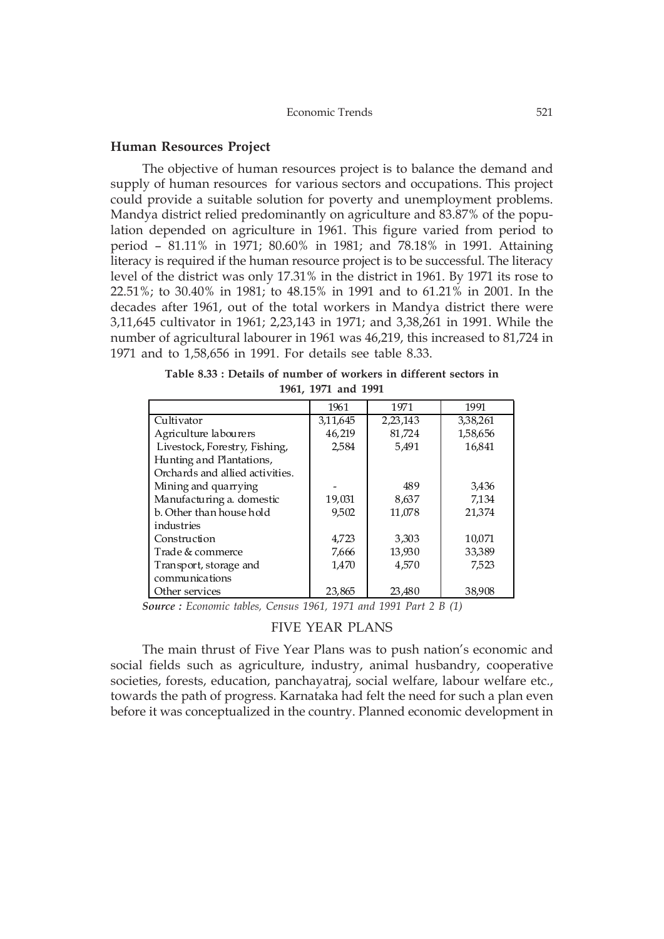#### **Human Resources Project**

The objective of human resources project is to balance the demand and supply of human resources for various sectors and occupations. This project could provide a suitable solution for poverty and unemployment problems. Mandya district relied predominantly on agriculture and 83.87% of the population depended on agriculture in 1961. This figure varied from period to period – 81.11% in 1971; 80.60% in 1981; and 78.18% in 1991. Attaining literacy is required if the human resource project is to be successful. The literacy level of the district was only 17.31% in the district in 1961. By 1971 its rose to 22.51%; to 30.40% in 1981; to 48.15% in 1991 and to 61.21% in 2001. In the decades after 1961, out of the total workers in Mandya district there were 3,11,645 cultivator in 1961; 2,23,143 in 1971; and 3,38,261 in 1991. While the number of agricultural labourer in 1961 was 46,219, this increased to 81,724 in 1971 and to 1,58,656 in 1991. For details see table 8.33.

**Table 8.33 : Details of number of workers in different sectors in 1961, 1971 and 1991**

|                                 | 1961     | 1971     | 1991     |
|---------------------------------|----------|----------|----------|
| Cultivator                      | 3,11,645 | 2,23,143 | 3,38,261 |
| Agriculture labourers           | 46,219   | 81,724   | 1,58,656 |
| Livestock, Forestry, Fishing,   | 2,584    | 5.491    | 16,841   |
| Hunting and Plantations,        |          |          |          |
| Orchards and allied activities. |          |          |          |
| Mining and quarrying            |          | 489      | 3,436    |
| Manufacturing a. domestic       | 19,031   | 8,637    | 7,134    |
| b. Other than house hold        | 9,502    | 11,078   | 21,374   |
| industries                      |          |          |          |
| Construction                    | 4,723    | 3,303    | 10,071   |
| Trade & commerce                | 7,666    | 13,930   | 33,389   |
| Transport, storage and          | 1,470    | 4.570    | 7.523    |
| communications                  |          |          |          |
| Other services                  | 23,865   | 23,480   | 38,908   |

*Source : Economic tables, Census 1961, 1971 and 1991 Part 2 B (1)*

### FIVE YEAR PLANS

The main thrust of Five Year Plans was to push nation's economic and social fields such as agriculture, industry, animal husbandry, cooperative societies, forests, education, panchayatraj, social welfare, labour welfare etc., towards the path of progress. Karnataka had felt the need for such a plan even before it was conceptualized in the country. Planned economic development in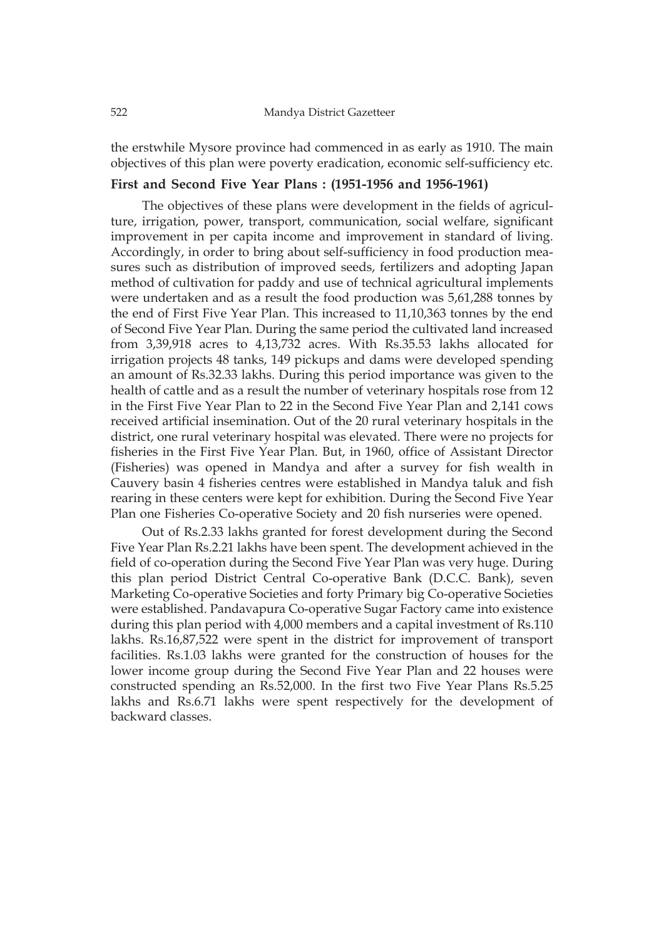the erstwhile Mysore province had commenced in as early as 1910. The main objectives of this plan were poverty eradication, economic self-sufficiency etc.

### **First and Second Five Year Plans : (1951-1956 and 1956-1961)**

The objectives of these plans were development in the fields of agriculture, irrigation, power, transport, communication, social welfare, significant improvement in per capita income and improvement in standard of living. Accordingly, in order to bring about self-sufficiency in food production measures such as distribution of improved seeds, fertilizers and adopting Japan method of cultivation for paddy and use of technical agricultural implements were undertaken and as a result the food production was 5,61,288 tonnes by the end of First Five Year Plan. This increased to 11,10,363 tonnes by the end of Second Five Year Plan. During the same period the cultivated land increased from 3,39,918 acres to 4,13,732 acres. With Rs.35.53 lakhs allocated for irrigation projects 48 tanks, 149 pickups and dams were developed spending an amount of Rs.32.33 lakhs. During this period importance was given to the health of cattle and as a result the number of veterinary hospitals rose from 12 in the First Five Year Plan to 22 in the Second Five Year Plan and 2,141 cows received artificial insemination. Out of the 20 rural veterinary hospitals in the district, one rural veterinary hospital was elevated. There were no projects for fisheries in the First Five Year Plan. But, in 1960, office of Assistant Director (Fisheries) was opened in Mandya and after a survey for fish wealth in Cauvery basin 4 fisheries centres were established in Mandya taluk and fish rearing in these centers were kept for exhibition. During the Second Five Year Plan one Fisheries Co-operative Society and 20 fish nurseries were opened.

Out of Rs.2.33 lakhs granted for forest development during the Second Five Year Plan Rs.2.21 lakhs have been spent. The development achieved in the field of co-operation during the Second Five Year Plan was very huge. During this plan period District Central Co-operative Bank (D.C.C. Bank), seven Marketing Co-operative Societies and forty Primary big Co-operative Societies were established. Pandavapura Co-operative Sugar Factory came into existence during this plan period with 4,000 members and a capital investment of Rs.110 lakhs. Rs.16,87,522 were spent in the district for improvement of transport facilities. Rs.1.03 lakhs were granted for the construction of houses for the lower income group during the Second Five Year Plan and 22 houses were constructed spending an Rs.52,000. In the first two Five Year Plans Rs.5.25 lakhs and Rs.6.71 lakhs were spent respectively for the development of backward classes.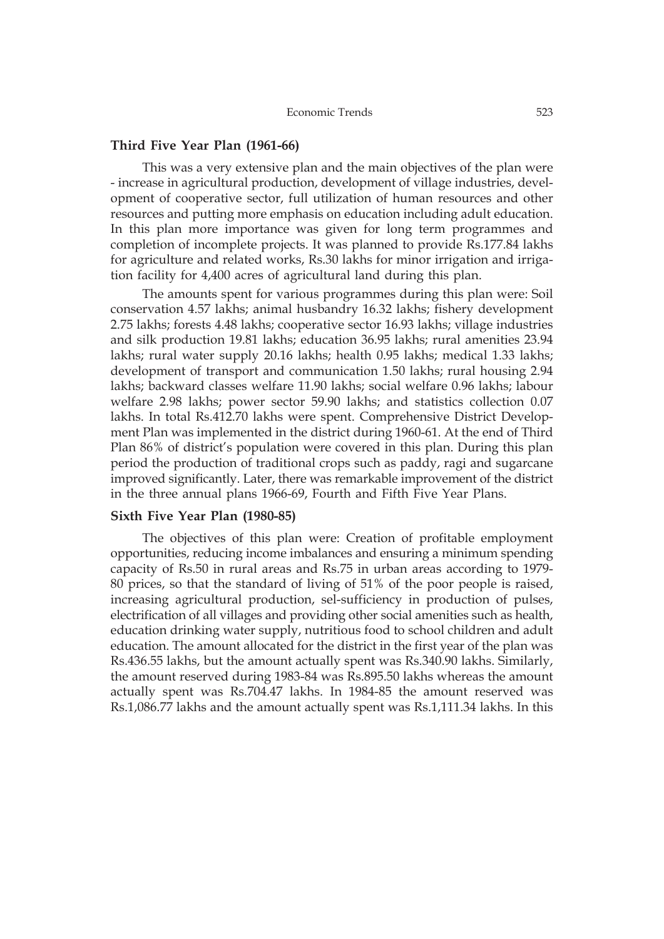#### **Third Five Year Plan (1961-66)**

This was a very extensive plan and the main objectives of the plan were - increase in agricultural production, development of village industries, development of cooperative sector, full utilization of human resources and other resources and putting more emphasis on education including adult education. In this plan more importance was given for long term programmes and completion of incomplete projects. It was planned to provide Rs.177.84 lakhs for agriculture and related works, Rs.30 lakhs for minor irrigation and irrigation facility for 4,400 acres of agricultural land during this plan.

The amounts spent for various programmes during this plan were: Soil conservation 4.57 lakhs; animal husbandry 16.32 lakhs; fishery development 2.75 lakhs; forests 4.48 lakhs; cooperative sector 16.93 lakhs; village industries and silk production 19.81 lakhs; education 36.95 lakhs; rural amenities 23.94 lakhs; rural water supply 20.16 lakhs; health 0.95 lakhs; medical 1.33 lakhs; development of transport and communication 1.50 lakhs; rural housing 2.94 lakhs; backward classes welfare 11.90 lakhs; social welfare 0.96 lakhs; labour welfare 2.98 lakhs; power sector 59.90 lakhs; and statistics collection 0.07 lakhs. In total Rs.412.70 lakhs were spent. Comprehensive District Development Plan was implemented in the district during 1960-61. At the end of Third Plan 86% of district's population were covered in this plan. During this plan period the production of traditional crops such as paddy, ragi and sugarcane improved significantly. Later, there was remarkable improvement of the district in the three annual plans 1966-69, Fourth and Fifth Five Year Plans.

#### **Sixth Five Year Plan (1980-85)**

The objectives of this plan were: Creation of profitable employment opportunities, reducing income imbalances and ensuring a minimum spending capacity of Rs.50 in rural areas and Rs.75 in urban areas according to 1979- 80 prices, so that the standard of living of 51% of the poor people is raised, increasing agricultural production, sel-sufficiency in production of pulses, electrification of all villages and providing other social amenities such as health, education drinking water supply, nutritious food to school children and adult education. The amount allocated for the district in the first year of the plan was Rs.436.55 lakhs, but the amount actually spent was Rs.340.90 lakhs. Similarly, the amount reserved during 1983-84 was Rs.895.50 lakhs whereas the amount actually spent was Rs.704.47 lakhs. In 1984-85 the amount reserved was Rs.1,086.77 lakhs and the amount actually spent was Rs.1,111.34 lakhs. In this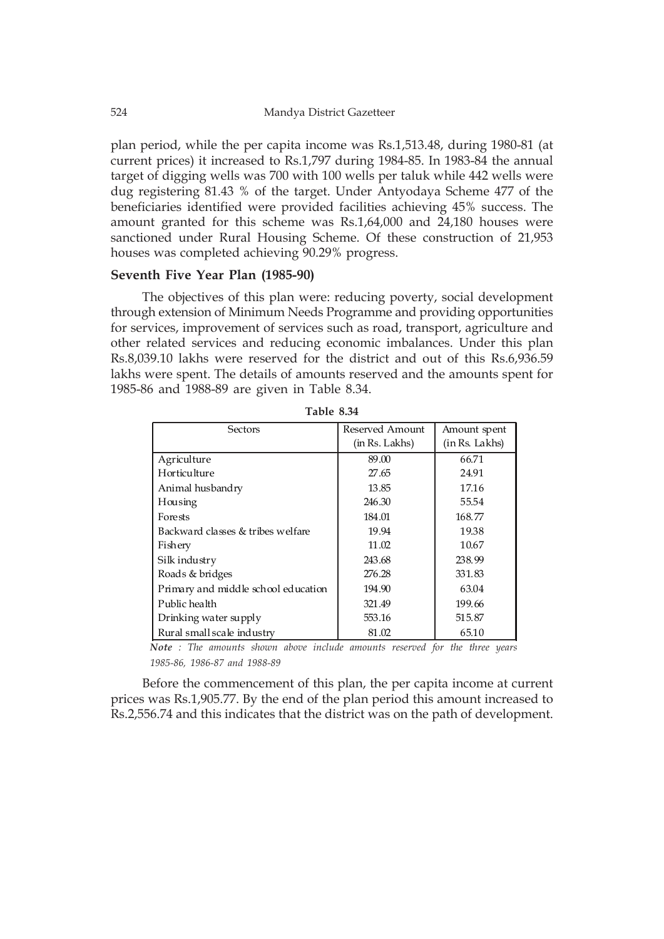plan period, while the per capita income was Rs.1,513.48, during 1980-81 (at current prices) it increased to Rs.1,797 during 1984-85. In 1983-84 the annual target of digging wells was 700 with 100 wells per taluk while 442 wells were dug registering 81.43 % of the target. Under Antyodaya Scheme 477 of the beneficiaries identified were provided facilities achieving 45% success. The amount granted for this scheme was Rs.1,64,000 and 24,180 houses were sanctioned under Rural Housing Scheme. Of these construction of 21,953 houses was completed achieving 90.29% progress.

#### **Seventh Five Year Plan (1985-90)**

The objectives of this plan were: reducing poverty, social development through extension of Minimum Needs Programme and providing opportunities for services, improvement of services such as road, transport, agriculture and other related services and reducing economic imbalances. Under this plan Rs.8,039.10 lakhs were reserved for the district and out of this Rs.6,936.59 lakhs were spent. The details of amounts reserved and the amounts spent for 1985-86 and 1988-89 are given in Table 8.34.

| Sectors                             | Reserved Amount<br>(in Rs. Lakhs) | Amount spent<br>(in Rs. Lakhs) |
|-------------------------------------|-----------------------------------|--------------------------------|
| Agriculture                         | 89.00                             | 66.71                          |
| <b>Horticulture</b>                 | 27.65                             | 24.91                          |
| Animal husbandry                    | 13.85                             | 17.16                          |
| Housing                             | 246.30                            | 55.54                          |
| Forests                             | 184.01                            | 168.77                         |
| Backward classes & tribes welfare   | 19.94                             | 19.38                          |
| Fishery                             | 11.02                             | 10.67                          |
| Silk industry                       | 243.68                            | 238.99                         |
| Roads & bridges                     | 276.28                            | 331.83                         |
| Primary and middle school education | 194.90                            | 63.04                          |
| Public health                       | 321.49                            | 199.66                         |
| Drinking water supply               | 553.16                            | 515.87                         |
| Rural small scale industry          | 81.02                             | 65.10                          |

**Table 8.34**

*Note : The amounts shown above include amounts reserved for the three years 1985-86, 1986-87 and 1988-89*

Before the commencement of this plan, the per capita income at current prices was Rs.1,905.77. By the end of the plan period this amount increased to Rs.2,556.74 and this indicates that the district was on the path of development.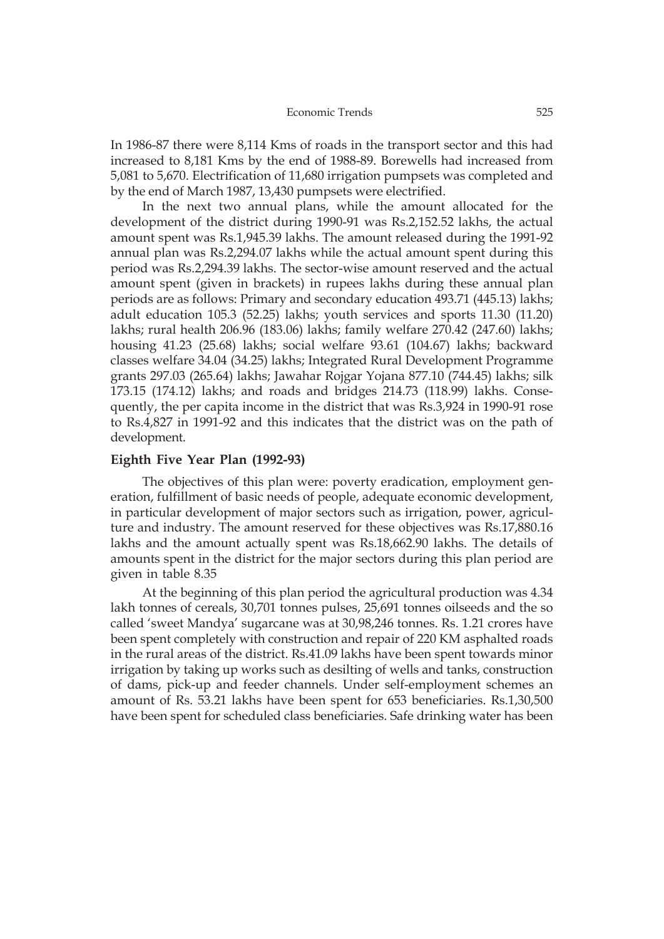In 1986-87 there were 8,114 Kms of roads in the transport sector and this had increased to 8,181 Kms by the end of 1988-89. Borewells had increased from 5,081 to 5,670. Electrification of 11,680 irrigation pumpsets was completed and by the end of March 1987, 13,430 pumpsets were electrified.

In the next two annual plans, while the amount allocated for the development of the district during 1990-91 was Rs.2,152.52 lakhs, the actual amount spent was Rs.1,945.39 lakhs. The amount released during the 1991-92 annual plan was Rs.2,294.07 lakhs while the actual amount spent during this period was Rs.2,294.39 lakhs. The sector-wise amount reserved and the actual amount spent (given in brackets) in rupees lakhs during these annual plan periods are as follows: Primary and secondary education 493.71 (445.13) lakhs; adult education 105.3 (52.25) lakhs; youth services and sports 11.30 (11.20) lakhs; rural health 206.96 (183.06) lakhs; family welfare 270.42 (247.60) lakhs; housing 41.23 (25.68) lakhs; social welfare 93.61 (104.67) lakhs; backward classes welfare 34.04 (34.25) lakhs; Integrated Rural Development Programme grants 297.03 (265.64) lakhs; Jawahar Rojgar Yojana 877.10 (744.45) lakhs; silk 173.15 (174.12) lakhs; and roads and bridges 214.73 (118.99) lakhs. Consequently, the per capita income in the district that was Rs.3,924 in 1990-91 rose to Rs.4,827 in 1991-92 and this indicates that the district was on the path of development.

#### **Eighth Five Year Plan (1992-93)**

The objectives of this plan were: poverty eradication, employment generation, fulfillment of basic needs of people, adequate economic development, in particular development of major sectors such as irrigation, power, agriculture and industry. The amount reserved for these objectives was Rs.17,880.16 lakhs and the amount actually spent was Rs.18,662.90 lakhs. The details of amounts spent in the district for the major sectors during this plan period are given in table 8.35

At the beginning of this plan period the agricultural production was 4.34 lakh tonnes of cereals, 30,701 tonnes pulses, 25,691 tonnes oilseeds and the so called 'sweet Mandya' sugarcane was at 30,98,246 tonnes. Rs. 1.21 crores have been spent completely with construction and repair of 220 KM asphalted roads in the rural areas of the district. Rs.41.09 lakhs have been spent towards minor irrigation by taking up works such as desilting of wells and tanks, construction of dams, pick-up and feeder channels. Under self-employment schemes an amount of Rs. 53.21 lakhs have been spent for 653 beneficiaries. Rs.1,30,500 have been spent for scheduled class beneficiaries. Safe drinking water has been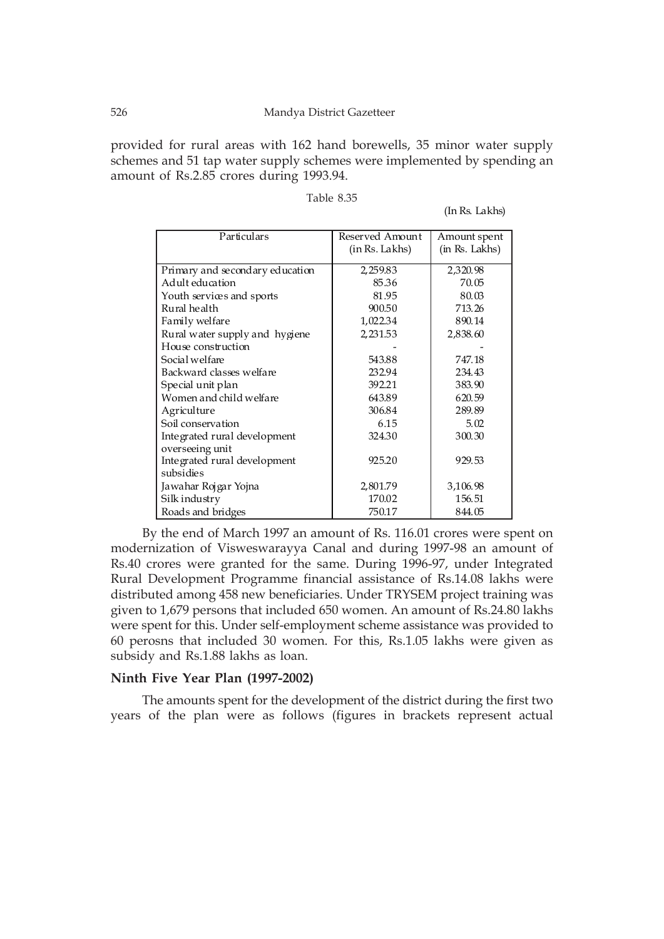provided for rural areas with 162 hand borewells, 35 minor water supply schemes and 51 tap water supply schemes were implemented by spending an amount of Rs.2.85 crores during 1993.94.

| Particulars                     | Reserved Amount<br>(in Rs. Lakhs) | Amount spent<br>(in Rs. Lakhs) |
|---------------------------------|-----------------------------------|--------------------------------|
| Primary and secondary education | 2,259.83                          | 2,320.98                       |
| Adult education                 | 85.36                             | 70.05                          |
| Youth services and sports       | 81.95                             | 80.03                          |
| Rural health                    | 900.50                            | 713.26                         |
| Family welfare                  | 1,022.34                          | 890.14                         |
| Rural water supply and hygiene  | 2,231.53                          | 2,838.60                       |
| House construction              |                                   |                                |
| Social welfare                  | 543.88                            | 747.18                         |
| Backward classes welfare        | 232.94                            | 234.43                         |
| Special unit plan               | 392.21                            | 383.90                         |
| Women and child welfare         | 643.89                            | 620.59                         |
| Agriculture                     | 306.84                            | 289.89                         |
| Soil conservation               | 6.15                              | 5.02                           |
| Integrated rural development    | 324.30                            | 300.30                         |
| overseeing unit                 |                                   |                                |
| Integrated rural development    | 925.20                            | 929.53                         |
| subsidies                       |                                   |                                |
| Jawahar Rojgar Yojna            | 2,801.79                          | 3,106.98                       |
| Silk industry                   | 170.02                            | 156.51                         |
| Roads and bridges               | 750.17                            | 844.05                         |

| Table 8.35 |  |
|------------|--|
|------------|--|

(In Rs. Lakhs)

By the end of March 1997 an amount of Rs. 116.01 crores were spent on modernization of Visweswarayya Canal and during 1997-98 an amount of Rs.40 crores were granted for the same. During 1996-97, under Integrated Rural Development Programme financial assistance of Rs.14.08 lakhs were distributed among 458 new beneficiaries. Under TRYSEM project training was given to 1,679 persons that included 650 women. An amount of Rs.24.80 lakhs were spent for this. Under self-employment scheme assistance was provided to 60 perosns that included 30 women. For this, Rs.1.05 lakhs were given as subsidy and Rs.1.88 lakhs as loan.

#### **Ninth Five Year Plan (1997-2002)**

The amounts spent for the development of the district during the first two years of the plan were as follows (figures in brackets represent actual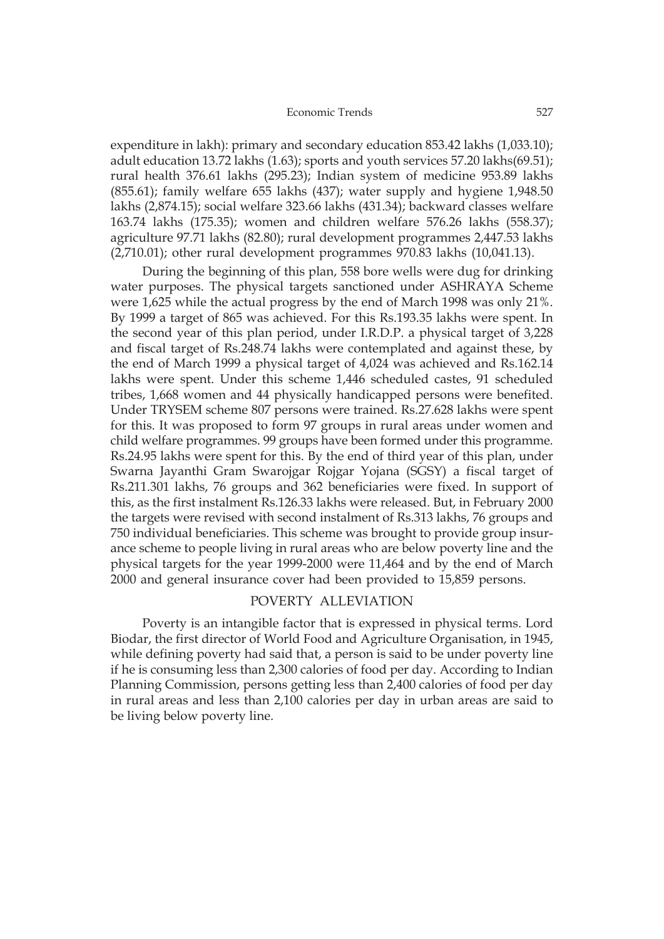expenditure in lakh): primary and secondary education 853.42 lakhs (1,033.10); adult education 13.72 lakhs (1.63); sports and youth services 57.20 lakhs(69.51); rural health 376.61 lakhs (295.23); Indian system of medicine 953.89 lakhs (855.61); family welfare 655 lakhs (437); water supply and hygiene 1,948.50 lakhs (2,874.15); social welfare 323.66 lakhs (431.34); backward classes welfare 163.74 lakhs (175.35); women and children welfare 576.26 lakhs (558.37); agriculture 97.71 lakhs (82.80); rural development programmes 2,447.53 lakhs  $(2,710.01)$ ; other rural development programmes  $970.83$  lakhs  $(10,041.13)$ .

During the beginning of this plan, 558 bore wells were dug for drinking water purposes. The physical targets sanctioned under ASHRAYA Scheme were 1,625 while the actual progress by the end of March 1998 was only 21%. By 1999 a target of 865 was achieved. For this Rs.193.35 lakhs were spent. In the second year of this plan period, under I.R.D.P. a physical target of 3,228 and fiscal target of Rs.248.74 lakhs were contemplated and against these, by the end of March 1999 a physical target of 4,024 was achieved and Rs.162.14 lakhs were spent. Under this scheme 1,446 scheduled castes, 91 scheduled tribes, 1,668 women and 44 physically handicapped persons were benefited. Under TRYSEM scheme 807 persons were trained. Rs.27.628 lakhs were spent for this. It was proposed to form 97 groups in rural areas under women and child welfare programmes. 99 groups have been formed under this programme. Rs.24.95 lakhs were spent for this. By the end of third year of this plan, under Swarna Jayanthi Gram Swarojgar Rojgar Yojana (SGSY) a fiscal target of Rs.211.301 lakhs, 76 groups and 362 beneficiaries were fixed. In support of this, as the first instalment Rs.126.33 lakhs were released. But, in February 2000 the targets were revised with second instalment of Rs.313 lakhs, 76 groups and 750 individual beneficiaries. This scheme was brought to provide group insurance scheme to people living in rural areas who are below poverty line and the physical targets for the year 1999-2000 were 11,464 and by the end of March 2000 and general insurance cover had been provided to 15,859 persons.

### POVERTY ALLEVIATION

Poverty is an intangible factor that is expressed in physical terms. Lord Biodar, the first director of World Food and Agriculture Organisation, in 1945, while defining poverty had said that, a person is said to be under poverty line if he is consuming less than 2,300 calories of food per day. According to Indian Planning Commission, persons getting less than 2,400 calories of food per day in rural areas and less than 2,100 calories per day in urban areas are said to be living below poverty line.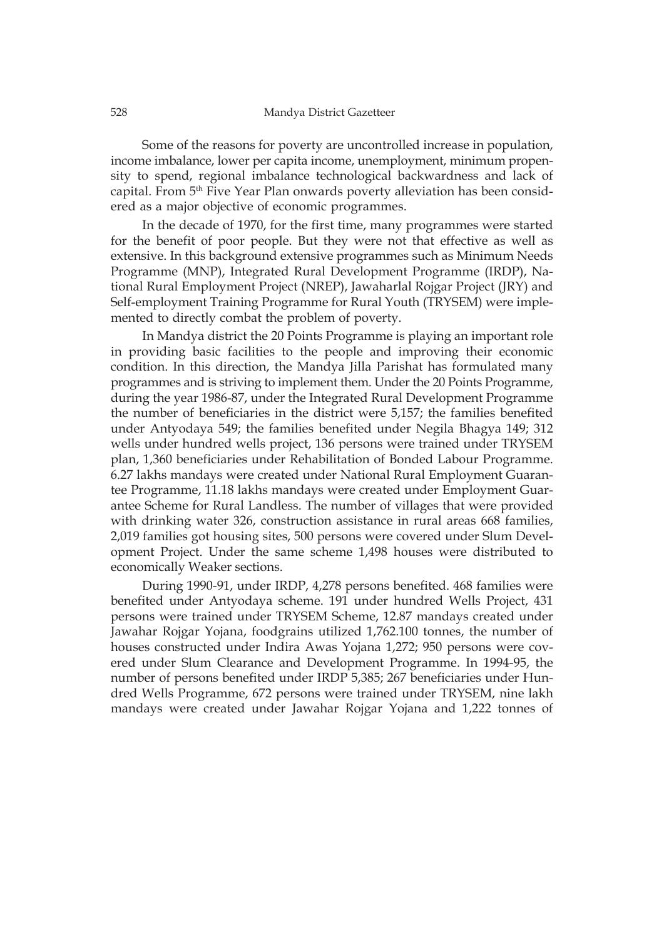Some of the reasons for poverty are uncontrolled increase in population, income imbalance, lower per capita income, unemployment, minimum propensity to spend, regional imbalance technological backwardness and lack of capital. From 5<sup>th</sup> Five Year Plan onwards poverty alleviation has been considered as a major objective of economic programmes.

In the decade of 1970, for the first time, many programmes were started for the benefit of poor people. But they were not that effective as well as extensive. In this background extensive programmes such as Minimum Needs Programme (MNP), Integrated Rural Development Programme (IRDP), National Rural Employment Project (NREP), Jawaharlal Rojgar Project (JRY) and Self-employment Training Programme for Rural Youth (TRYSEM) were implemented to directly combat the problem of poverty.

In Mandya district the 20 Points Programme is playing an important role in providing basic facilities to the people and improving their economic condition. In this direction, the Mandya Jilla Parishat has formulated many programmes and is striving to implement them. Under the 20 Points Programme, during the year 1986-87, under the Integrated Rural Development Programme the number of beneficiaries in the district were 5,157; the families benefited under Antyodaya 549; the families benefited under Negila Bhagya 149; 312 wells under hundred wells project, 136 persons were trained under TRYSEM plan, 1,360 beneficiaries under Rehabilitation of Bonded Labour Programme. 6.27 lakhs mandays were created under National Rural Employment Guarantee Programme, 11.18 lakhs mandays were created under Employment Guarantee Scheme for Rural Landless. The number of villages that were provided with drinking water 326, construction assistance in rural areas 668 families, 2,019 families got housing sites, 500 persons were covered under Slum Development Project. Under the same scheme 1,498 houses were distributed to economically Weaker sections.

During 1990-91, under IRDP, 4,278 persons benefited. 468 families were benefited under Antyodaya scheme. 191 under hundred Wells Project, 431 persons were trained under TRYSEM Scheme, 12.87 mandays created under Jawahar Rojgar Yojana, foodgrains utilized 1,762.100 tonnes, the number of houses constructed under Indira Awas Yojana 1,272; 950 persons were covered under Slum Clearance and Development Programme. In 1994-95, the number of persons benefited under IRDP 5,385; 267 beneficiaries under Hundred Wells Programme, 672 persons were trained under TRYSEM, nine lakh mandays were created under Jawahar Rojgar Yojana and 1,222 tonnes of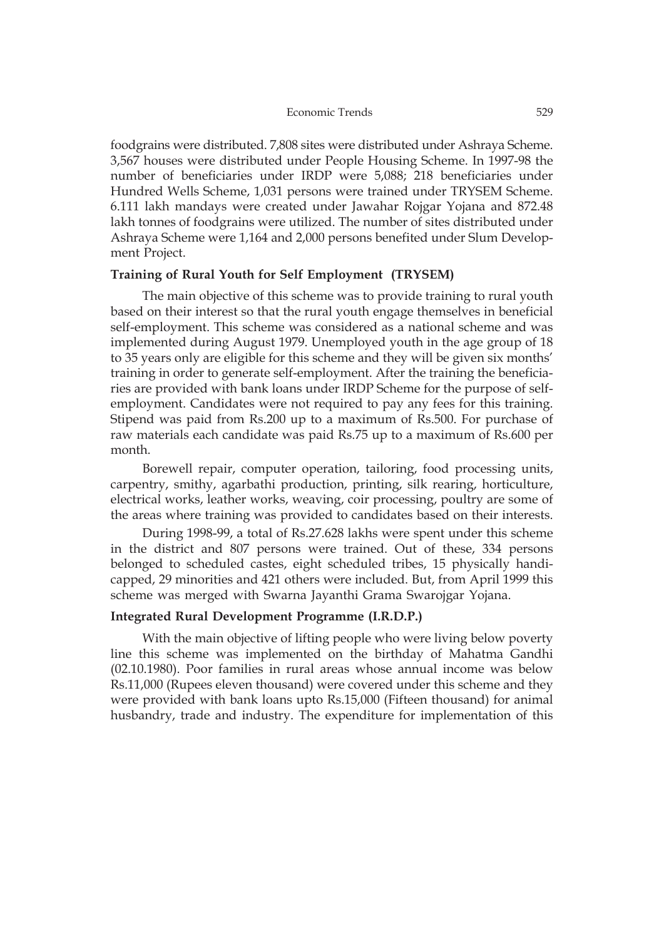foodgrains were distributed. 7,808 sites were distributed under Ashraya Scheme. 3,567 houses were distributed under People Housing Scheme. In 1997-98 the number of beneficiaries under IRDP were 5,088; 218 beneficiaries under Hundred Wells Scheme, 1,031 persons were trained under TRYSEM Scheme. 6.111 lakh mandays were created under Jawahar Rojgar Yojana and 872.48 lakh tonnes of foodgrains were utilized. The number of sites distributed under Ashraya Scheme were 1,164 and 2,000 persons benefited under Slum Development Project.

## **Training of Rural Youth for Self Employment (TRYSEM)**

The main objective of this scheme was to provide training to rural youth based on their interest so that the rural youth engage themselves in beneficial self-employment. This scheme was considered as a national scheme and was implemented during August 1979. Unemployed youth in the age group of 18 to 35 years only are eligible for this scheme and they will be given six months' training in order to generate self-employment. After the training the beneficiaries are provided with bank loans under IRDP Scheme for the purpose of selfemployment. Candidates were not required to pay any fees for this training. Stipend was paid from Rs.200 up to a maximum of Rs.500. For purchase of raw materials each candidate was paid Rs.75 up to a maximum of Rs.600 per month.

Borewell repair, computer operation, tailoring, food processing units, carpentry, smithy, agarbathi production, printing, silk rearing, horticulture, electrical works, leather works, weaving, coir processing, poultry are some of the areas where training was provided to candidates based on their interests.

During 1998-99, a total of Rs.27.628 lakhs were spent under this scheme in the district and 807 persons were trained. Out of these, 334 persons belonged to scheduled castes, eight scheduled tribes, 15 physically handicapped, 29 minorities and 421 others were included. But, from April 1999 this scheme was merged with Swarna Jayanthi Grama Swarojgar Yojana.

### **Integrated Rural Development Programme (I.R.D.P.)**

With the main objective of lifting people who were living below poverty line this scheme was implemented on the birthday of Mahatma Gandhi (02.10.1980). Poor families in rural areas whose annual income was below Rs.11,000 (Rupees eleven thousand) were covered under this scheme and they were provided with bank loans upto Rs.15,000 (Fifteen thousand) for animal husbandry, trade and industry. The expenditure for implementation of this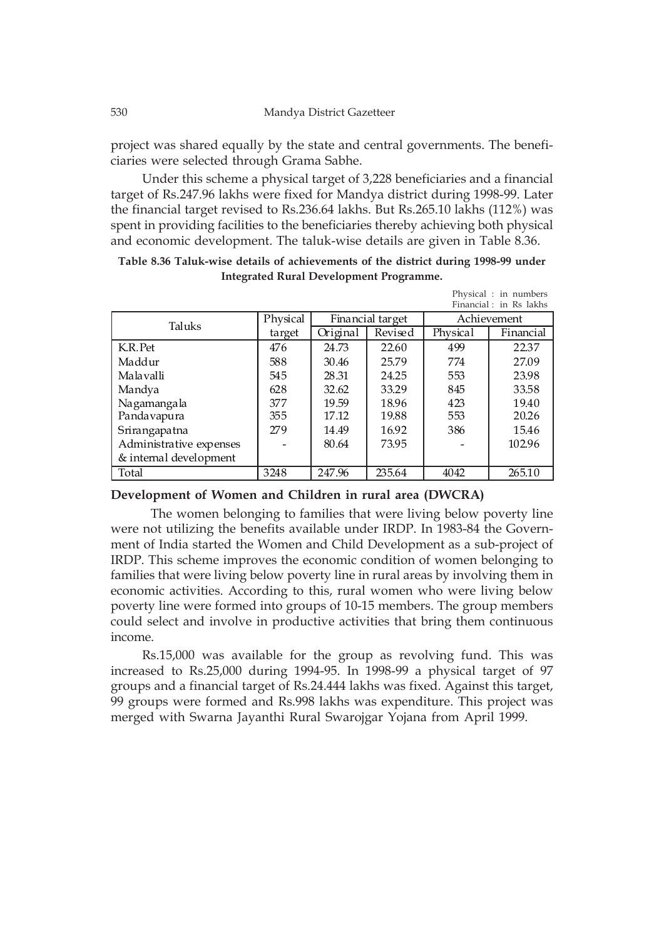project was shared equally by the state and central governments. The beneficiaries were selected through Grama Sabhe.

Under this scheme a physical target of 3,228 beneficiaries and a financial target of Rs.247.96 lakhs were fixed for Mandya district during 1998-99. Later the financial target revised to Rs.236.64 lakhs. But Rs.265.10 lakhs (112%) was spent in providing facilities to the beneficiaries thereby achieving both physical and economic development. The taluk-wise details are given in Table 8.36.

|                         |          |                  |         |          | Physical : in numbers<br>Financial: in Rs lakhs |  |
|-------------------------|----------|------------------|---------|----------|-------------------------------------------------|--|
| Taluks                  | Physical | Financial target |         |          | Achievement                                     |  |
|                         | target   | Original         | Revised | Physical | Financial                                       |  |
| K.R. Pet                | 476      | 24.73            | 22.60   | 499      | 22.37                                           |  |
| Maddur                  | 588      | 30.46            | 25.79   | 774      | 27.09                                           |  |
| Malavalli               | 545      | 28.31            | 24.25   | 553      | 23.98                                           |  |
| Mandya                  | 628      | 32.62            | 33.29   | 845      | 33.58                                           |  |
| Nagamangala             | 377      | 19.59            | 18.96   | 423      | 19.40                                           |  |
| Pandavapura             | 355      | 17.12            | 19.88   | 553      | 20.26                                           |  |
| Srirangapatna           | 279      | 14.49            | 16.92   | 386      | 15.46                                           |  |
| Administrative expenses |          | 80.64            | 73.95   |          | 102.96                                          |  |
| & internal development  |          |                  |         |          |                                                 |  |
| Total                   | 3248     | 247.96           | 235.64  | 4042     | 265.10                                          |  |

**Table 8.36 Taluk-wise details of achievements of the district during 1998-99 under Integrated Rural Development Programme.**

### **Development of Women and Children in rural area (DWCRA)**

The women belonging to families that were living below poverty line were not utilizing the benefits available under IRDP. In 1983-84 the Government of India started the Women and Child Development as a sub-project of IRDP. This scheme improves the economic condition of women belonging to families that were living below poverty line in rural areas by involving them in economic activities. According to this, rural women who were living below poverty line were formed into groups of 10-15 members. The group members could select and involve in productive activities that bring them continuous income.

Rs.15,000 was available for the group as revolving fund. This was increased to Rs.25,000 during 1994-95. In 1998-99 a physical target of 97 groups and a financial target of Rs.24.444 lakhs was fixed. Against this target, 99 groups were formed and Rs.998 lakhs was expenditure. This project was merged with Swarna Jayanthi Rural Swarojgar Yojana from April 1999.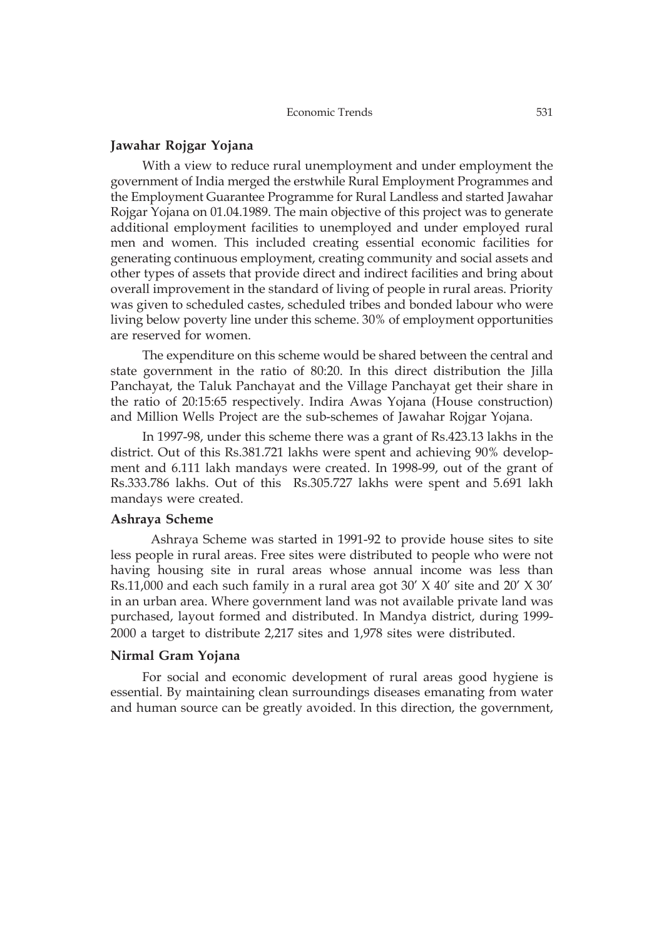### **Jawahar Rojgar Yojana**

With a view to reduce rural unemployment and under employment the government of India merged the erstwhile Rural Employment Programmes and the Employment Guarantee Programme for Rural Landless and started Jawahar Rojgar Yojana on 01.04.1989. The main objective of this project was to generate additional employment facilities to unemployed and under employed rural men and women. This included creating essential economic facilities for generating continuous employment, creating community and social assets and other types of assets that provide direct and indirect facilities and bring about overall improvement in the standard of living of people in rural areas. Priority was given to scheduled castes, scheduled tribes and bonded labour who were living below poverty line under this scheme. 30% of employment opportunities are reserved for women.

The expenditure on this scheme would be shared between the central and state government in the ratio of 80:20. In this direct distribution the Jilla Panchayat, the Taluk Panchayat and the Village Panchayat get their share in the ratio of 20:15:65 respectively. Indira Awas Yojana (House construction) and Million Wells Project are the sub-schemes of Jawahar Rojgar Yojana.

In 1997-98, under this scheme there was a grant of Rs.423.13 lakhs in the district. Out of this Rs.381.721 lakhs were spent and achieving 90% development and 6.111 lakh mandays were created. In 1998-99, out of the grant of Rs.333.786 lakhs. Out of this Rs.305.727 lakhs were spent and 5.691 lakh mandays were created.

### **Ashraya Scheme**

Ashraya Scheme was started in 1991-92 to provide house sites to site less people in rural areas. Free sites were distributed to people who were not having housing site in rural areas whose annual income was less than Rs.11,000 and each such family in a rural area got 30' X 40' site and 20' X 30' in an urban area. Where government land was not available private land was purchased, layout formed and distributed. In Mandya district, during 1999- 2000 a target to distribute 2,217 sites and 1,978 sites were distributed.

#### **Nirmal Gram Yojana**

For social and economic development of rural areas good hygiene is essential. By maintaining clean surroundings diseases emanating from water and human source can be greatly avoided. In this direction, the government,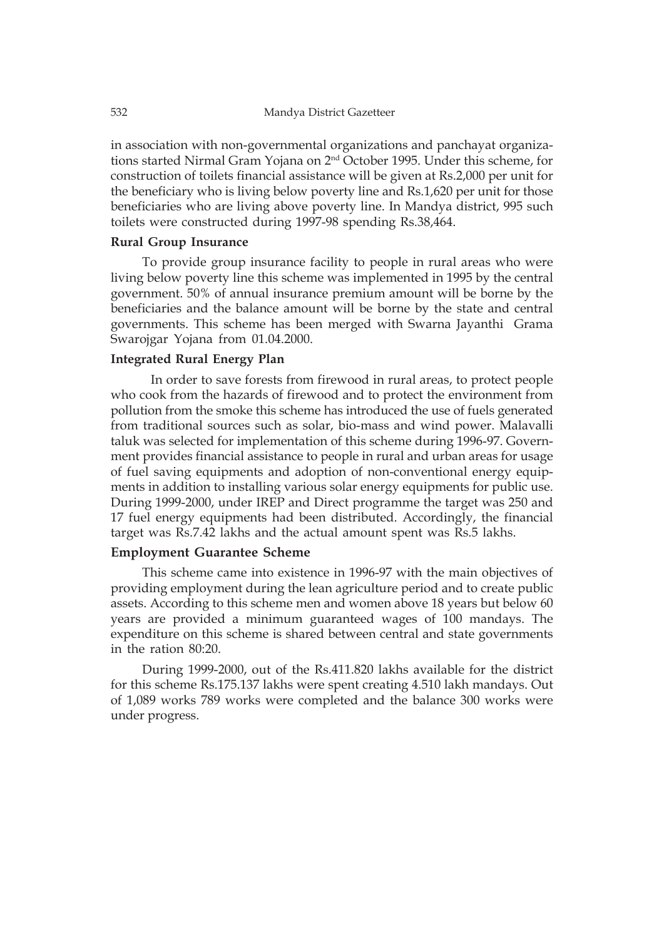in association with non-governmental organizations and panchayat organizations started Nirmal Gram Yojana on 2nd October 1995. Under this scheme, for construction of toilets financial assistance will be given at Rs.2,000 per unit for the beneficiary who is living below poverty line and Rs.1,620 per unit for those beneficiaries who are living above poverty line. In Mandya district, 995 such toilets were constructed during 1997-98 spending Rs.38,464.

## **Rural Group Insurance**

To provide group insurance facility to people in rural areas who were living below poverty line this scheme was implemented in 1995 by the central government. 50% of annual insurance premium amount will be borne by the beneficiaries and the balance amount will be borne by the state and central governments. This scheme has been merged with Swarna Jayanthi Grama Swarojgar Yojana from 01.04.2000.

### **Integrated Rural Energy Plan**

In order to save forests from firewood in rural areas, to protect people who cook from the hazards of firewood and to protect the environment from pollution from the smoke this scheme has introduced the use of fuels generated from traditional sources such as solar, bio-mass and wind power. Malavalli taluk was selected for implementation of this scheme during 1996-97. Government provides financial assistance to people in rural and urban areas for usage of fuel saving equipments and adoption of non-conventional energy equipments in addition to installing various solar energy equipments for public use. During 1999-2000, under IREP and Direct programme the target was 250 and 17 fuel energy equipments had been distributed. Accordingly, the financial target was Rs.7.42 lakhs and the actual amount spent was Rs.5 lakhs.

### **Employment Guarantee Scheme**

This scheme came into existence in 1996-97 with the main objectives of providing employment during the lean agriculture period and to create public assets. According to this scheme men and women above 18 years but below 60 years are provided a minimum guaranteed wages of 100 mandays. The expenditure on this scheme is shared between central and state governments in the ration 80:20.

During 1999-2000, out of the Rs.411.820 lakhs available for the district for this scheme Rs.175.137 lakhs were spent creating 4.510 lakh mandays. Out of 1,089 works 789 works were completed and the balance 300 works were under progress.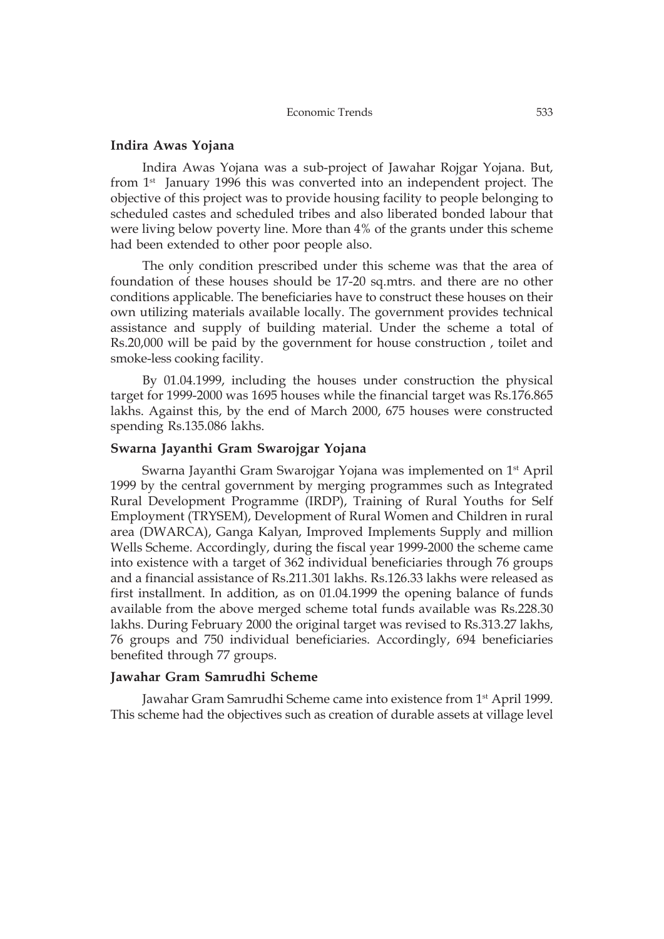### **Indira Awas Yojana**

Indira Awas Yojana was a sub-project of Jawahar Rojgar Yojana. But, from 1<sup>st</sup> January 1996 this was converted into an independent project. The objective of this project was to provide housing facility to people belonging to scheduled castes and scheduled tribes and also liberated bonded labour that were living below poverty line. More than 4% of the grants under this scheme had been extended to other poor people also.

The only condition prescribed under this scheme was that the area of foundation of these houses should be 17-20 sq.mtrs. and there are no other conditions applicable. The beneficiaries have to construct these houses on their own utilizing materials available locally. The government provides technical assistance and supply of building material. Under the scheme a total of Rs.20,000 will be paid by the government for house construction , toilet and smoke-less cooking facility.

By 01.04.1999, including the houses under construction the physical target for 1999-2000 was 1695 houses while the financial target was Rs.176.865 lakhs. Against this, by the end of March 2000, 675 houses were constructed spending Rs.135.086 lakhs.

### **Swarna Jayanthi Gram Swarojgar Yojana**

Swarna Jayanthi Gram Swarojgar Yojana was implemented on 1st April 1999 by the central government by merging programmes such as Integrated Rural Development Programme (IRDP), Training of Rural Youths for Self Employment (TRYSEM), Development of Rural Women and Children in rural area (DWARCA), Ganga Kalyan, Improved Implements Supply and million Wells Scheme. Accordingly, during the fiscal year 1999-2000 the scheme came into existence with a target of 362 individual beneficiaries through 76 groups and a financial assistance of Rs.211.301 lakhs. Rs.126.33 lakhs were released as first installment. In addition, as on 01.04.1999 the opening balance of funds available from the above merged scheme total funds available was Rs.228.30 lakhs. During February 2000 the original target was revised to Rs.313.27 lakhs, 76 groups and 750 individual beneficiaries. Accordingly, 694 beneficiaries benefited through 77 groups.

### **Jawahar Gram Samrudhi Scheme**

Jawahar Gram Samrudhi Scheme came into existence from 1st April 1999. This scheme had the objectives such as creation of durable assets at village level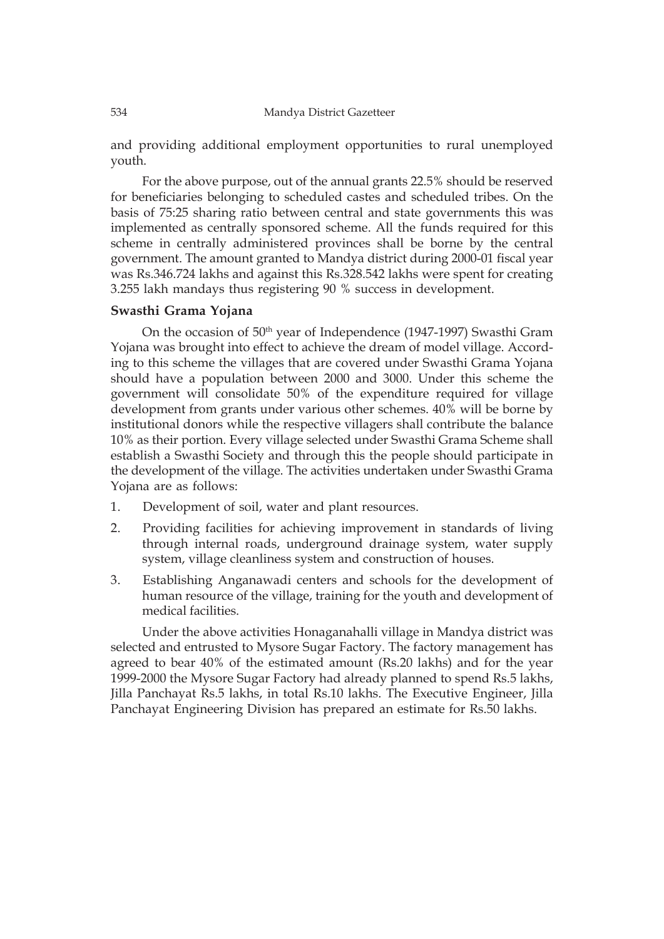and providing additional employment opportunities to rural unemployed youth.

For the above purpose, out of the annual grants 22.5% should be reserved for beneficiaries belonging to scheduled castes and scheduled tribes. On the basis of 75:25 sharing ratio between central and state governments this was implemented as centrally sponsored scheme. All the funds required for this scheme in centrally administered provinces shall be borne by the central government. The amount granted to Mandya district during 2000-01 fiscal year was Rs.346.724 lakhs and against this Rs.328.542 lakhs were spent for creating 3.255 lakh mandays thus registering 90 % success in development.

## **Swasthi Grama Yojana**

On the occasion of 50<sup>th</sup> year of Independence (1947-1997) Swasthi Gram Yojana was brought into effect to achieve the dream of model village. According to this scheme the villages that are covered under Swasthi Grama Yojana should have a population between 2000 and 3000. Under this scheme the government will consolidate 50% of the expenditure required for village development from grants under various other schemes. 40% will be borne by institutional donors while the respective villagers shall contribute the balance 10% as their portion. Every village selected under Swasthi Grama Scheme shall establish a Swasthi Society and through this the people should participate in the development of the village. The activities undertaken under Swasthi Grama Yojana are as follows:

- 1. Development of soil, water and plant resources.
- 2. Providing facilities for achieving improvement in standards of living through internal roads, underground drainage system, water supply system, village cleanliness system and construction of houses.
- 3. Establishing Anganawadi centers and schools for the development of human resource of the village, training for the youth and development of medical facilities.

Under the above activities Honaganahalli village in Mandya district was selected and entrusted to Mysore Sugar Factory. The factory management has agreed to bear 40% of the estimated amount (Rs.20 lakhs) and for the year 1999-2000 the Mysore Sugar Factory had already planned to spend Rs.5 lakhs, Jilla Panchayat Rs.5 lakhs, in total Rs.10 lakhs. The Executive Engineer, Jilla Panchayat Engineering Division has prepared an estimate for Rs.50 lakhs.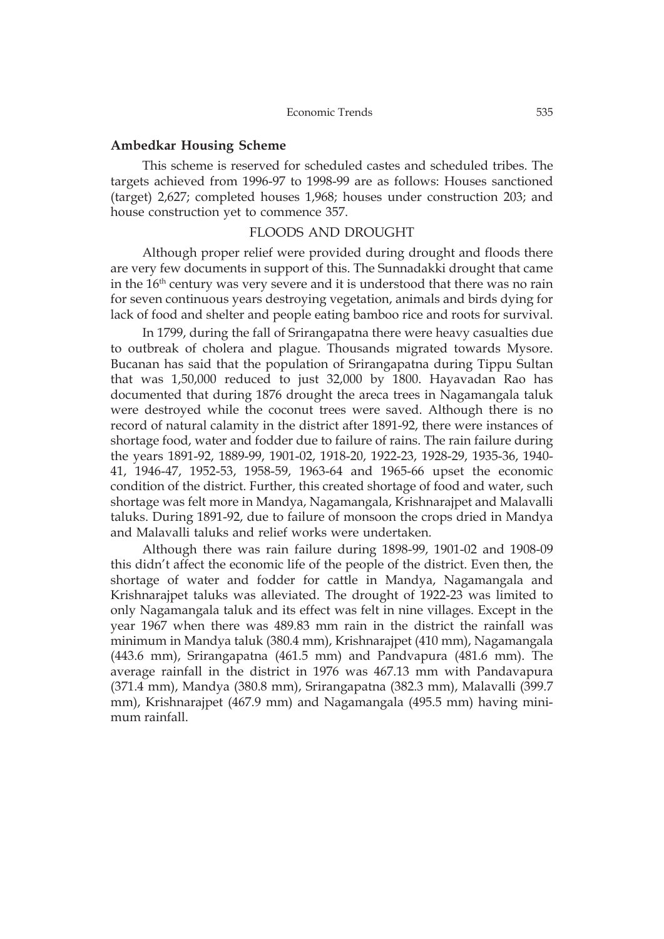#### **Ambedkar Housing Scheme**

This scheme is reserved for scheduled castes and scheduled tribes. The targets achieved from 1996-97 to 1998-99 are as follows: Houses sanctioned (target) 2,627; completed houses 1,968; houses under construction 203; and house construction yet to commence 357.

#### FLOODS AND DROUGHT

Although proper relief were provided during drought and floods there are very few documents in support of this. The Sunnadakki drought that came in the 16<sup>th</sup> century was very severe and it is understood that there was no rain for seven continuous years destroying vegetation, animals and birds dying for lack of food and shelter and people eating bamboo rice and roots for survival.

In 1799, during the fall of Srirangapatna there were heavy casualties due to outbreak of cholera and plague. Thousands migrated towards Mysore. Bucanan has said that the population of Srirangapatna during Tippu Sultan that was 1,50,000 reduced to just 32,000 by 1800. Hayavadan Rao has documented that during 1876 drought the areca trees in Nagamangala taluk were destroyed while the coconut trees were saved. Although there is no record of natural calamity in the district after 1891-92, there were instances of shortage food, water and fodder due to failure of rains. The rain failure during the years 1891-92, 1889-99, 1901-02, 1918-20, 1922-23, 1928-29, 1935-36, 1940- 41, 1946-47, 1952-53, 1958-59, 1963-64 and 1965-66 upset the economic condition of the district. Further, this created shortage of food and water, such shortage was felt more in Mandya, Nagamangala, Krishnarajpet and Malavalli taluks. During 1891-92, due to failure of monsoon the crops dried in Mandya and Malavalli taluks and relief works were undertaken.

Although there was rain failure during 1898-99, 1901-02 and 1908-09 this didn't affect the economic life of the people of the district. Even then, the shortage of water and fodder for cattle in Mandya, Nagamangala and Krishnarajpet taluks was alleviated. The drought of 1922-23 was limited to only Nagamangala taluk and its effect was felt in nine villages. Except in the year 1967 when there was 489.83 mm rain in the district the rainfall was minimum in Mandya taluk (380.4 mm), Krishnarajpet (410 mm), Nagamangala (443.6 mm), Srirangapatna (461.5 mm) and Pandvapura (481.6 mm). The average rainfall in the district in 1976 was 467.13 mm with Pandavapura (371.4 mm), Mandya (380.8 mm), Srirangapatna (382.3 mm), Malavalli (399.7 mm), Krishnarajpet (467.9 mm) and Nagamangala (495.5 mm) having minimum rainfall.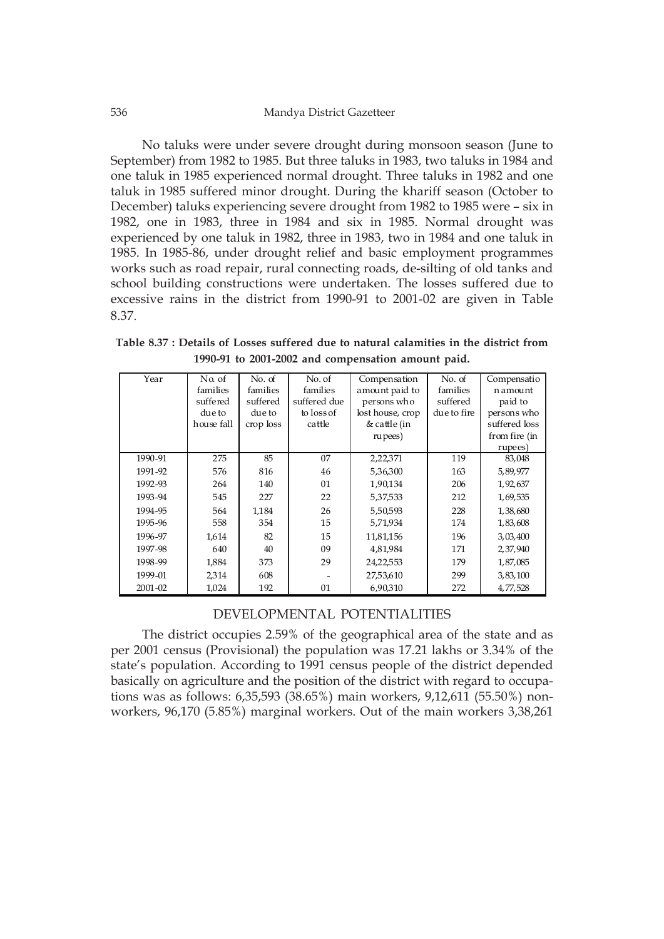No taluks were under severe drought during monsoon season (June to September) from 1982 to 1985. But three taluks in 1983, two taluks in 1984 and one taluk in 1985 experienced normal drought. Three taluks in 1982 and one taluk in 1985 suffered minor drought. During the khariff season (October to December) taluks experiencing severe drought from 1982 to 1985 were – six in 1982, one in 1983, three in 1984 and six in 1985. Normal drought was experienced by one taluk in 1982, three in 1983, two in 1984 and one taluk in 1985. In 1985-86, under drought relief and basic employment programmes works such as road repair, rural connecting roads, de-silting of old tanks and school building constructions were undertaken. The losses suffered due to excessive rains in the district from 1990-91 to 2001-02 are given in Table 8.37.

**Table 8.37 : Details of Losses suffered due to natural calamities in the district from 1990-91 to 2001-2002 and compensation amount paid.**

| Year        | No. of<br>families | No. of<br>families | No. of<br>families | Compensation<br>amount paid to | No. of<br>families | Compensatio<br>namount |
|-------------|--------------------|--------------------|--------------------|--------------------------------|--------------------|------------------------|
|             | suffered           | suffered           | suffered due       | persons who                    | suffered           | paid to                |
|             | due to             | due to             | to loss of         | lost house, crop               | due to fire        | persons who            |
|             | house fall         | crop loss          | cattle             | & cattle (in                   |                    | suffered loss          |
|             |                    |                    |                    | rupees)                        |                    | from fire (in          |
|             |                    |                    |                    |                                |                    | rupees)                |
| 1990-91     | 275                | 85                 | 07                 | 2,22,371                       | 119                | 83,048                 |
| 1991-92     | 576                | 816                | 46                 | 5,36,300                       | 163                | 5,89,977               |
| 1992-93     | 264                | 140                | 01                 | 1,90,134                       | 206                | 1,92,637               |
| 1993-94     | 545                | 227                | 22                 | 5,37,533                       | 212                | 1,69,535               |
| 1994-95     | 564                | 1,184              | 26                 | 5,50,593                       | 228                | 1,38,680               |
| 1995-96     | 558                | 354                | 15                 | 5,71,934                       | 174                | 1,83,608               |
| 1996-97     | 1,614              | 82                 | 15                 | 11,81,156                      | 196                | 3,03,400               |
| 1997-98     | 640                | 40                 | 09                 | 4,81,984                       | 171                | 2,37,940               |
| 1998-99     | 1,884              | 373                | 29                 | 24,22,553                      | 179                | 1,87,085               |
| 1999-01     | 2,314              | 608                |                    | 27,53,610                      | 299                | 3,83,100               |
| $2001 - 02$ | 1,024              | 192                | 01                 | 6,90,310                       | 272                | 4,77,528               |

### DEVELOPMENTAL POTENTIALITIES

The district occupies 2.59% of the geographical area of the state and as per 2001 census (Provisional) the population was 17.21 lakhs or 3.34% of the state's population. According to 1991 census people of the district depended basically on agriculture and the position of the district with regard to occupations was as follows: 6,35,593 (38.65%) main workers, 9,12,611 (55.50%) nonworkers, 96,170 (5.85%) marginal workers. Out of the main workers 3,38,261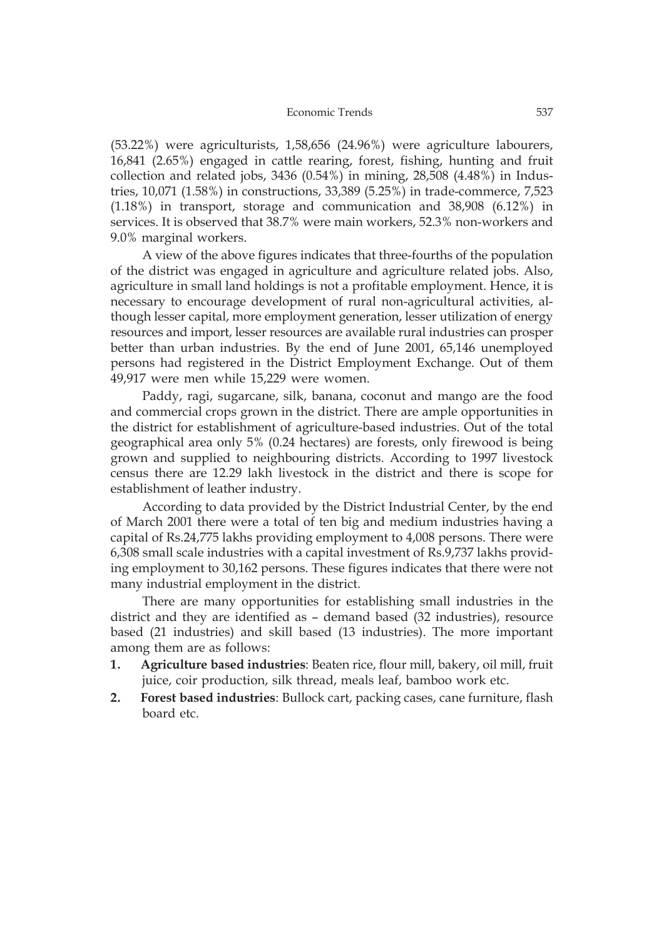(53.22%) were agriculturists, 1,58,656 (24.96%) were agriculture labourers, 16,841 (2.65%) engaged in cattle rearing, forest, fishing, hunting and fruit collection and related jobs, 3436 (0.54%) in mining, 28,508 (4.48%) in Industries, 10,071 (1.58%) in constructions, 33,389 (5.25%) in trade-commerce, 7,523 (1.18%) in transport, storage and communication and 38,908 (6.12%) in services. It is observed that 38.7% were main workers, 52.3% non-workers and 9.0% marginal workers.

A view of the above figures indicates that three-fourths of the population of the district was engaged in agriculture and agriculture related jobs. Also, agriculture in small land holdings is not a profitable employment. Hence, it is necessary to encourage development of rural non-agricultural activities, although lesser capital, more employment generation, lesser utilization of energy resources and import, lesser resources are available rural industries can prosper better than urban industries. By the end of June 2001, 65,146 unemployed persons had registered in the District Employment Exchange. Out of them 49,917 were men while 15,229 were women.

Paddy, ragi, sugarcane, silk, banana, coconut and mango are the food and commercial crops grown in the district. There are ample opportunities in the district for establishment of agriculture-based industries. Out of the total geographical area only 5% (0.24 hectares) are forests, only firewood is being grown and supplied to neighbouring districts. According to 1997 livestock census there are 12.29 lakh livestock in the district and there is scope for establishment of leather industry.

According to data provided by the District Industrial Center, by the end of March 2001 there were a total of ten big and medium industries having a capital of Rs.24,775 lakhs providing employment to 4,008 persons. There were 6,308 small scale industries with a capital investment of Rs.9,737 lakhs providing employment to 30,162 persons. These figures indicates that there were not many industrial employment in the district.

There are many opportunities for establishing small industries in the district and they are identified as – demand based (32 industries), resource based (21 industries) and skill based (13 industries). The more important among them are as follows:

- **1. Agriculture based industries**: Beaten rice, flour mill, bakery, oil mill, fruit juice, coir production, silk thread, meals leaf, bamboo work etc.
- **2. Forest based industries**: Bullock cart, packing cases, cane furniture, flash board etc.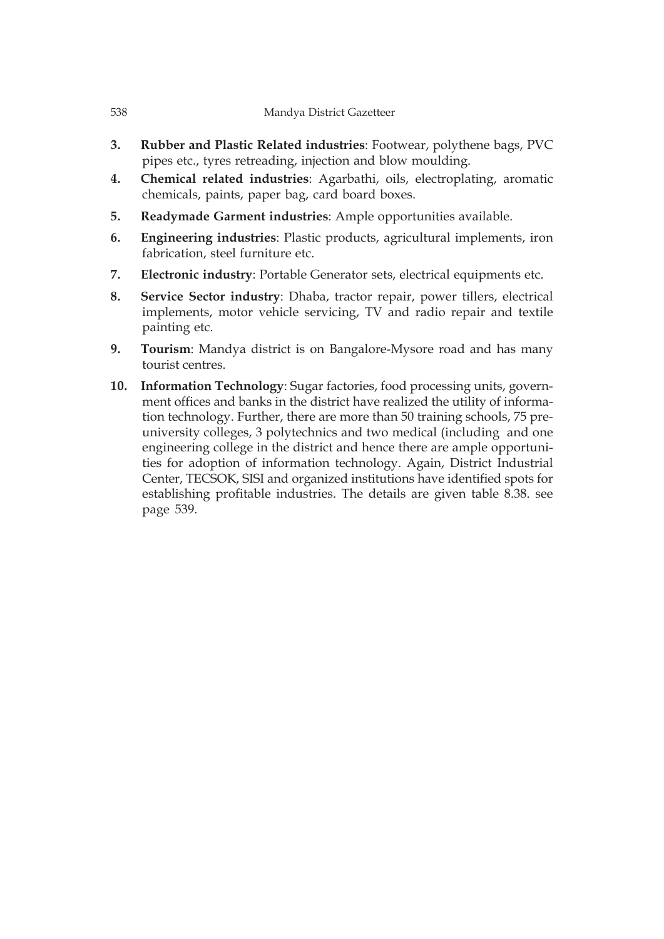- **3. Rubber and Plastic Related industries**: Footwear, polythene bags, PVC pipes etc., tyres retreading, injection and blow moulding.
- **4. Chemical related industries**: Agarbathi, oils, electroplating, aromatic chemicals, paints, paper bag, card board boxes.
- **5. Readymade Garment industries**: Ample opportunities available.
- **6. Engineering industries**: Plastic products, agricultural implements, iron fabrication, steel furniture etc.
- **7. Electronic industry**: Portable Generator sets, electrical equipments etc.
- **8. Service Sector industry**: Dhaba, tractor repair, power tillers, electrical implements, motor vehicle servicing, TV and radio repair and textile painting etc.
- **9. Tourism**: Mandya district is on Bangalore-Mysore road and has many tourist centres.
- **10. Information Technology**: Sugar factories, food processing units, government offices and banks in the district have realized the utility of information technology. Further, there are more than 50 training schools, 75 preuniversity colleges, 3 polytechnics and two medical (including and one engineering college in the district and hence there are ample opportunities for adoption of information technology. Again, District Industrial Center, TECSOK, SISI and organized institutions have identified spots for establishing profitable industries. The details are given table 8.38. see page 539.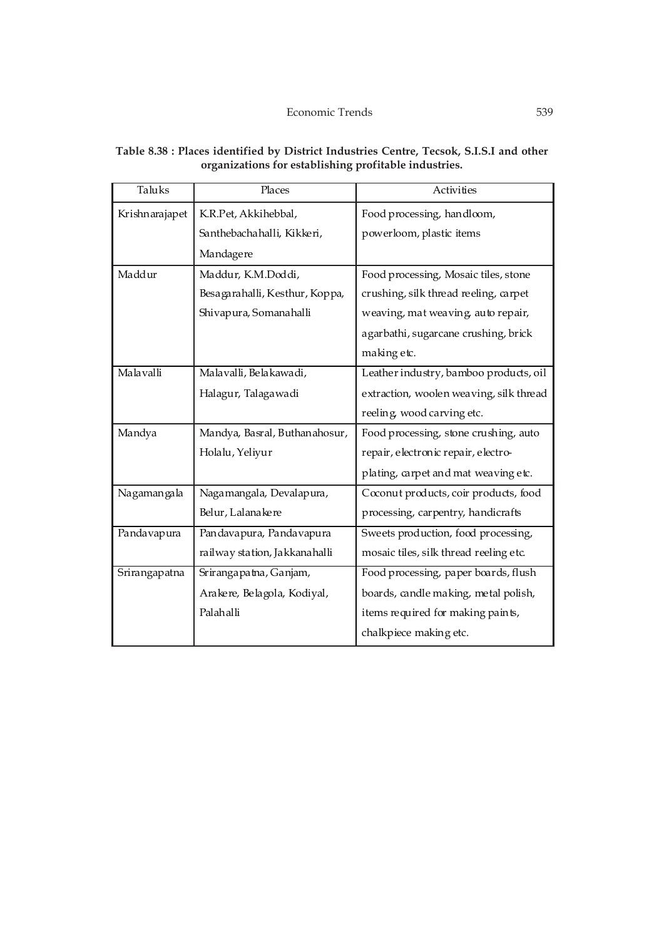| Taluks         | Places                         | Activities                              |
|----------------|--------------------------------|-----------------------------------------|
| Krishnarajapet | K.R.Pet, Akkihebbal,           | Food processing, handloom,              |
|                | Santhebachahalli, Kikkeri,     | powerloom, plastic items                |
|                | Mandagere                      |                                         |
| Maddur         | Maddur, K.M.Doddi,             | Food processing, Mosaic tiles, stone    |
|                | Besagarahalli, Kesthur, Koppa, | crushing, silk thread reeling, carpet   |
|                | Shivapura, Somanahalli         | weaving, mat weaving, auto repair,      |
|                |                                | agarbathi, sugarcane crushing, brick    |
|                |                                | making etc.                             |
| Malavalli      | Malavalli, Belakawadi,         | Leather industry, bamboo products, oil  |
|                | Halagur, Talagawadi            | extraction, woolen weaving, silk thread |
|                |                                | reeling, wood carving etc.              |
| Mandya         | Mandya, Basral, Buthanahosur,  | Food processing, stone crushing, auto   |
|                | Holalu, Yeliyur                | repair, electronic repair, electro-     |
|                |                                | plating, carpet and mat weaving etc.    |
| Nagamangala    | Nagamangala, Devalapura,       | Coconut products, coir products, food   |
|                | Belur, Lalanakere              | processing, carpentry, handicrafts      |
| Pandavapura    | Pandavapura, Pandavapura       | Sweets production, food processing,     |
|                | railway station, Jakkanahalli  | mosaic tiles, silk thread reeling etc.  |
| Srirangapatna  | Srirangapatna, Ganjam,         | Food processing, paper boards, flush    |
|                | Arakere, Belagola, Kodiyal,    | boards, candle making, metal polish,    |
|                | Palahalli                      | items required for making paints,       |
|                |                                | chalkpiece making etc.                  |

#### **Table 8.38 : Places identified by District Industries Centre, Tecsok, S.I.S.I and other organizations for establishing profitable industries.**

 $\mathcal{L}$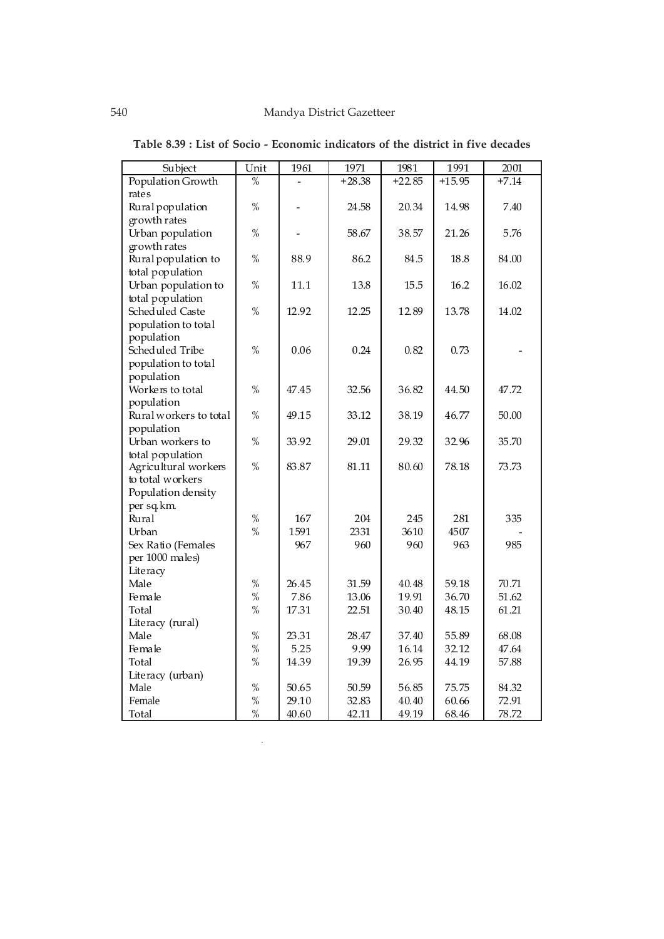| Subject                | Unit          | 1961  | 1971     | 1981     | 1991     | 2001    |
|------------------------|---------------|-------|----------|----------|----------|---------|
| Population Growth      | $\frac{0}{2}$ |       | $+28.38$ | $+22.85$ | $+15.95$ | $+7.14$ |
| rates                  |               |       |          |          |          |         |
| Rural population       | $\%$          |       | 24.58    | 20.34    | 14.98    | 7.40    |
| growth rates           |               |       |          |          |          |         |
| Urban population       | $\%$          |       | 58.67    | 38.57    | 21.26    | 5.76    |
| growth rates           |               |       |          |          |          |         |
| Rural population to    | $\%$          | 88.9  | 86.2     | 84.5     | 18.8     | 84.00   |
| total population       |               |       |          |          |          |         |
| Urban population to    | $\%$          | 11.1  | 13.8     | 15.5     | 16.2     | 16.02   |
| total population       |               |       |          |          |          |         |
| Scheduled Caste        | $\%$          | 12.92 | 12.25    | 12.89    | 13.78    | 14.02   |
| population to total    |               |       |          |          |          |         |
| population             |               |       |          |          |          |         |
| Scheduled Tribe        | $\%$          | 0.06  | 0.24     | 0.82     | 0.73     |         |
| population to total    |               |       |          |          |          |         |
| population             |               |       |          |          |          |         |
| Workers to total       | $\%$          | 47.45 | 32.56    | 36.82    | 44.50    | 47.72   |
| population             |               |       |          |          |          |         |
| Rural workers to total | $\%$          | 49.15 | 33.12    | 38.19    | 46.77    | 50.00   |
| population             |               |       |          |          |          |         |
| Urban workers to       | $\%$          | 33.92 | 29.01    | 29.32    | 32.96    | 35.70   |
| total population       |               |       |          |          |          |         |
| Agricultural workers   | $\%$          | 83.87 | 81.11    | 80.60    | 78.18    | 73.73   |
| to total workers       |               |       |          |          |          |         |
| Population density     |               |       |          |          |          |         |
| per sq.km.             |               |       |          |          |          |         |
| Rural                  | $\%$          | 167   | 204      | 245      | 281      | 335     |
| Urban                  | $\%$          | 1591  | 2331     | 3610     | 4507     |         |
| Sex Ratio (Females     |               | 967   | 960      | 960      | 963      | 985     |
| per 1000 males)        |               |       |          |          |          |         |
| Literacy<br>Male       | $\%$          | 26.45 | 31.59    | 40.48    | 59.18    | 70.71   |
| Female                 | $\%$          | 7.86  | 13.06    | 19.91    | 36.70    | 51.62   |
| Total                  | $\%$          | 17.31 | 22.51    | 30.40    | 48.15    | 61.21   |
| Literacy (rural)       |               |       |          |          |          |         |
| Male                   | $\%$          | 23.31 | 28.47    | 37.40    | 55.89    | 68.08   |
| Female                 | $\%$          | 5.25  | 9.99     | 16.14    | 32.12    | 47.64   |
| Total                  | $\%$          | 14.39 | 19.39    | 26.95    | 44.19    | 57.88   |
| Literacy (urban)       |               |       |          |          |          |         |
| Male                   | $\%$          | 50.65 | 50.59    | 56.85    | 75.75    | 84.32   |
| Female                 | $\%$          | 29.10 | 32.83    | 40.40    | 60.66    | 72.91   |
| Total                  | $\%$          | 40.60 | 42.11    | 49.19    | 68.46    | 78.72   |

L.

**Table 8.39 : List of Socio - Economic indicators of the district in five decades**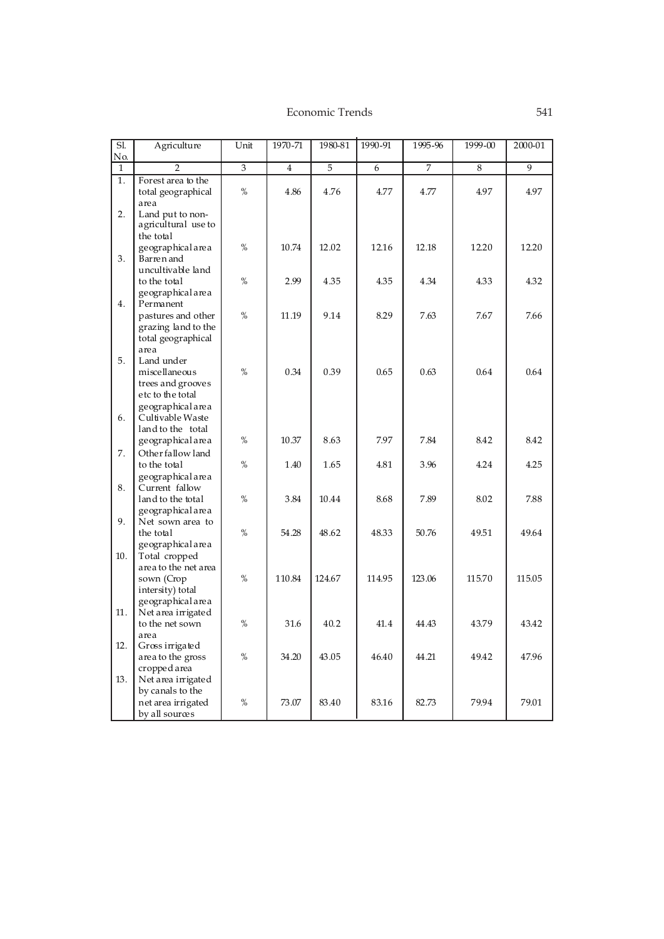| $\overline{SI}$<br>No. | Agriculture                                                     | Unit          | 1970-71        | 1980-81 | 1990-91 | 1995-96 | 1999-00 | 2000-01        |
|------------------------|-----------------------------------------------------------------|---------------|----------------|---------|---------|---------|---------|----------------|
| $\mathbf{1}$           | $\overline{2}$                                                  | 3             | $\overline{4}$ | 5       | 6       | 7       | 8       | $\overline{9}$ |
| 1.                     | Forest area to the<br>total geographical                        | $\%$          | 4.86           | 4.76    | 4.77    | 4.77    | 4.97    | 4.97           |
|                        | area                                                            |               |                |         |         |         |         |                |
| 2.                     | Land put to non-<br>agricultural use to<br>the total            |               |                |         |         |         |         |                |
| 3.                     | geographical area<br>Barren and                                 | $\%$          | 10.74          | 12.02   | 12.16   | 12.18   | 12.20   | 12.20          |
|                        | uncultivable land<br>to the total                               | %             | 2.99           | 4.35    | 4.35    | 4.34    | 4.33    | 4.32           |
| 4.                     | geographical area<br>Permanent                                  |               |                |         |         |         |         |                |
|                        | pastures and other<br>grazing land to the<br>total geographical | $\%$          | 11.19          | 9.14    | 8.29    | 7.63    | 7.67    | 7.66           |
| 5.                     | area<br>Land under<br>miscellaneous                             | $\%$          | 0.34           | 0.39    | 0.65    | 0.63    | 0.64    | 0.64           |
|                        | trees and grooves<br>etc to the total<br>geographical area      |               |                |         |         |         |         |                |
| 6.                     | Cultivable Waste<br>land to the total                           |               |                |         |         |         |         |                |
|                        | geographical area                                               | %             | 10.37          | 8.63    | 7.97    | 7.84    | 8.42    | 8.42           |
| 7.                     | Other fallow land<br>to the total<br>geographical area          | $\%$          | 1.40           | 1.65    | 4.81    | 3.96    | 4.24    | 4.25           |
| 8.                     | Current fallow<br>land to the total                             | %             | 3.84           | 10.44   | 8.68    | 7.89    | 8.02    | 7.88           |
| 9.                     | geographical area<br>Net sown area to                           |               |                |         |         |         |         |                |
|                        | the total<br>geographical area                                  | $\frac{0}{0}$ | 54.28          | 48.62   | 48.33   | 50.76   | 49.51   | 49.64          |
| 10.                    | Total cropped<br>area to the net area                           |               |                |         |         |         |         |                |
|                        | sown (Crop<br>intersity) total                                  | %             | 110.84         | 124.67  | 114.95  | 123.06  | 115.70  | 115.05         |
| 11.                    | geographical area<br>Net area irrigated<br>to the net sown      | %             | 31.6           | 40.2    | 41.4    | 44.43   | 43.79   | 43.42          |
| 12.                    | area<br>Gross irrigated                                         |               |                |         |         |         |         |                |
|                        | area to the gross<br>cropped area                               | $\%$          | 34.20          | 43.05   | 46.40   | 44.21   | 49.42   | 47.96          |
| 13.                    | Net area irrigated<br>by canals to the                          |               |                |         |         |         |         |                |
|                        | net area irrigated<br>by all sources                            | %             | 73.07          | 83.40   | 83.16   | 82.73   | 79.94   | 79.01          |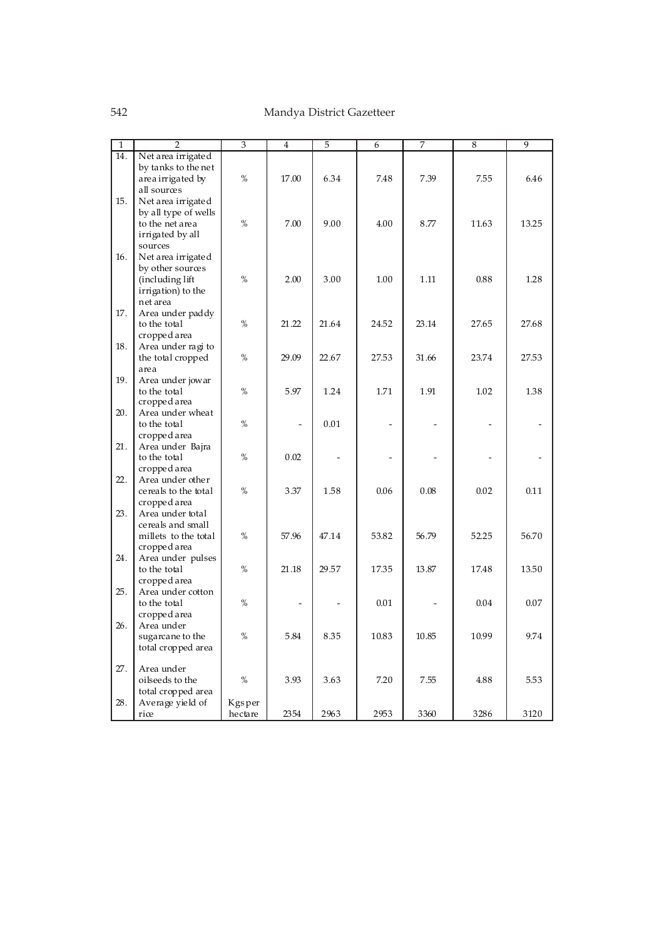# 542 Mandya District Gazetteer

| $\mathbf{1}$      | $\overline{2}$       | $\overline{\overline{3}}$ | 4     | 5     | 6     | 7     | 8     | $\overline{9}$ |
|-------------------|----------------------|---------------------------|-------|-------|-------|-------|-------|----------------|
| $\overline{14}$ . | Net area irrigated   |                           |       |       |       |       |       |                |
|                   | by tanks to the net  |                           |       |       |       |       |       |                |
|                   | area irrigated by    | %                         | 17.00 | 6.34  | 7.48  | 7.39  | 7.55  | 6.46           |
|                   | all sources          |                           |       |       |       |       |       |                |
| 15.               |                      |                           |       |       |       |       |       |                |
|                   | Net area irrigated   |                           |       |       |       |       |       |                |
|                   | by all type of wells |                           |       |       |       |       |       |                |
|                   | to the net area      | %                         | 7.00  | 9.00  | 4.00  | 8.77  | 11.63 | 13.25          |
|                   | irrigated by all     |                           |       |       |       |       |       |                |
|                   | sources              |                           |       |       |       |       |       |                |
| 16.               | Net area irrigated   |                           |       |       |       |       |       |                |
|                   | by other sources     |                           |       |       |       |       |       |                |
|                   | (including lift      | %                         | 2.00  | 3.00  | 1.00  | 1.11  | 0.88  | 1.28           |
|                   | irrigation) to the   |                           |       |       |       |       |       |                |
|                   | net area             |                           |       |       |       |       |       |                |
| 17.               | Area under paddy     |                           |       |       |       |       |       |                |
|                   | to the total         | %                         | 21.22 | 21.64 | 24.52 | 23.14 | 27.65 | 27.68          |
|                   | cropped area         |                           |       |       |       |       |       |                |
| 18.               | Area under ragi to   |                           |       |       |       |       |       |                |
|                   | the total cropped    | $\%$                      | 29.09 | 22.67 | 27.53 | 31.66 | 23.74 | 27.53          |
|                   | area                 |                           |       |       |       |       |       |                |
| 19.               | Area under jowar     |                           |       |       |       |       |       |                |
|                   | to the total         | %                         | 5.97  | 1.24  | 1.71  | 1.91  | 1.02  | 1.38           |
|                   | cropped area         |                           |       |       |       |       |       |                |
| 20.               | Area under wheat     |                           |       |       |       |       |       |                |
|                   |                      | $\%$                      |       | 0.01  |       |       |       |                |
|                   | to the total         |                           |       |       |       |       |       |                |
|                   | cropped area         |                           |       |       |       |       |       |                |
| 21.               | Area under Bajra     |                           |       |       |       |       |       |                |
|                   | to the total         | $\%$                      | 0.02  |       |       |       |       |                |
|                   | cropped area         |                           |       |       |       |       |       |                |
| 22.               | Area under other     |                           |       |       |       |       |       |                |
|                   | cereals to the total | %                         | 3.37  | 1.58  | 0.06  | 0.08  | 0.02  | 0.11           |
|                   | cropped area         |                           |       |       |       |       |       |                |
| 23.               | Area under total     |                           |       |       |       |       |       |                |
|                   | cereals and small    |                           |       |       |       |       |       |                |
|                   | millets to the total | %                         | 57.96 | 47.14 | 53.82 | 56.79 | 52.25 | 56.70          |
|                   | cropped area         |                           |       |       |       |       |       |                |
| 24.               | Area under pulses    |                           |       |       |       |       |       |                |
|                   | to the total         | %                         | 21.18 | 29.57 | 17.35 | 13.87 | 17.48 | 13.50          |
|                   | cropped area         |                           |       |       |       |       |       |                |
| 25.               | Area under cotton    |                           |       |       |       |       |       |                |
|                   | to the total         | %                         |       |       | 0.01  |       | 0.04  | 0.07           |
|                   | cropped area         |                           |       |       |       |       |       |                |
| 26.               | Area under           |                           |       |       |       |       |       |                |
|                   | sugarcane to the     | %                         | 5.84  | 8.35  | 10.83 | 10.85 | 10.99 | 9.74           |
|                   | total cropped area   |                           |       |       |       |       |       |                |
|                   |                      |                           |       |       |       |       |       |                |
| 27.               | Area under           |                           |       |       |       |       |       |                |
|                   | oilseeds to the      | $\%$                      | 3.93  | 3.63  | 7.20  | 7.55  | 4.88  | 5.53           |
|                   |                      |                           |       |       |       |       |       |                |
| 28.               | total cropped area   |                           |       |       |       |       |       |                |
|                   | Average yield of     | Kgsper                    |       |       |       |       |       |                |
|                   | riœ                  | hectare                   | 2354  | 2963  | 2953  | 3360  | 3286  | 3120           |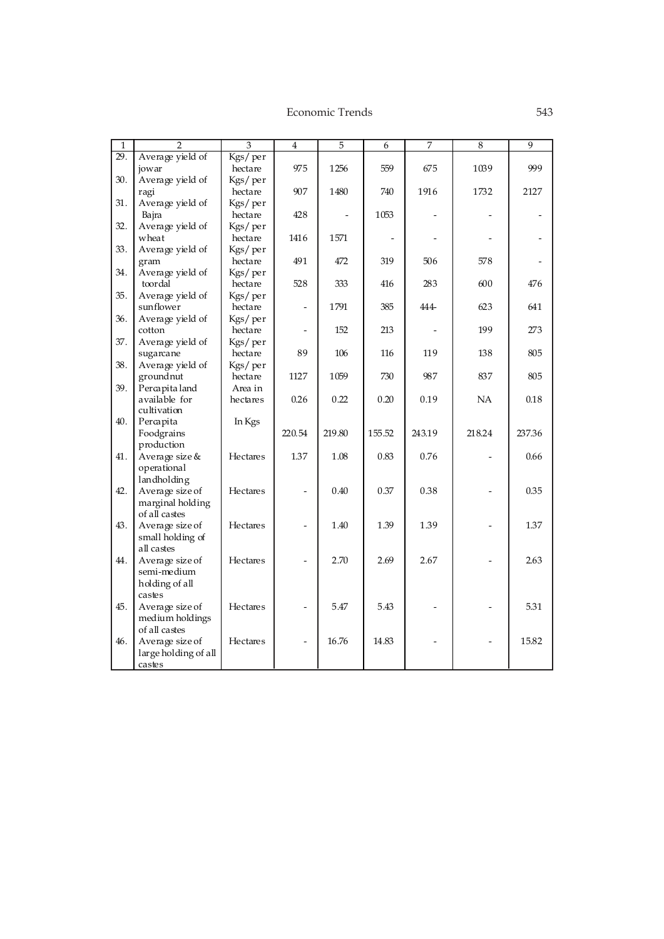| $\mathbf{1}$ | $\overline{2}$                | $\overline{3}$     | $\overline{4}$ | $\overline{5}$ | 6      | $\overline{7}$ | 8      | $\overline{9}$ |
|--------------|-------------------------------|--------------------|----------------|----------------|--------|----------------|--------|----------------|
| 29.          | Average yield of              | Kgs/per            |                |                |        |                |        |                |
|              | jowar                         | hectare            | 975            | 1256           | 559    | 675            | 1039   | 999            |
| 30.          | Average yield of              | Kgs/per            |                |                |        |                |        |                |
|              | ragi                          | hectare            | 907            | 1480           | 740    | 1916           | 1732   | 2127           |
| 31.          | Average yield of              | Kgs/per            |                |                |        |                |        |                |
|              | Bajra                         | hectare            | 428            |                | 1053   |                |        |                |
| 32.          | Average yield of              | Kgs/per            |                |                |        |                |        |                |
|              | wheat                         | hectare            | 1416           | 1571           |        |                |        |                |
| 33.          | Average yield of              | Kgs/per            |                |                |        |                |        |                |
|              | gram                          | hectare            | 491            | 472            | 319    | 506            | 578    |                |
| 34.          | Average yield of              | Kgs/per            |                |                |        |                |        |                |
|              | toordal                       | hectare            | 528            | 333            | 416    | 283            | 600    | 476            |
| 35.          | Average yield of<br>sunflower | Kgs/per<br>hectare |                | 1791           | 385    | 444            | 623    | 641            |
| 36.          | Average yield of              | Kgs/per            |                |                |        |                |        |                |
|              | cotton                        | hectare            |                | 152            | 213    |                | 199    | 273            |
| 37.          | Average yield of              | Kgs/per            |                |                |        |                |        |                |
|              | sugarcane                     | hectare            | 89             | 106            | 116    | 119            | 138    | 805            |
| 38.          | Average yield of              | Kgs/per            |                |                |        |                |        |                |
|              | groundnut                     | hectare            | 1127           | 1059           | 730    | 987            | 837    | 805            |
| 39.          | Percapitaland                 | Area in            |                |                |        |                |        |                |
|              | available for                 | hectares           | 0.26           | 0.22           | 0.20   | 0.19           | NA     | $0.18\,$       |
|              | cultivation                   |                    |                |                |        |                |        |                |
| 40.          | Percapita                     | In Kgs             |                |                |        |                |        |                |
|              | Foodgrains                    |                    | 220.54         | 219.80         | 155.52 | 243.19         | 218.24 | 237.36         |
|              | production                    |                    |                |                |        |                |        |                |
| 41.          | Average size &                | <b>Hectares</b>    | 1.37           | 1.08           | 0.83   | 0.76           |        | 0.66           |
|              | operational                   |                    |                |                |        |                |        |                |
|              | landholding                   |                    |                |                |        |                |        |                |
| 42.          | Average size of               | <b>Hectares</b>    |                | 0.40           | 0.37   | 0.38           |        | 0.35           |
|              | marginal holding              |                    |                |                |        |                |        |                |
|              | of all castes                 |                    |                |                |        |                |        |                |
| 43.          | Average size of               | Hectares           |                | 1.40           | 1.39   | 1.39           |        | 1.37           |
|              | small holding of              |                    |                |                |        |                |        |                |
|              | all castes                    |                    |                |                |        |                |        |                |
| 44.          | Average size of               | Hectares           |                | 2.70           | 2.69   | 2.67           |        | 2.63           |
|              | semi-medium                   |                    |                |                |        |                |        |                |
|              | holding of all                |                    |                |                |        |                |        |                |
|              | castes                        |                    |                |                |        |                |        |                |
| 45.          | Average size of               | <b>Hectares</b>    |                | 5.47           | 5.43   |                |        | 5.31           |
|              | medium holdings               |                    |                |                |        |                |        |                |
|              | of all castes                 |                    |                |                |        |                |        |                |
| 46.          | Average size of               | Hectares           |                | 16.76          | 14.83  |                |        | 15.82          |
|              | large holding of all          |                    |                |                |        |                |        |                |
|              | castes                        |                    |                |                |        |                |        |                |